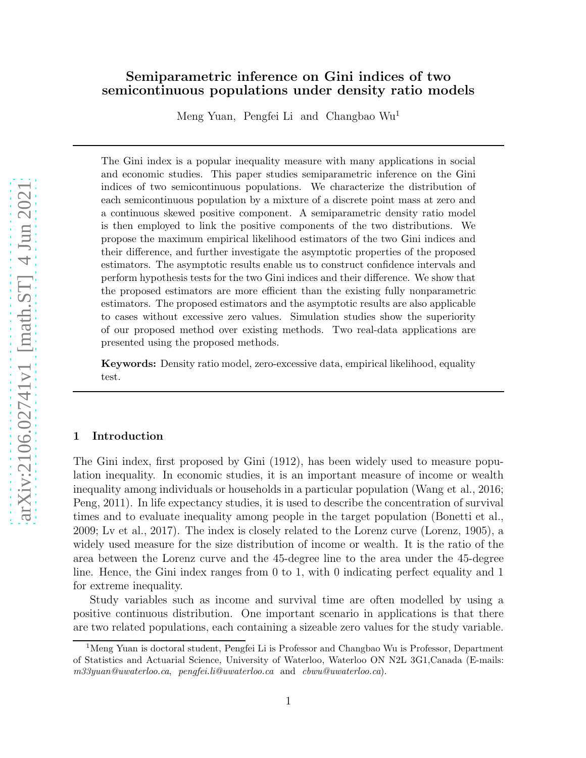# Semiparametric inference on Gini indices of two semicontinuous populations under density ratio models

Meng Yuan, Pengfei Li and Changbao Wu<sup>1</sup>

The Gini index is a popular inequality measure with many applications in social and economic studies. This paper studies semiparametric inference on the Gini indices of two semicontinuous populations. We characterize the distribution of each semicontinuous population by a mixture of a discrete point mass at zero and a continuous skewed positive component. A semiparametric density ratio model is then employed to link the positive components of the two distributions. We propose the maximum empirical likelihood estimators of the two Gini indices and their difference, and further investigate the asymptotic properties of the proposed estimators. The asymptotic results enable us to construct confidence intervals and perform hypothesis tests for the two Gini indices and their difference. We show that the proposed estimators are more efficient than the existing fully nonparametric estimators. The proposed estimators and the asymptotic results are also applicable to cases without excessive zero values. Simulation studies show the superiority of our proposed method over existing methods. Two real-data applications are presented using the proposed methods.

Keywords: Density ratio model, zero-excessive data, empirical likelihood, equality test.

## 1 Introduction

The Gini index, first proposed by [Gini \(1912\)](#page-20-0), has been widely used to measure population inequality. In economic studies, it is an important measure of income or wealth inequality among individuals or households in a particular population [\(Wang et al., 2016](#page-22-0); [Peng, 2011](#page-21-0)). In life expectancy studies, it is used to describe the concentration of survival times and to evaluate inequality among people in the target population [\(Bonetti et al.](#page-19-0), [2009;](#page-19-0) [Lv et al.](#page-20-1), [2017\)](#page-20-1). The index is closely related to the Lorenz curve [\(Lorenz, 1905](#page-20-2)), a widely used measure for the size distribution of income or wealth. It is the ratio of the area between the Lorenz curve and the 45-degree line to the area under the 45-degree line. Hence, the Gini index ranges from 0 to 1, with 0 indicating perfect equality and 1 for extreme inequality.

Study variables such as income and survival time are often modelled by using a positive continuous distribution. One important scenario in applications is that there are two related populations, each containing a sizeable zero values for the study variable.

<sup>1</sup>Meng Yuan is doctoral student, Pengfei Li is Professor and Changbao Wu is Professor, Department of Statistics and Actuarial Science, University of Waterloo, Waterloo ON N2L 3G1,Canada (E-mails: m33yuan@uwaterloo.ca, pengfei.li@uwaterloo.ca and cbwu@uwaterloo.ca).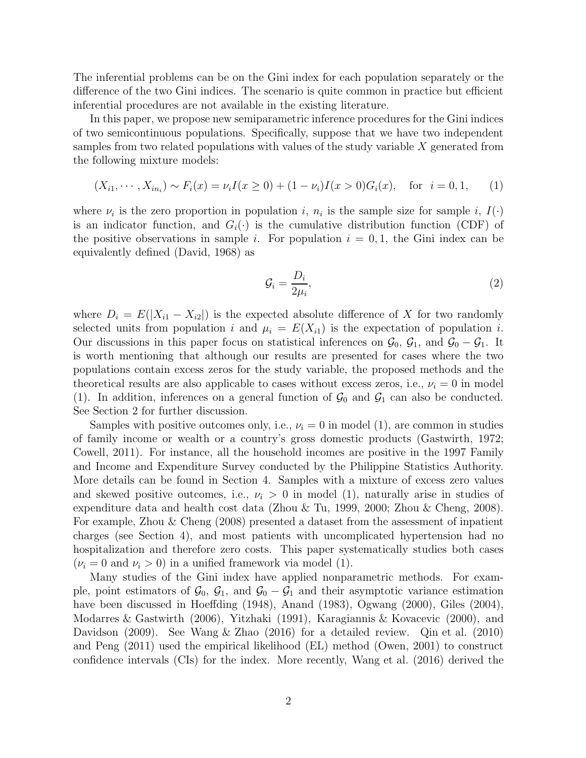The inferential problems can be on the Gini index for each population separately or the difference of the two Gini indices. The scenario is quite common in practice but efficient inferential procedures are not available in the existing literature.

In this paper, we propose new semiparametric inference procedures for the Gini indices of two semicontinuous populations. Specifically, suppose that we have two independent samples from two related populations with values of the study variable X generated from the following mixture models:

$$
(X_{i1}, \cdots, X_{in_i}) \sim F_i(x) = \nu_i I(x \ge 0) + (1 - \nu_i) I(x > 0) G_i(x), \quad \text{for} \quad i = 0, 1, \tag{1}
$$

where  $\nu_i$  is the zero proportion in population i,  $n_i$  is the sample size for sample i,  $I(\cdot)$ is an indicator function, and  $G_i(\cdot)$  is the cumulative distribution function (CDF) of the positive observations in sample i. For population  $i = 0, 1$ , the Gini index can be equivalently defined [\(David, 1968](#page-48-0)) as

$$
\mathcal{G}_i = \frac{D_i}{2\mu_i},\tag{2}
$$

where  $D_i = E(|X_{i1} - X_{i2}|)$  is the expected absolute difference of X for two randomly selected units from population i and  $\mu_i = E(X_{i1})$  is the expectation of population i. Our discussions in this paper focus on statistical inferences on  $\mathcal{G}_0$ ,  $\mathcal{G}_1$ , and  $\mathcal{G}_0 - \mathcal{G}_1$ . It is worth mentioning that although our results are presented for cases where the two populations contain excess zeros for the study variable, the proposed methods and the theoretical results are also applicable to cases without excess zeros, i.e.,  $\nu_i = 0$  in model [\(1\)](#page-23-0). In addition, inferences on a general function of  $\mathcal{G}_0$  and  $\mathcal{G}_1$  can also be conducted. See Section [2](#page-27-0) for further discussion.

Samples with positive outcomes only, i.e.,  $\nu_i = 0$  in model [\(1\)](#page-23-0), are common in studies of family income or wealth or a country's gross domestic products [\(Gastwirth](#page-20-3), [1972](#page-20-3); [Cowell](#page-20-4), [2011](#page-20-4)). For instance, all the household incomes are positive in the 1997 Family and Income and Expenditure Survey conducted by the Philippine Statistics Authority. More details can be found in Section [4.](#page-40-0) Samples with a mixture of excess zero values and skewed positive outcomes, i.e.,  $\nu_i > 0$  in model [\(1\)](#page-23-0), naturally arise in studies of expenditure data and health cost data [\(Zhou & Tu, 1999](#page-22-1), [2000](#page-22-2); [Zhou & Cheng](#page-22-3), [2008\)](#page-22-3). For example, [Zhou & Cheng \(2008\)](#page-22-3) presented a dataset from the assessment of inpatient charges (see Section [4\)](#page-40-0), and most patients with uncomplicated hypertension had no hospitalization and therefore zero costs. This paper systematically studies both cases  $(\nu_i = 0 \text{ and } \nu_i > 0)$  in a unified framework via model [\(1\)](#page-23-0).

Many studies of the Gini index have applied nonparametric methods. For example, point estimators of  $\mathcal{G}_0$ ,  $\mathcal{G}_1$ , and  $\mathcal{G}_0 - \mathcal{G}_1$  and their asymptotic variance estimation have been discussed in [Hoeffding \(1948](#page-20-5)), [Anand \(1983\)](#page-19-1), [Ogwang \(2000\)](#page-21-1), [Giles \(2004\)](#page-20-6), [Modarres & Gastwirth \(2006](#page-20-7)), [Yitzhaki \(1991](#page-22-4)), [Karagiannis & Kovacevic \(2000\)](#page-20-8), and [Davidson \(2009\)](#page-20-9). See [Wang & Zhao \(2016](#page-21-2)) for a detailed review. [Qin et al. \(2010\)](#page-48-1) and [Peng \(2011](#page-21-0)) used the empirical likelihood (EL) method [\(Owen](#page-21-3), [2001](#page-21-3)) to construct confidence intervals (CIs) for the index. More recently, [Wang et al. \(2016\)](#page-22-0) derived the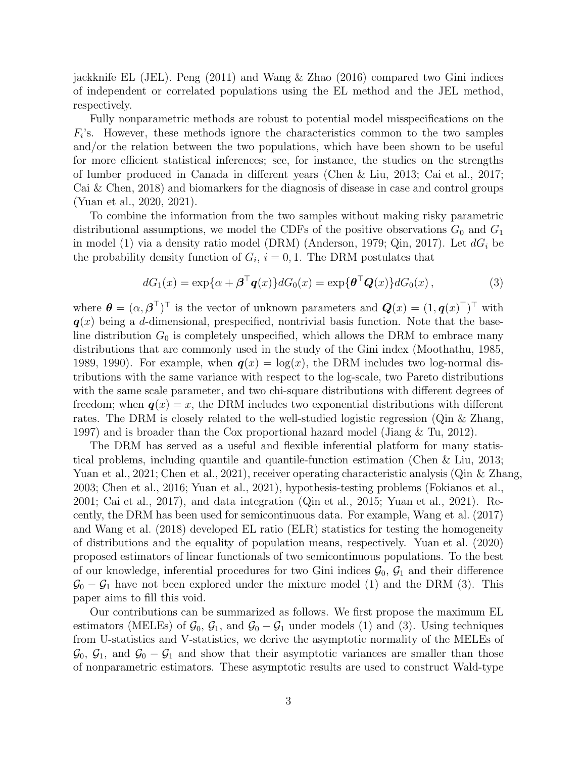jackknife EL (JEL). [Peng \(2011](#page-21-0)) and [Wang & Zhao \(2016\)](#page-21-2) compared two Gini indices of independent or correlated populations using the EL method and the JEL method, respectively.

Fully nonparametric methods are robust to potential model misspecifications on the  $F_i$ 's. However, these methods ignore the characteristics common to the two samples and/or the relation between the two populations, which have been shown to be useful for more efficient statistical inferences; see, for instance, the studies on the strengths of lumber produced in Canada in different years [\(Chen & Liu](#page-20-10), [2013](#page-20-10); [Cai et al.](#page-19-2), [2017](#page-19-2); [Cai & Chen](#page-19-3), [2018\)](#page-19-3) and biomarkers for the diagnosis of disease in case and control groups [\(Yuan et al., 2020](#page-48-2), [2021\)](#page-22-5).

To combine the information from the two samples without making risky parametric distributional assumptions, we model the CDFs of the positive observations  $G_0$  and  $G_1$ in model [\(1\)](#page-23-0) via a density ratio model (DRM) [\(Anderson](#page-19-4), [1979](#page-19-4); [Qin](#page-21-4), [2017\)](#page-21-4). Let  $dG_i$  be the probability density function of  $G_i$ ,  $i = 0, 1$ . The DRM postulates that

$$
dG_1(x) = \exp{\{\alpha + \beta^{\top} \mathbf{q}(x)\}} dG_0(x) = \exp{\{\mathbf{\theta}^{\top} \mathbf{Q}(x)\}} dG_0(x), \qquad (3)
$$

where  $\boldsymbol{\theta} = (\alpha, \boldsymbol{\beta}^{\top})^{\top}$  is the vector of unknown parameters and  $\boldsymbol{Q}(x) = (1, \boldsymbol{q}(x)^{\top})^{\top}$  with  $q(x)$  being a d-dimensional, prespecified, nontrivial basis function. Note that the baseline distribution  $G_0$  is completely unspecified, which allows the DRM to embrace many distributions that are commonly used in the study of the Gini index [\(Moothathu](#page-20-11), [1985](#page-20-11), [1989,](#page-21-5) [1990](#page-21-6)). For example, when  $q(x) = \log(x)$ , the DRM includes two log-normal distributions with the same variance with respect to the log-scale, two Pareto distributions with the same scale parameter, and two chi-square distributions with different degrees of freedom; when  $q(x) = x$ , the DRM includes two exponential distributions with different rates. The DRM is closely related to the well-studied logistic regression [\(Qin & Zhang](#page-21-7), [1997\)](#page-21-7) and is broader than the Cox proportional hazard model [\(Jiang & Tu, 2012](#page-20-12)).

The DRM has served as a useful and flexible inferential platform for many statistical problems, including quantile and quantile-function estimation [\(Chen & Liu, 2013](#page-20-10); [Yuan et al., 2021](#page-22-5); [Chen et al., 2021\)](#page-19-5), receiver operating characteristic analysis [\(Qin & Zhang,](#page-21-8) [2003;](#page-21-8) [Chen et al.](#page-19-6), [2016;](#page-19-6) [Yuan et al., 2021](#page-22-5)), hypothesis-testing problems [\(Fokianos et al.](#page-20-13), [2001;](#page-20-13) [Cai et al.](#page-19-2), [2017\)](#page-19-2), and data integration [\(Qin et al.](#page-21-9), [2015;](#page-21-9) [Yuan et al.](#page-22-5), [2021\)](#page-22-5). Recently, the DRM has been used for semicontinuous data. For example, [Wang et al. \(2017\)](#page-21-10) and [Wang et al. \(2018](#page-21-11)) developed EL ratio (ELR) statistics for testing the homogeneity of distributions and the equality of population means, respectively. [Yuan et al. \(2020\)](#page-48-2) proposed estimators of linear functionals of two semicontinuous populations. To the best of our knowledge, inferential procedures for two Gini indices  $\mathcal{G}_0$ ,  $\mathcal{G}_1$  and their difference  $\mathcal{G}_0 - \mathcal{G}_1$  have not been explored under the mixture model [\(1\)](#page-23-0) and the DRM [\(3\)](#page-23-1). This paper aims to fill this void.

Our contributions can be summarized as follows. We first propose the maximum EL estimators (MELEs) of  $\mathcal{G}_0$ ,  $\mathcal{G}_1$ , and  $\mathcal{G}_0 - \mathcal{G}_1$  under models [\(1\)](#page-23-0) and [\(3\)](#page-23-1). Using techniques from U-statistics and V-statistics, we derive the asymptotic normality of the MELEs of  $\mathcal{G}_0$ ,  $\mathcal{G}_1$ , and  $\mathcal{G}_0 - \mathcal{G}_1$  and show that their asymptotic variances are smaller than those of nonparametric estimators. These asymptotic results are used to construct Wald-type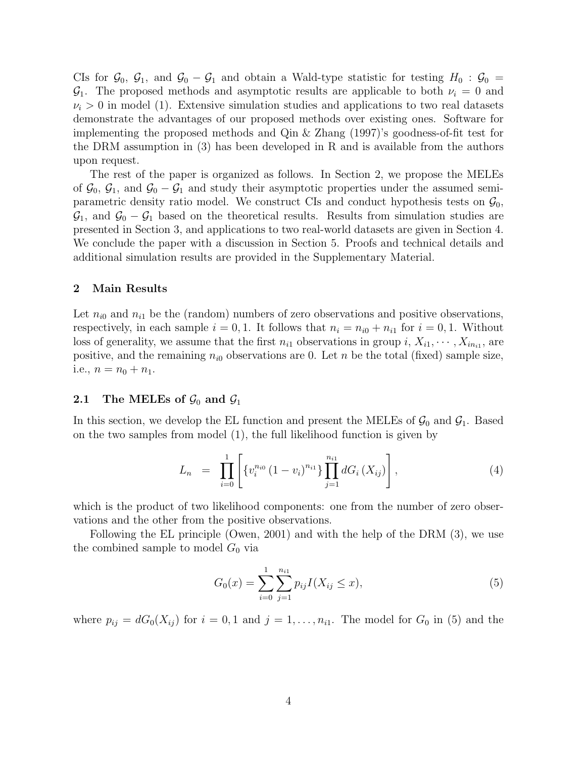CIs for  $\mathcal{G}_0$ ,  $\mathcal{G}_1$ , and  $\mathcal{G}_0 - \mathcal{G}_1$  and obtain a Wald-type statistic for testing  $H_0 : \mathcal{G}_0 =$  $\mathcal{G}_1$ . The proposed methods and asymptotic results are applicable to both  $\nu_i = 0$  and  $\nu_i > 0$  in model [\(1\)](#page-23-0). Extensive simulation studies and applications to two real datasets demonstrate the advantages of our proposed methods over existing ones. Software for implementing the proposed methods and [Qin & Zhang \(1997](#page-21-7))'s goodness-of-fit test for the DRM assumption in [\(3\)](#page-23-1) has been developed in R and is available from the authors upon request.

The rest of the paper is organized as follows. In Section [2,](#page-27-0) we propose the MELEs of  $\mathcal{G}_0$ ,  $\mathcal{G}_1$ , and  $\mathcal{G}_0 - \mathcal{G}_1$  and study their asymptotic properties under the assumed semiparametric density ratio model. We construct CIs and conduct hypothesis tests on  $\mathcal{G}_0$ ,  $\mathcal{G}_1$ , and  $\mathcal{G}_0 - \mathcal{G}_1$  based on the theoretical results. Results from simulation studies are presented in Section [3,](#page-39-0) and applications to two real-world datasets are given in Section [4.](#page-40-0) We conclude the paper with a discussion in Section [5.](#page-43-0) Proofs and technical details and additional simulation results are provided in the Supplementary Material.

#### 2 Main Results

Let  $n_{i0}$  and  $n_{i1}$  be the (random) numbers of zero observations and positive observations, respectively, in each sample  $i = 0, 1$ . It follows that  $n_i = n_{i0} + n_{i1}$  for  $i = 0, 1$ . Without loss of generality, we assume that the first  $n_{i1}$  observations in group  $i, X_{i1}, \dots, X_{in_{i1}}$ , are positive, and the remaining  $n_{i0}$  observations are 0. Let n be the total (fixed) sample size, i.e.,  $n = n_0 + n_1$ .

## 2.1 The MELEs of  $\mathcal{G}_0$  and  $\mathcal{G}_1$

In this section, we develop the EL function and present the MELEs of  $\mathcal{G}_0$  and  $\mathcal{G}_1$ . Based on the two samples from model [\(1\)](#page-23-0), the full likelihood function is given by

<span id="page-3-1"></span>
$$
L_n = \prod_{i=0}^{1} \left[ \{ v_i^{n_{i0}} \left( 1 - v_i \right)^{n_{i1}} \} \prod_{j=1}^{n_{i1}} dG_i \left( X_{ij} \right) \right], \tag{4}
$$

which is the product of two likelihood components: one from the number of zero observations and the other from the positive observations.

Following the EL principle [\(Owen](#page-21-3), [2001](#page-21-3)) and with the help of the DRM [\(3\)](#page-23-1), we use the combined sample to model  $G_0$  via

<span id="page-3-0"></span>
$$
G_0(x) = \sum_{i=0}^{1} \sum_{j=1}^{n_{i1}} p_{ij} I(X_{ij} \le x), \tag{5}
$$

where  $p_{ij} = dG_0(X_{ij})$  for  $i = 0, 1$  and  $j = 1, \ldots, n_{i1}$ . The model for  $G_0$  in [\(5\)](#page-3-0) and the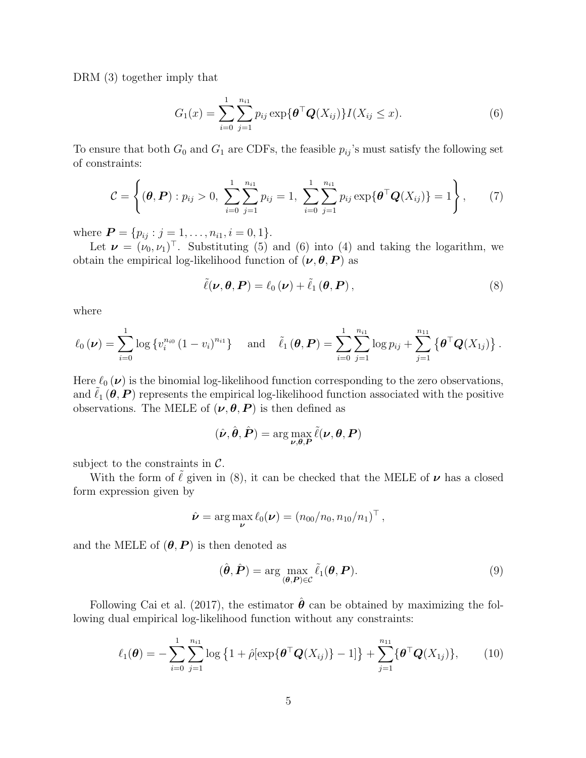DRM  $(3)$  together imply that

<span id="page-4-0"></span>
$$
G_1(x) = \sum_{i=0}^{1} \sum_{j=1}^{n_{i1}} p_{ij} \exp{\{\theta^{\top} \mathbf{Q}(X_{ij})\}} I(X_{ij} \leq x).
$$
 (6)

To ensure that both  $G_0$  and  $G_1$  are CDFs, the feasible  $p_{ij}$ 's must satisfy the following set of constraints:

$$
C = \left\{ (\boldsymbol{\theta}, \boldsymbol{P}) : p_{ij} > 0, \sum_{i=0}^{1} \sum_{j=1}^{n_{i1}} p_{ij} = 1, \sum_{i=0}^{1} \sum_{j=1}^{n_{i1}} p_{ij} \exp\{\boldsymbol{\theta}^\top \boldsymbol{Q}(X_{ij})\} = 1 \right\},
$$
 (7)

where  $\boldsymbol{P} = \{p_{ij} : j = 1, \ldots, n_{i1}, i = 0, 1\}.$ 

Let  $\boldsymbol{\nu} = (\nu_0, \nu_1)^{\top}$ . Substituting [\(5\)](#page-3-0) and [\(6\)](#page-4-0) into [\(4\)](#page-3-1) and taking the logarithm, we obtain the empirical log-likelihood function of  $(\nu, \theta, P)$  as

<span id="page-4-1"></span>
$$
\tilde{\ell}(\nu,\theta,\boldsymbol{P})=\ell_0(\nu)+\tilde{\ell}_1(\theta,\boldsymbol{P})\,,\tag{8}
$$

where

$$
\ell_0(\nu) = \sum_{i=0}^1 \log \{v_i^{n_{i0}} (1 - v_i)^{n_{i1}}\} \quad \text{and} \quad \tilde{\ell}_1(\boldsymbol{\theta}, \boldsymbol{P}) = \sum_{i=0}^1 \sum_{j=1}^{n_{i1}} \log p_{ij} + \sum_{j=1}^{n_{11}} \{ \boldsymbol{\theta}^\top \boldsymbol{Q}(X_{1j}) \}.
$$

Here  $\ell_0(\nu)$  is the binomial log-likelihood function corresponding to the zero observations, and  $\ell_1(\theta, P)$  represents the empirical log-likelihood function associated with the positive observations. The MELE of  $(\nu, \theta, P)$  is then defined as

$$
(\hat{\boldsymbol{\nu}}, \hat{\boldsymbol{\theta}}, \hat{\boldsymbol{P}}) = \arg \max_{\boldsymbol{\nu}, \boldsymbol{\theta}, \boldsymbol{P}} \tilde{\ell}(\boldsymbol{\nu}, \boldsymbol{\theta}, \boldsymbol{P})
$$

subject to the constraints in  $\mathcal{C}$ .

With the form of  $\ell$  given in [\(8\)](#page-4-1), it can be checked that the MELE of  $\nu$  has a closed form expression given by

$$
\hat{\boldsymbol{\nu}} = \arg\max_{\boldsymbol{\nu}} \ell_0(\boldsymbol{\nu}) = (n_{00}/n_0, n_{10}/n_1)^\top,
$$

and the MELE of  $(\theta, P)$  is then denoted as

$$
(\hat{\boldsymbol{\theta}}, \hat{\boldsymbol{P}}) = \arg \max_{(\boldsymbol{\theta}, \boldsymbol{P}) \in \mathcal{C}} \tilde{\ell}_1(\boldsymbol{\theta}, \boldsymbol{P}).
$$
\n(9)

Following [Cai et al. \(2017\)](#page-19-2), the estimator  $\hat{\theta}$  can be obtained by maximizing the following dual empirical log-likelihood function without any constraints:

$$
\ell_1(\boldsymbol{\theta}) = -\sum_{i=0}^1 \sum_{j=1}^{n_{i1}} \log \left\{ 1 + \hat{\rho}[\exp\{\boldsymbol{\theta}^\top \boldsymbol{Q}(X_{ij})\} - 1] \right\} + \sum_{j=1}^{n_{11}} \{\boldsymbol{\theta}^\top \boldsymbol{Q}(X_{1j})\},\qquad(10)
$$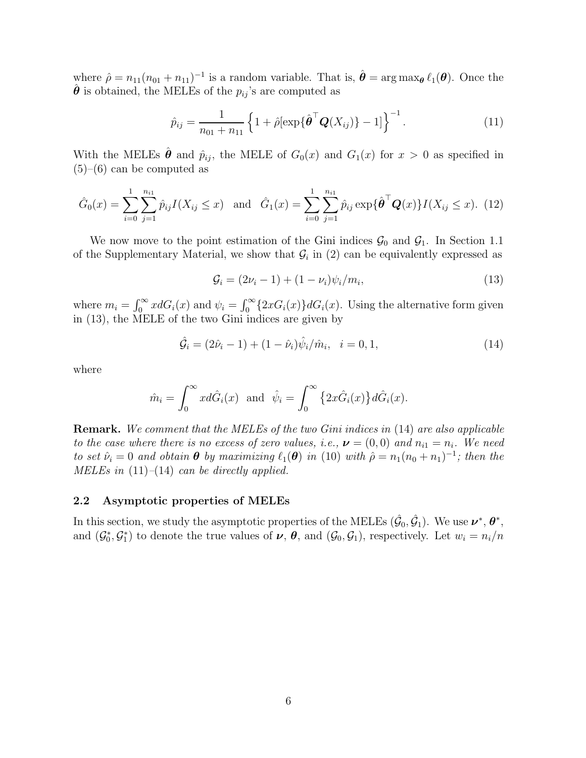where  $\hat{\rho} = n_{11}(n_{01} + n_{11})^{-1}$  is a random variable. That is,  $\hat{\theta} = \arg \max_{\theta} \ell_1(\theta)$ . Once the  $\hat{\theta}$  is obtained, the MELEs of the  $p_{ij}$ 's are computed as

$$
\hat{p}_{ij} = \frac{1}{n_{01} + n_{11}} \left\{ 1 + \hat{\rho} [\exp\{\hat{\boldsymbol{\theta}}^\top \mathbf{Q}(X_{ij})\} - 1] \right\}^{-1}.
$$
\n(11)

With the MELEs  $\hat{\theta}$  and  $\hat{p}_{ij}$ , the MELE of  $G_0(x)$  and  $G_1(x)$  for  $x > 0$  as specified in  $(5)-(6)$  $(5)-(6)$  $(5)-(6)$  can be computed as

$$
\hat{G}_0(x) = \sum_{i=0}^1 \sum_{j=1}^{n_{i1}} \hat{p}_{ij} I(X_{ij} \le x) \text{ and } \hat{G}_1(x) = \sum_{i=0}^1 \sum_{j=1}^{n_{i1}} \hat{p}_{ij} \exp{\{\hat{\theta}^\top \mathbf{Q}(x)\}} I(X_{ij} \le x). \tag{12}
$$

We now move to the point estimation of the Gini indices  $\mathcal{G}_0$  and  $\mathcal{G}_1$ . In Section 1.1 of the Supplementary Material, we show that  $\mathcal{G}_i$  in [\(2\)](#page-23-2) can be equivalently expressed as

$$
\mathcal{G}_i = (2\nu_i - 1) + (1 - \nu_i)\psi_i/m_i,
$$
\n(13)

where  $m_i = \int_0^\infty x dG_i(x)$  and  $\psi_i = \int_0^\infty \{2xG_i(x)\} dG_i(x)$ . Using the alternative form given in [\(13\)](#page-34-0), the MELE of the two Gini indices are given by

$$
\hat{\mathcal{G}}_i = (2\hat{\nu}_i - 1) + (1 - \hat{\nu}_i)\hat{\psi}_i/\hat{m}_i, \quad i = 0, 1,
$$
\n(14)

where

$$
\hat{m}_i = \int_0^\infty x d\hat{G}_i(x) \text{ and } \hat{\psi}_i = \int_0^\infty \{2x \hat{G}_i(x)\} d\hat{G}_i(x).
$$

Remark. *We comment that the MELEs of the two Gini indices in* [\(14\)](#page-37-0) *are also applicable to the case where there is no excess of zero values, i.e.,*  $\boldsymbol{\nu} = (0,0)$  *and*  $n_{i1} = n_i$ *. We need to set*  $\hat{\nu}_i = 0$  *and obtain*  $\theta$  *by maximizing*  $\ell_1(\theta)$  *in* [\(10\)](#page-29-0) *with*  $\hat{\rho} = n_1(n_0 + n_1)^{-1}$ ; *then the MELEs in* [\(11\)](#page-33-0)*–*[\(14\)](#page-37-0) *can be directly applied.*

#### 2.2 Asymptotic properties of MELEs

In this section, we study the asymptotic properties of the MELEs  $(\hat{G}_0, \hat{G}_1)$ . We use  $\nu^*, \theta^*,$ and  $(G_0^*, G_1^*)$  to denote the true values of  $\nu$ ,  $\theta$ , and  $(G_0, G_1)$ , respectively. Let  $w_i = n_i/n$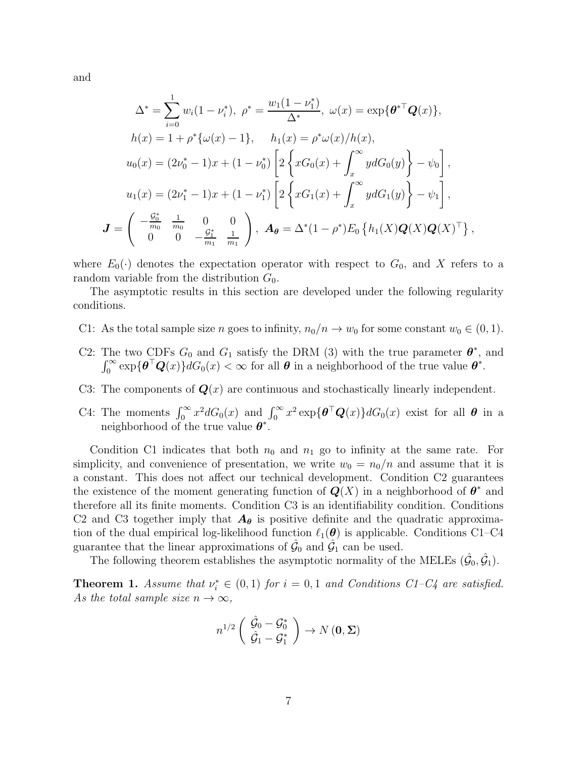and

$$
\Delta^* = \sum_{i=0}^1 w_i (1 - \nu_i^*), \ \rho^* = \frac{w_1 (1 - \nu_1^*)}{\Delta^*}, \ \omega(x) = \exp\{\theta^{*T} \mathbf{Q}(x)\},
$$
  
\n
$$
h(x) = 1 + \rho^* \{\omega(x) - 1\}, \quad h_1(x) = \rho^* \omega(x) / h(x),
$$
  
\n
$$
u_0(x) = (2\nu_0^* - 1)x + (1 - \nu_0^*) \left[2 \left\{ xG_0(x) + \int_x^\infty y dG_0(y) \right\} - \psi_0 \right],
$$
  
\n
$$
u_1(x) = (2\nu_1^* - 1)x + (1 - \nu_1^*) \left[2 \left\{ xG_1(x) + \int_x^\infty y dG_1(y) \right\} - \psi_1 \right],
$$
  
\n
$$
\mathbf{J} = \begin{pmatrix} -\frac{\mathcal{G}_0^*}{m_0} & \frac{1}{m_0} & 0 & 0 \\ 0 & 0 & -\frac{\mathcal{G}_1^*}{m_1} & \frac{1}{m_1} \end{pmatrix}, \ \mathbf{A}_{\theta} = \Delta^*(1 - \rho^*) E_0 \left\{ h_1(X) \mathbf{Q}(X) \mathbf{Q}(X)^\top \right\},
$$

where  $E_0(\cdot)$  denotes the expectation operator with respect to  $G_0$ , and X refers to a random variable from the distribution  $G_0$ .

The asymptotic results in this section are developed under the following regularity conditions.

- C1: As the total sample size n goes to infinity,  $n_0/n \to w_0$  for some constant  $w_0 \in (0, 1)$ .
- C2: The two CDFs  $G_0$  and  $G_1$  satisfy the DRM [\(3\)](#page-23-1) with the true parameter  $\boldsymbol{\theta}^*$ , and  $\int_0^\infty \exp\{\boldsymbol{\theta}^\top \boldsymbol{Q}(x)\} dG_0(x) < \infty$  for all  $\boldsymbol{\theta}$  in a neighborhood of the true value  $\boldsymbol{\theta}^*$ .
- C3: The components of  $\mathbf{Q}(x)$  are continuous and stochastically linearly independent.
- C4: The moments  $\int_0^\infty x^2 dG_0(x)$  and  $\int_0^\infty x^2 \exp{\{\theta^\top Q(x)\}} dG_0(x)$  exist for all  $\theta$  in a neighborhood of the true value  $\boldsymbol{\theta}^*$ .

Condition C1 indicates that both  $n_0$  and  $n_1$  go to infinity at the same rate. For simplicity, and convenience of presentation, we write  $w_0 = n_0/n$  and assume that it is a constant. This does not affect our technical development. Condition C2 guarantees the existence of the moment generating function of  $\mathbf{Q}(X)$  in a neighborhood of  $\mathbf{\theta}^*$  and therefore all its finite moments. Condition C3 is an identifiability condition. Conditions C2 and C3 together imply that  $A_{\theta}$  is positive definite and the quadratic approximation of the dual empirical log-likelihood function  $\ell_1(\boldsymbol{\theta})$  is applicable. Conditions C1–C4 guarantee that the linear approximations of  $\hat{G}_0$  and  $\hat{G}_1$  can be used.

The following theorem establishes the asymptotic normality of the MELEs  $(\hat{\mathcal{G}}_0, \hat{\mathcal{G}}_1)$ .

**Theorem 1.** Assume that  $\nu_i^* \in (0,1)$  for  $i = 0,1$  and Conditions C1–C4 are satisfied. *As the total sample size*  $n \to \infty$ *,* 

$$
n^{1/2} \left( \begin{array}{c} \hat{\mathcal{G}}_0 - \mathcal{G}_0^* \\ \hat{\mathcal{G}}_1 - \mathcal{G}_1^* \end{array} \right) \to N\left( \mathbf{0}, \boldsymbol{\Sigma} \right)
$$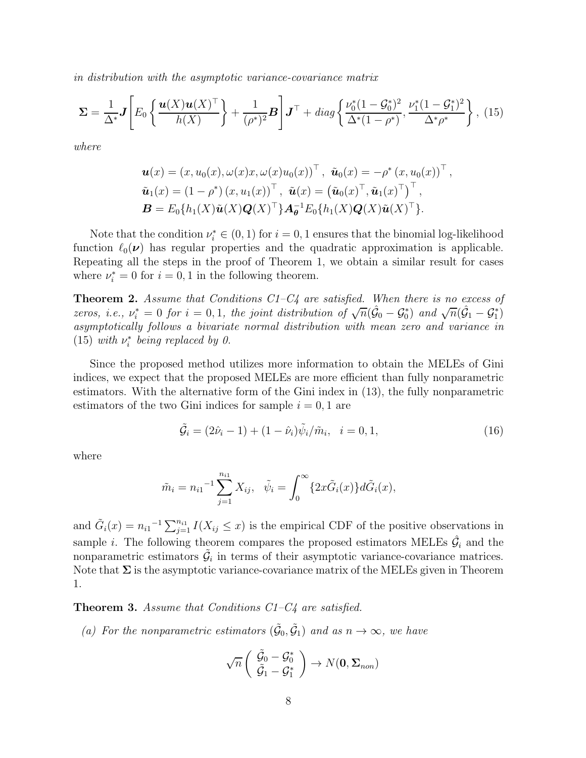*in distribution with the asymptotic variance-covariance matrix*

$$
\Sigma = \frac{1}{\Delta^*} J \left[ E_0 \left\{ \frac{\boldsymbol{u}(X)\boldsymbol{u}(X)^{\top}}{h(X)} \right\} + \frac{1}{(\rho^*)^2} \boldsymbol{B} \right] \boldsymbol{J}^{\top} + diag \left\{ \frac{\nu_0^*(1-\mathcal{G}_0^*)^2}{\Delta^*(1-\rho^*)}, \frac{\nu_1^*(1-\mathcal{G}_1^*)^2}{\Delta^*\rho^*} \right\}, (15)
$$

*where*

$$
\mathbf{u}(x) = (x, u_0(x), \omega(x)x, \omega(x)u_0(x))^\top, \ \tilde{\mathbf{u}}_0(x) = -\rho^* (x, u_0(x))^\top,
$$
  

$$
\tilde{\mathbf{u}}_1(x) = (1 - \rho^*) (x, u_1(x))^\top, \ \tilde{\mathbf{u}}(x) = (\tilde{\mathbf{u}}_0(x)^\top, \tilde{\mathbf{u}}_1(x)^\top)^\top,
$$
  

$$
\mathbf{B} = E_0 \{ h_1(X) \tilde{\mathbf{u}}(X) \mathbf{Q}(X)^\top \} \mathbf{A}_{\theta}^{-1} E_0 \{ h_1(X) \mathbf{Q}(X) \tilde{\mathbf{u}}(X)^\top \}.
$$

Note that the condition  $\nu_i^* \in (0,1)$  for  $i = 0,1$  ensures that the binomial log-likelihood function  $\ell_0(\nu)$  has regular properties and the quadratic approximation is applicable. Repeating all the steps in the proof of Theorem [1,](#page-25-0) we obtain a similar result for cases where  $\nu_i^* = 0$  for  $i = 0, 1$  in the following theorem.

Theorem 2. *Assume that Conditions C1–C4 are satisfied. When there is no excess of zeros, i.e.,*  $\nu_i^* = 0$  *for*  $i = 0, 1$ *, the joint distribution of*  $\sqrt{n}(\hat{G}_0 - \hat{G}_0^*)$  *and*  $\sqrt{n}(\hat{G}_1 - \hat{G}_1^*)$ *asymptotically follows a bivariate normal distribution with mean zero and variance in* [\(15\)](#page-37-1) *with*  $\nu_i^*$  *being replaced by 0.* 

Since the proposed method utilizes more information to obtain the MELEs of Gini indices, we expect that the proposed MELEs are more efficient than fully nonparametric estimators. With the alternative form of the Gini index in [\(13\)](#page-34-0), the fully nonparametric estimators of the two Gini indices for sample  $i = 0, 1$  are

$$
\tilde{\mathcal{G}}_i = (2\hat{\nu}_i - 1) + (1 - \hat{\nu}_i)\tilde{\psi}_i / \tilde{m}_i, \quad i = 0, 1,
$$
\n(16)

where

$$
\tilde{m}_i = n_{i1}^{-1} \sum_{j=1}^{n_{i1}} X_{ij}, \quad \tilde{\psi}_i = \int_0^\infty \{2x \tilde{G}_i(x)\} d\tilde{G}_i(x),
$$

and  $\tilde{G}_i(x) = n_{i1}^{-1} \sum_{j=1}^{n_{i1}} I(X_{ij} \leq x)$  is the empirical CDF of the positive observations in sample *i*. The following theorem compares the proposed estimators MELEs  $\hat{G}_i$  and the nonparametric estimators  $\tilde{G}_i$  in terms of their asymptotic variance-covariance matrices. Note that  $\Sigma$  is the asymptotic variance-covariance matrix of the MELEs given in Theorem [1.](#page-25-0)

Theorem 3. *Assume that Conditions C1–C4 are satisfied.*

*(a) For the nonparametric estimators*  $(\tilde{G}_0, \tilde{G}_1)$  *and as*  $n \to \infty$ *, we have* 

$$
\sqrt{n}\left(\begin{array}{c}\tilde{\mathcal{G}}_0-\mathcal{G}_0^*\\ \tilde{\mathcal{G}}_1-\mathcal{G}_1^*\end{array}\right)\to N(\mathbf{0},\mathbf{\Sigma}_{non})
$$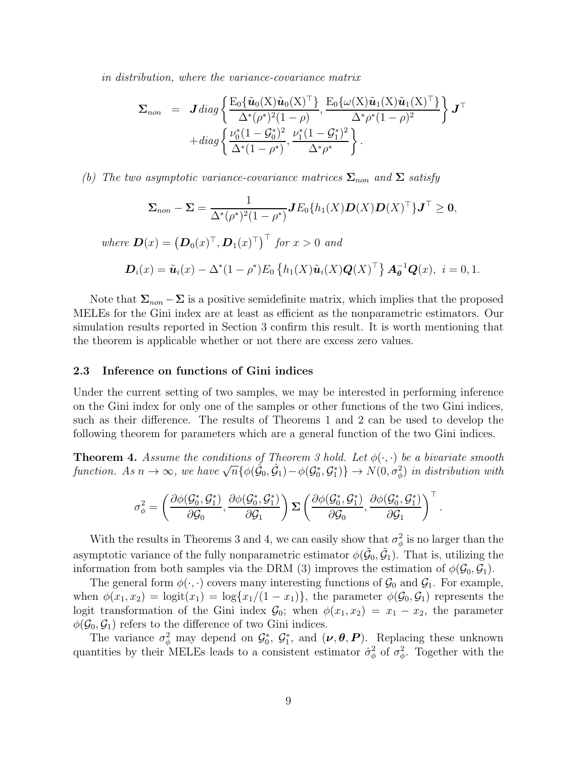*in distribution, where the variance-covariance matrix*

$$
\Sigma_{non} = \boldsymbol{J} diag\left\{\frac{\mathrm{E}_0\{\tilde{\boldsymbol{u}}_0(\mathrm{X})\tilde{\boldsymbol{u}}_0(\mathrm{X})^{\top}\}}{\Delta^*(\rho^*)^2(1-\rho)}, \frac{\mathrm{E}_0\{\omega(\mathrm{X})\tilde{\boldsymbol{u}}_1(\mathrm{X})\tilde{\boldsymbol{u}}_1(\mathrm{X})^{\top}\}}{\Delta^*\rho^*(1-\rho)^2}\right\} \boldsymbol{J}^{\top}
$$

$$
+ diag\left\{\frac{\nu_0^*(1-\mathcal{G}_0^*)^2}{\Delta^*(1-\rho^*)}, \frac{\nu_1^*(1-\mathcal{G}_1^*)^2}{\Delta^*\rho^*}\right\}.
$$

*(b)* The two asymptotic variance-covariance matrices  $\Sigma_{non}$  and  $\Sigma$  satisfy

$$
\Sigma_{non} - \Sigma = \frac{1}{\Delta^*(\rho^*)^2 (1 - \rho^*)} J E_0 \{ h_1(X) D(X) D(X)^\top \} J^\top \ge 0,
$$

*where*  $\boldsymbol{D}(x) = (\boldsymbol{D}_0(x)^\top, \boldsymbol{D}_1(x)^\top)^\top$  for  $x > 0$  and

$$
\boldsymbol{D}_i(x) = \tilde{\boldsymbol{u}}_i(x) - \Delta^*(1-\rho^*) E_0 \left\{ h_1(X)\tilde{\boldsymbol{u}}_i(X)\boldsymbol{Q}(X)^\top \right\} \boldsymbol{A}_{\boldsymbol{\theta}}^{-1} \boldsymbol{Q}(x), \ i = 0, 1.
$$

Note that  $\Sigma_{non} - \Sigma$  is a positive semidefinite matrix, which implies that the proposed MELEs for the Gini index are at least as efficient as the nonparametric estimators. Our simulation results reported in Section [3](#page-39-0) confirm this result. It is worth mentioning that the theorem is applicable whether or not there are excess zero values.

#### 2.3 Inference on functions of Gini indices

Under the current setting of two samples, we may be interested in performing inference on the Gini index for only one of the samples or other functions of the two Gini indices, such as their difference. The results of Theorems [1](#page-25-0) and [2](#page-26-0) can be used to develop the following theorem for parameters which are a general function of the two Gini indices.

<span id="page-8-0"></span>**Theorem 4.** Assume the conditions of Theorem [3](#page-26-1) hold. Let  $\phi(\cdot, \cdot)$  be a bivariate smooth  $function.$  *As*  $n \to \infty$ , we have  $\sqrt{n} \{ \phi(\hat{\mathcal{G}}_0, \hat{\mathcal{G}}_1) - \phi(\mathcal{G}_0^*, \mathcal{G}_1^*) \} \to N(0, \sigma_\phi^2)$  in distribution with

$$
\sigma^2_{\phi} = \left(\frac{\partial \phi(\mathcal{G}_0^*, \mathcal{G}_1^*)}{\partial \mathcal{G}_0}, \frac{\partial \phi(\mathcal{G}_0^*, \mathcal{G}_1^*)}{\partial \mathcal{G}_1}\right) \Sigma \left(\frac{\partial \phi(\mathcal{G}_0^*, \mathcal{G}_1^*)}{\partial \mathcal{G}_0}, \frac{\partial \phi(\mathcal{G}_0^*, \mathcal{G}_1^*)}{\partial \mathcal{G}_1}\right)^\top.
$$

With the results in Theorems [3](#page-26-1) and [4,](#page-8-0) we can easily show that  $\sigma_{\phi}^2$  is no larger than the asymptotic variance of the fully nonparametric estimator  $\phi(\tilde{G}_0, \tilde{G}_1)$ . That is, utilizing the information from both samples via the DRM [\(3\)](#page-23-1) improves the estimation of  $\phi(\mathcal{G}_0, \mathcal{G}_1)$ .

The general form  $\phi(\cdot, \cdot)$  covers many interesting functions of  $\mathcal{G}_0$  and  $\mathcal{G}_1$ . For example, when  $\phi(x_1, x_2) = \log(t(x_1)) = \log\{x_1/(1-x_1)\}\$ , the parameter  $\phi(\mathcal{G}_0, \mathcal{G}_1)$  represents the logit transformation of the Gini index  $\mathcal{G}_0$ ; when  $\phi(x_1, x_2) = x_1 - x_2$ , the parameter  $\phi(\mathcal{G}_0, \mathcal{G}_1)$  refers to the difference of two Gini indices.

The variance  $\sigma_{\phi}^2$  may depend on  $\mathcal{G}_0^*$ ,  $\mathcal{G}_1^*$ , and  $(\nu, \theta, P)$ . Replacing these unknown quantities by their MELEs leads to a consistent estimator  $\hat{\sigma}_{\phi}^2$  of  $\sigma_{\phi}^2$ . Together with the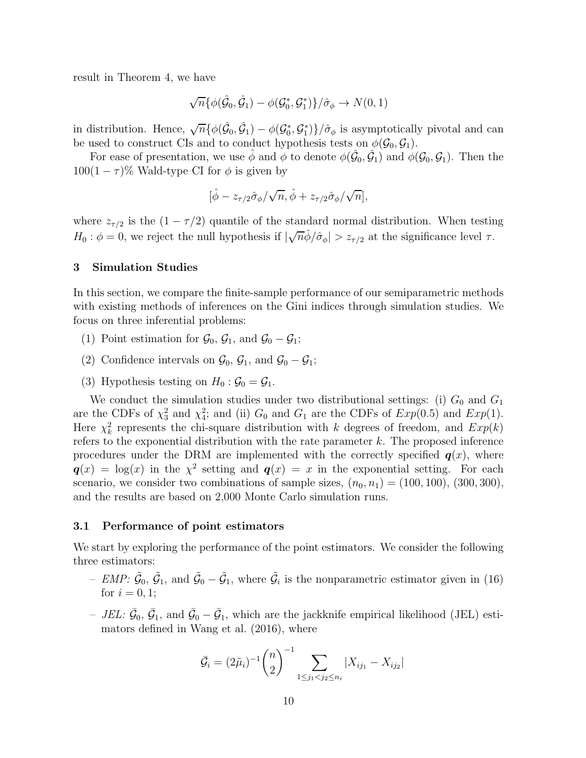result in Theorem [4,](#page-8-0) we have

$$
\sqrt{n}\{\phi(\hat{\mathcal{G}}_0,\hat{\mathcal{G}}_1) - \phi(\mathcal{G}_0^*,\mathcal{G}_1^*)\}/\hat{\sigma}_{\phi} \to N(0,1)
$$

in distribution. Hence,  $\sqrt{n} \{ \phi(\hat{G}_0, \hat{G}_1) - \phi(\mathcal{G}_0^*, \mathcal{G}_1^*) \} / \hat{\sigma}_{\phi}$  is asymptotically pivotal and can be used to construct CIs and to conduct hypothesis tests on  $\phi(\mathcal{G}_0, \mathcal{G}_1)$ .

For ease of presentation, we use  $\hat{\phi}$  and  $\phi$  to denote  $\phi(\hat{\mathcal{G}}_0, \hat{\mathcal{G}}_1)$  and  $\phi(\mathcal{G}_0, \mathcal{G}_1)$ . Then the  $100(1 - \tau)\%$  Wald-type CI for  $\phi$  is given by

$$
[\hat{\phi} - z_{\tau/2}\hat{\sigma}_{\phi}/\sqrt{n}, \hat{\phi} + z_{\tau/2}\hat{\sigma}_{\phi}/\sqrt{n}],
$$

where  $z_{\tau/2}$  is the  $(1 - \tau/2)$  quantile of the standard normal distribution. When testing  $H_0: \phi = 0$ , we reject the null hypothesis if  $\sqrt{n}\hat{\phi}/\hat{\sigma}_{\phi}$   $> z_{\tau/2}$  at the significance level  $\tau$ .

#### 3 Simulation Studies

In this section, we compare the finite-sample performance of our semiparametric methods with existing methods of inferences on the Gini indices through simulation studies. We focus on three inferential problems:

- (1) Point estimation for  $\mathcal{G}_0$ ,  $\mathcal{G}_1$ , and  $\mathcal{G}_0 \mathcal{G}_1$ ;
- (2) Confidence intervals on  $\mathcal{G}_0$ ,  $\mathcal{G}_1$ , and  $\mathcal{G}_0 \mathcal{G}_1$ ;
- (3) Hypothesis testing on  $H_0$ :  $\mathcal{G}_0 = \mathcal{G}_1$ .

We conduct the simulation studies under two distributional settings: (i)  $G_0$  and  $G_1$ are the CDFs of  $\chi^2_3$  and  $\chi^2_4$ ; and (ii)  $G_0$  and  $G_1$  are the CDFs of  $Exp(0.5)$  and  $Exp(1)$ . Here  $\chi^2_k$  represents the chi-square distribution with k degrees of freedom, and  $Exp(k)$ refers to the exponential distribution with the rate parameter  $k$ . The proposed inference procedures under the DRM are implemented with the correctly specified  $q(x)$ , where  $q(x) = \log(x)$  in the  $\chi^2$  setting and  $q(x) = x$  in the exponential setting. For each scenario, we consider two combinations of sample sizes,  $(n_0, n_1) = (100, 100)$ ,  $(300, 300)$ , and the results are based on 2,000 Monte Carlo simulation runs.

#### <span id="page-9-0"></span>3.1 Performance of point estimators

We start by exploring the performance of the point estimators. We consider the following three estimators:

- *EMP*:  $\tilde{G}_0$ ,  $\tilde{G}_1$ , and  $\tilde{G}_0 \tilde{G}_1$ , where  $\tilde{G}_i$  is the nonparametric estimator given in [\(16\)](#page-37-2) for  $i = 0, 1;$
- *JEL*:  $\bar{G}_0$ ,  $\bar{G}_1$ , and  $\bar{G}_0 \bar{G}_1$ , which are the jackknife empirical likelihood (JEL) estimators defined in [Wang et al. \(2016\)](#page-22-0), where

$$
\bar{\mathcal{G}}_i = (2\tilde{\mu}_i)^{-1} {n \choose 2}^{-1} \sum_{1 \le j_1 < j_2 \le n_i} |X_{ij_1} - X_{ij_2}|
$$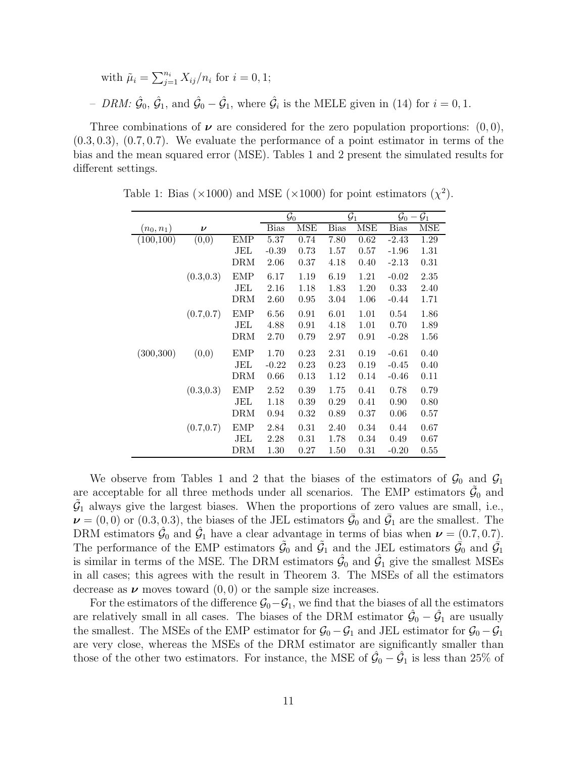with 
$$
\tilde{\mu}_i = \sum_{j=1}^{n_i} X_{ij}/n_i
$$
 for  $i = 0, 1$ ;  
- *DRM*:  $\hat{\mathcal{G}}_0$ ,  $\hat{\mathcal{G}}_1$ , and  $\hat{\mathcal{G}}_0 - \hat{\mathcal{G}}_1$ , where  $\hat{\mathcal{G}}_i$  is the MELE given in (14) for  $i = 0, 1$ .

<span id="page-10-0"></span>Three combinations of  $\nu$  are considered for the zero population proportions:  $(0, 0)$ ,  $(0.3, 0.3), (0.7, 0.7).$  We evaluate the performance of a point estimator in terms of the bias and the mean squared error (MSE). Tables [1](#page-10-0) and [2](#page-11-0) present the simulated results for different settings.

|              |                    |            |         | $\mathcal{G}_0$ |             | $\mathcal{G}_1$ | $\mathcal{G}_0$ — | $\mathcal{G}_1$ |
|--------------|--------------------|------------|---------|-----------------|-------------|-----------------|-------------------|-----------------|
| $(n_0, n_1)$ | $\boldsymbol{\nu}$ |            | Bias    | <b>MSE</b>      | <b>Bias</b> | <b>MSE</b>      | <b>Bias</b>       | <b>MSE</b>      |
| (100, 100)   | (0,0)              | <b>EMP</b> | 5.37    | 0.74            | 7.80        | 0.62            | $-2.43$           | 1.29            |
|              |                    | JEL        | $-0.39$ | 0.73            | 1.57        | 0.57            | $-1.96$           | 1.31            |
|              |                    | DRM        | 2.06    | 0.37            | 4.18        | 0.40            | $-2.13$           | 0.31            |
|              | (0.3, 0.3)         | EMP        | 6.17    | 1.19            | 6.19        | 1.21            | $-0.02$           | 2.35            |
|              |                    | JEL        | 2.16    | 1.18            | 1.83        | 1.20            | 0.33              | 2.40            |
|              |                    | DRM        | 2.60    | 0.95            | 3.04        | 1.06            | $-0.44$           | 1.71            |
|              | (0.7, 0.7)         | <b>EMP</b> | 6.56    | 0.91            | 6.01        | 1.01            | 0.54              | 1.86            |
|              |                    | JEL        | 4.88    | 0.91            | 4.18        | 1.01            | 0.70              | 1.89            |
|              |                    | DRM        | 2.70    | 0.79            | 2.97        | 0.91            | $-0.28$           | 1.56            |
| (300, 300)   | (0,0)              | <b>EMP</b> | 1.70    | 0.23            | 2.31        | 0.19            | $-0.61$           | 0.40            |
|              |                    | JEL        | $-0.22$ | 0.23            | 0.23        | 0.19            | $-0.45$           | 0.40            |
|              |                    | DRM        | 0.66    | 0.13            | 1.12        | 0.14            | $-0.46$           | 0.11            |
|              | (0.3, 0.3)         | <b>EMP</b> | 2.52    | 0.39            | 1.75        | 0.41            | 0.78              | 0.79            |
|              |                    | JEL        | 1.18    | 0.39            | 0.29        | 0.41            | 0.90              | 0.80            |
|              |                    | DRM        | 0.94    | 0.32            | 0.89        | 0.37            | 0.06              | 0.57            |
|              | (0.7, 0.7)         | <b>EMP</b> | 2.84    | 0.31            | 2.40        | 0.34            | 0.44              | 0.67            |
|              |                    | JEL        | 2.28    | 0.31            | 1.78        | 0.34            | 0.49              | 0.67            |
|              |                    | DRM        | 1.30    | 0.27            | 1.50        | 0.31            | $-0.20$           | 0.55            |

Table 1: Bias ( $\times$ 1000) and MSE ( $\times$ 1000) for point estimators ( $\chi^2$ ).

We observe from Tables [1](#page-10-0) and [2](#page-11-0) that the biases of the estimators of  $\mathcal{G}_0$  and  $\mathcal{G}_1$ are acceptable for all three methods under all scenarios. The EMP estimators  $\tilde{G}_0$  and  $\tilde{G}_1$  always give the largest biases. When the proportions of zero values are small, i.e.,  $\nu = (0,0)$  or  $(0.3, 0.3)$ , the biases of the JEL estimators  $\bar{\mathcal{G}}_0$  and  $\bar{\mathcal{G}}_1$  are the smallest. The DRM estimators  $\hat{\mathcal{G}}_0$  and  $\hat{\mathcal{G}}_1$  have a clear advantage in terms of bias when  $\mathcal{V} = \left(0.7, 0.7\right)$ . The performance of the EMP estimators  $\tilde{G}_0$  and  $\tilde{G}_1$  and the JEL estimators  $\tilde{G}_0$  and  $\tilde{G}_1$ is similar in terms of the MSE. The DRM estimators  $\hat{\mathcal{G}}_0$  and  $\hat{\mathcal{G}}_1$  give the smallest MSEs in all cases; this agrees with the result in Theorem [3.](#page-26-1) The MSEs of all the estimators decrease as  $\nu$  moves toward  $(0, 0)$  or the sample size increases.

For the estimators of the difference  $\mathcal{G}_0-\mathcal{G}_1$ , we find that the biases of all the estimators are relatively small in all cases. The biases of the DRM estimator  $\hat{G}_0 - \hat{G}_1$  are usually the smallest. The MSEs of the EMP estimator for  $\mathcal{G}_0 - \mathcal{G}_1$  and JEL estimator for  $\mathcal{G}_0 - \mathcal{G}_1$ are very close, whereas the MSEs of the DRM estimator are significantly smaller than those of the other two estimators. For instance, the MSE of  $\hat{G}_0 - \hat{G}_1$  is less than 25% of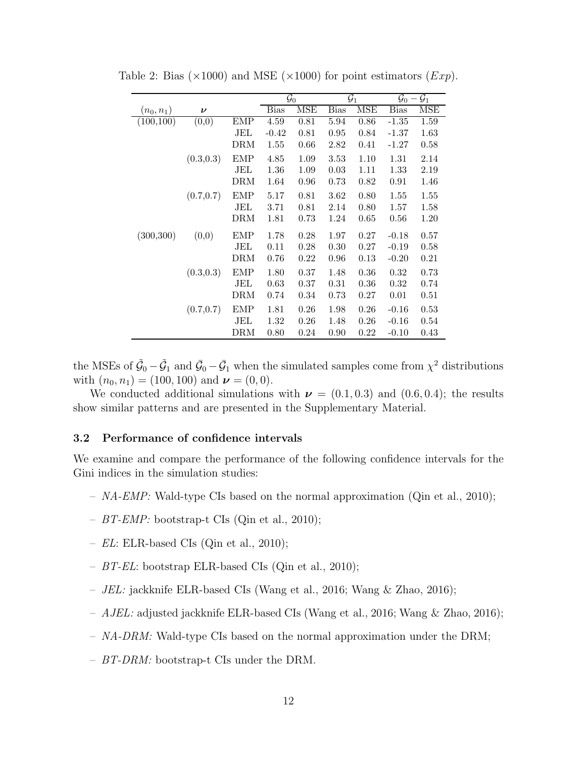|             |                    |            |             | $\mathcal{G}_0$ |             | $\mathcal{G}_1$ | $\mathcal{G}_0$ $-$ | $\mathcal{G}_1$ |
|-------------|--------------------|------------|-------------|-----------------|-------------|-----------------|---------------------|-----------------|
| $(n_0,n_1)$ | $\boldsymbol{\nu}$ |            | <b>Bias</b> | MSE             | <b>Bias</b> | <b>MSE</b>      | <b>Bias</b>         | MSE             |
| (100, 100)  | (0,0)              | <b>EMP</b> | 4.59        | 0.81            | 5.94        | 0.86            | $-1.35$             | 1.59            |
|             |                    | JEL        | $-0.42$     | 0.81            | 0.95        | 0.84            | $-1.37$             | 1.63            |
|             |                    | <b>DRM</b> | 1.55        | 0.66            | 2.82        | 0.41            | $-1.27$             | 0.58            |
|             | (0.3, 0.3)         | <b>EMP</b> | 4.85        | 1.09            | 3.53        | 1.10            | 1.31                | 2.14            |
|             |                    | JEL        | 1.36        | 1.09            | 0.03        | 1.11            | 1.33                | 2.19            |
|             |                    | <b>DRM</b> | 1.64        | 0.96            | 0.73        | 0.82            | 0.91                | 1.46            |
|             | (0.7, 0.7)         | <b>EMP</b> | 5.17        | 0.81            | 3.62        | 0.80            | 1.55                | 1.55            |
|             |                    | JEL        | 3.71        | 0.81            | 2.14        | 0.80            | 1.57                | 1.58            |
|             |                    | DRM        | 1.81        | 0.73            | 1.24        | 0.65            | 0.56                | 1.20            |
| (300, 300)  | (0,0)              | <b>EMP</b> | 1.78        | 0.28            | 1.97        | 0.27            | $-0.18$             | 0.57            |
|             |                    | JEL        | 0.11        | 0.28            | 0.30        | 0.27            | $-0.19$             | 0.58            |
|             |                    | <b>DRM</b> | 0.76        | 0.22            | 0.96        | 0.13            | $-0.20$             | 0.21            |
|             | (0.3, 0.3)         | <b>EMP</b> | 1.80        | 0.37            | 1.48        | 0.36            | 0.32                | 0.73            |
|             |                    | JEL        | 0.63        | 0.37            | 0.31        | 0.36            | 0.32                | 0.74            |
|             |                    | <b>DRM</b> | 0.74        | 0.34            | 0.73        | 0.27            | 0.01                | 0.51            |
|             | (0.7, 0.7)         | <b>EMP</b> | 1.81        | 0.26            | 1.98        | 0.26            | $-0.16$             | 0.53            |
|             |                    | JEL        | 1.32        | 0.26            | 1.48        | 0.26            | $-0.16$             | 0.54            |
|             |                    | DRM        | 0.80        | 0.24            | 0.90        | 0.22            | $-0.10$             | 0.43            |

<span id="page-11-0"></span>Table 2: Bias ( $\times$ 1000) and MSE ( $\times$ 1000) for point estimators (*Exp*).

the MSEs of  $\tilde{G}_0 - \tilde{G}_1$  and  $\bar{G}_0 - \bar{G}_1$  when the simulated samples come from  $\chi^2$  distributions with  $(n_0, n_1) = (100, 100)$  and  $\nu = (0, 0)$ .

We conducted additional simulations with  $\nu = (0.1, 0.3)$  and  $(0.6, 0.4)$ ; the results show similar patterns and are presented in the Supplementary Material.

## <span id="page-11-1"></span>3.2 Performance of confidence intervals

We examine and compare the performance of the following confidence intervals for the Gini indices in the simulation studies:

- *NA-EMP:* Wald-type CIs based on the normal approximation [\(Qin et al., 2010\)](#page-48-1);
- *BT-EMP:* bootstrap-t CIs [\(Qin et al.](#page-48-1), [2010\)](#page-48-1);
- *EL*: ELR-based CIs [\(Qin et al.](#page-48-1), [2010\)](#page-48-1);
- *BT-EL*: bootstrap ELR-based CIs [\(Qin et al.](#page-48-1), [2010\)](#page-48-1);
- *JEL:* jackknife ELR-based CIs [\(Wang et al., 2016](#page-22-0); [Wang & Zhao, 2016\)](#page-21-2);
- *AJEL:* adjusted jackknife ELR-based CIs [\(Wang et al.](#page-22-0), [2016](#page-22-0); [Wang & Zhao, 2016\)](#page-21-2);
- *NA-DRM:* Wald-type CIs based on the normal approximation under the DRM;
- *BT-DRM:* bootstrap-t CIs under the DRM.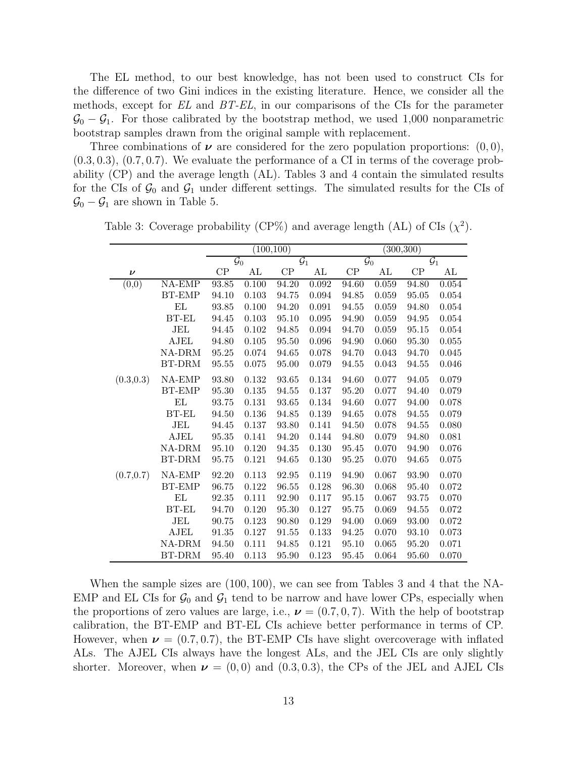The EL method, to our best knowledge, has not been used to construct CIs for the difference of two Gini indices in the existing literature. Hence, we consider all the methods, except for *EL* and *BT-EL*, in our comparisons of the CIs for the parameter  $\mathcal{G}_0 - \mathcal{G}_1$ . For those calibrated by the bootstrap method, we used 1,000 nonparametric bootstrap samples drawn from the original sample with replacement.

Three combinations of  $\nu$  are considered for the zero population proportions:  $(0, 0)$ ,  $(0.3, 0.3), (0.7, 0.7).$  We evaluate the performance of a CI in terms of the coverage probability (CP) and the average length (AL). Tables [3](#page-12-0) and [4](#page-13-0) contain the simulated results for the CIs of  $\mathcal{G}_0$  and  $\mathcal{G}_1$  under different settings. The simulated results for the CIs of  $\mathcal{G}_0 - \mathcal{G}_1$  are shown in Table [5.](#page-14-0)

|                    |               |             |                 | (100, 100)                 |             |             |                            | (300, 300)    |                            |
|--------------------|---------------|-------------|-----------------|----------------------------|-------------|-------------|----------------------------|---------------|----------------------------|
|                    |               |             | $\mathcal{G}_0$ | $\overline{\mathcal{G}_1}$ |             |             | $\overline{\mathcal{G}_0}$ |               | $\overline{\mathcal{G}_1}$ |
| $\boldsymbol{\nu}$ |               | ${\cal CP}$ | AL              | CP                         | AL          | ${\cal CP}$ | AL                         | $\mathrm{CP}$ | AL                         |
| (0,0)              | NA-EMP        | 93.85       | 0.100           | 94.20                      | $\,0.092\,$ | 94.60       | 0.059                      | 94.80         | $0.054\,$                  |
|                    | <b>BT-EMP</b> | 94.10       | $0.103\,$       | 94.75                      | $\,0.094\,$ | 94.85       | 0.059                      | 95.05         | $\,0.054\,$                |
|                    | EL            | 93.85       | 0.100           | 94.20                      | 0.091       | 94.55       | 0.059                      | 94.80         | 0.054                      |
|                    | <b>BT-EL</b>  | 94.45       | $0.103\,$       | 95.10                      | 0.095       | 94.90       | $\,0.059\,$                | 94.95         | $0.054\,$                  |
|                    | JEL           | 94.45       | $0.102\,$       | 94.85                      | $\,0.094\,$ | 94.70       | 0.059                      | 95.15         | $0.054\,$                  |
|                    | AJEL          | 94.80       | 0.105           | 95.50                      | 0.096       | 94.90       | 0.060                      | 95.30         | 0.055                      |
|                    | NA-DRM        | 95.25       | 0.074           | 94.65                      | 0.078       | 94.70       | 0.043                      | 94.70         | 0.045                      |
|                    | BT-DRM        | 95.55       | 0.075           | 95.00                      | 0.079       | 94.55       | 0.043                      | 94.55         | 0.046                      |
| (0.3, 0.3)         | NA-EMP        | 93.80       | 0.132           | 93.65                      | 0.134       | 94.60       | 0.077                      | 94.05         | 0.079                      |
|                    | BT-EMP        | 95.30       | 0.135           | 94.55                      | 0.137       | 95.20       | 0.077                      | 94.40         | 0.079                      |
|                    | EL            | 93.75       | 0.131           | 93.65                      | 0.134       | 94.60       | 0.077                      | 94.00         | 0.078                      |
|                    | <b>BT-EL</b>  | 94.50       | $0.136\,$       | 94.85                      | $0.139\,$   | 94.65       | 0.078                      | 94.55         | 0.079                      |
|                    | JEL           | 94.45       | 0.137           | 93.80                      | 0.141       | 94.50       | 0.078                      | 94.55         | 0.080                      |
|                    | AJEL          | 95.35       | 0.141           | 94.20                      | 0.144       | 94.80       | 0.079                      | 94.80         | 0.081                      |
|                    | NA-DRM        | 95.10       | 0.120           | 94.35                      | $0.130\,$   | 95.45       | 0.070                      | 94.90         | 0.076                      |
|                    | BT-DRM        | 95.75       | 0.121           | 94.65                      | 0.130       | 95.25       | 0.070                      | 94.65         | 0.075                      |
| (0.7, 0.7)         | NA-EMP        | 92.20       | 0.113           | 92.95                      | 0.119       | 94.90       | 0.067                      | 93.90         | 0.070                      |
|                    | <b>BT-EMP</b> | 96.75       | 0.122           | 96.55                      | 0.128       | 96.30       | 0.068                      | 95.40         | 0.072                      |
|                    | EL            | 92.35       | 0.111           | 92.90                      | 0.117       | 95.15       | 0.067                      | 93.75         | 0.070                      |
|                    | <b>BT-EL</b>  | 94.70       | 0.120           | 95.30                      | 0.127       | 95.75       | 0.069                      | 94.55         | 0.072                      |
|                    | JEL           | 90.75       | 0.123           | 90.80                      | 0.129       | 94.00       | 0.069                      | 93.00         | 0.072                      |
|                    | AJEL          | 91.35       | 0.127           | 91.55                      | 0.133       | 94.25       | 0.070                      | 93.10         | 0.073                      |
|                    | NA-DRM        | 94.50       | 0.111           | 94.85                      | 0.121       | 95.10       | 0.065                      | 95.20         | 0.071                      |
|                    | BT-DRM        | 95.40       | 0.113           | 95.90                      | 0.123       | 95.45       | 0.064                      | 95.60         | 0.070                      |

<span id="page-12-0"></span>Table 3: Coverage probability (CP%) and average length (AL) of CIs  $(\chi^2)$ .

When the sample sizes are (100, 100), we can see from Tables [3](#page-12-0) and [4](#page-13-0) that the NA-EMP and EL CIs for  $\mathcal{G}_0$  and  $\mathcal{G}_1$  tend to be narrow and have lower CPs, especially when the proportions of zero values are large, i.e.,  $\nu = (0.7, 0, 7)$ . With the help of bootstrap calibration, the BT-EMP and BT-EL CIs achieve better performance in terms of CP. However, when  $\nu = (0.7, 0.7)$ , the BT-EMP CIs have slight overcoverage with inflated ALs. The AJEL CIs always have the longest ALs, and the JEL CIs are only slightly shorter. Moreover, when  $\nu = (0,0)$  and  $(0.3, 0.3)$ , the CPs of the JEL and AJEL CIs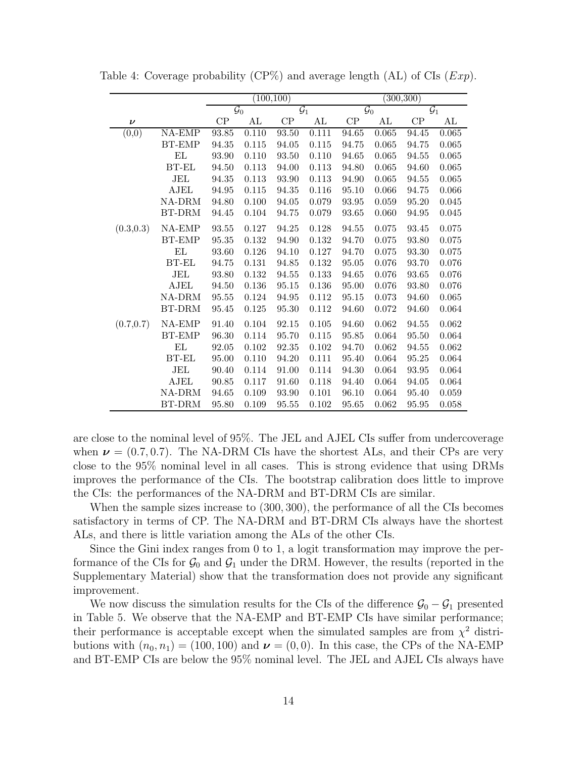|                    |               |               |                 | (100, 100) |                 |                    |                 | (300, 300)      |       |
|--------------------|---------------|---------------|-----------------|------------|-----------------|--------------------|-----------------|-----------------|-------|
|                    |               |               | $\mathcal{G}_0$ |            | $\mathcal{G}_1$ |                    | $\mathcal{G}_0$ | $\mathcal{G}_1$ |       |
| $\boldsymbol{\nu}$ |               | $\mathrm{CP}$ | AL              | CP         | AL              | $\mathrm{CP}$      | AL              | CP              | AL    |
| (0,0)              | NA-EMP        | 93.85         | 0.110           | 93.50      | 0.111           | $94.\overline{65}$ | 0.065           | 94.45           | 0.065 |
|                    | <b>BT-EMP</b> | 94.35         | 0.115           | 94.05      | 0.115           | 94.75              | 0.065           | 94.75           | 0.065 |
|                    | EL            | 93.90         | 0.110           | 93.50      | 0.110           | 94.65              | 0.065           | 94.55           | 0.065 |
|                    | <b>BT-EL</b>  | 94.50         | 0.113           | 94.00      | 0.113           | 94.80              | 0.065           | 94.60           | 0.065 |
|                    | JEL           | 94.35         | 0.113           | 93.90      | 0.113           | 94.90              | 0.065           | 94.55           | 0.065 |
|                    | AJEL          | 94.95         | 0.115           | 94.35      | 0.116           | 95.10              | 0.066           | 94.75           | 0.066 |
|                    | NA-DRM        | 94.80         | 0.100           | 94.05      | 0.079           | 93.95              | 0.059           | 95.20           | 0.045 |
|                    | <b>BT-DRM</b> | 94.45         | 0.104           | 94.75      | 0.079           | 93.65              | 0.060           | 94.95           | 0.045 |
| (0.3, 0.3)         | NA-EMP        | 93.55         | 0.127           | 94.25      | 0.128           | 94.55              | 0.075           | 93.45           | 0.075 |
|                    | <b>BT-EMP</b> | 95.35         | 0.132           | 94.90      | 0.132           | 94.70              | 0.075           | 93.80           | 0.075 |
|                    | ΕL            | 93.60         | 0.126           | 94.10      | 0.127           | 94.70              | 0.075           | 93.30           | 0.075 |
|                    | <b>BT-EL</b>  | 94.75         | 0.131           | 94.85      | 0.132           | 95.05              | 0.076           | 93.70           | 0.076 |
|                    | JEL           | 93.80         | 0.132           | 94.55      | 0.133           | 94.65              | 0.076           | 93.65           | 0.076 |
|                    | AJEL          | 94.50         | $0.136\,$       | 95.15      | 0.136           | 95.00              | 0.076           | 93.80           | 0.076 |
|                    | NA-DRM        | 95.55         | 0.124           | 94.95      | 0.112           | 95.15              | 0.073           | 94.60           | 0.065 |
|                    | <b>BT-DRM</b> | 95.45         | 0.125           | 95.30      | 0.112           | 94.60              | 0.072           | 94.60           | 0.064 |
| (0.7, 0.7)         | NA-EMP        | 91.40         | 0.104           | 92.15      | 0.105           | 94.60              | 0.062           | 94.55           | 0.062 |
|                    | <b>BT-EMP</b> | 96.30         | 0.114           | 95.70      | 0.115           | 95.85              | 0.064           | 95.50           | 0.064 |
|                    | EL            | 92.05         | 0.102           | 92.35      | 0.102           | 94.70              | 0.062           | 94.55           | 0.062 |
|                    | <b>BT-EL</b>  | 95.00         | 0.110           | 94.20      | 0.111           | 95.40              | 0.064           | 95.25           | 0.064 |
|                    | JEL           | 90.40         | 0.114           | 91.00      | 0.114           | 94.30              | 0.064           | 93.95           | 0.064 |
|                    | <b>AJEL</b>   | 90.85         | 0.117           | 91.60      | 0.118           | 94.40              | 0.064           | 94.05           | 0.064 |
|                    | NA-DRM        | 94.65         | 0.109           | 93.90      | 0.101           | 96.10              | 0.064           | 95.40           | 0.059 |
|                    | <b>BT-DRM</b> | 95.80         | 0.109           | 95.55      | 0.102           | 95.65              | 0.062           | 95.95           | 0.058 |

<span id="page-13-0"></span>Table 4: Coverage probability (CP%) and average length  $(AL)$  of CIs  $(Exp)$ .

are close to the nominal level of 95%. The JEL and AJEL CIs suffer from undercoverage when  $\nu = (0.7, 0.7)$ . The NA-DRM CIs have the shortest ALs, and their CPs are very close to the 95% nominal level in all cases. This is strong evidence that using DRMs improves the performance of the CIs. The bootstrap calibration does little to improve the CIs: the performances of the NA-DRM and BT-DRM CIs are similar.

When the sample sizes increase to (300, 300), the performance of all the CIs becomes satisfactory in terms of CP. The NA-DRM and BT-DRM CIs always have the shortest ALs, and there is little variation among the ALs of the other CIs.

Since the Gini index ranges from 0 to 1, a logit transformation may improve the performance of the CIs for  $\mathcal{G}_0$  and  $\mathcal{G}_1$  under the DRM. However, the results (reported in the Supplementary Material) show that the transformation does not provide any significant improvement.

We now discuss the simulation results for the CIs of the difference  $\mathcal{G}_0 - \mathcal{G}_1$  presented in Table [5.](#page-14-0) We observe that the NA-EMP and BT-EMP CIs have similar performance; their performance is acceptable except when the simulated samples are from  $\chi^2$  distributions with  $(n_0, n_1) = (100, 100)$  and  $\nu = (0, 0)$ . In this case, the CPs of the NA-EMP and BT-EMP CIs are below the 95% nominal level. The JEL and AJEL CIs always have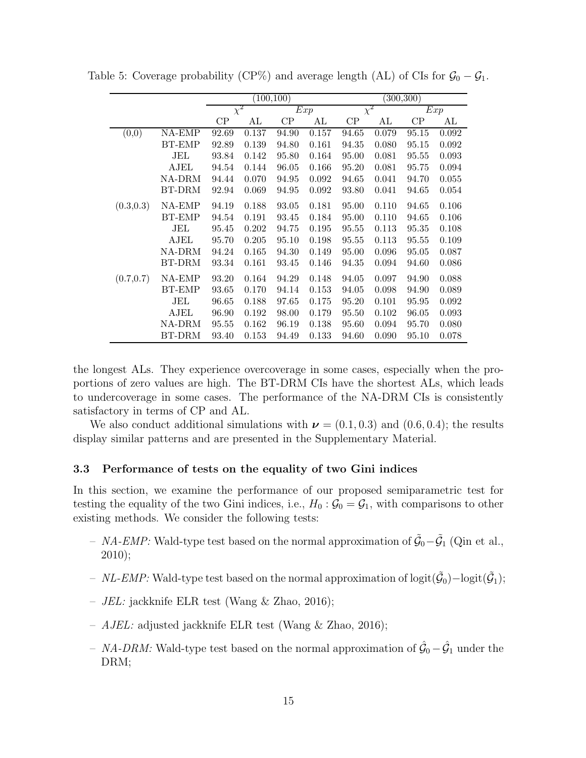|            |               |          |       | (100, 100) |                  | (300, 300) |       |       |       |  |
|------------|---------------|----------|-------|------------|------------------|------------|-------|-------|-------|--|
|            |               | $\chi^2$ |       |            | $\overline{Exp}$ | $\chi^2$   |       |       | Exp   |  |
|            |               | CP       | AL    | CP         | AL               | CP         | AL    | CP    | AL    |  |
| (0,0)      | NA-EMP        | 92.69    | 0.137 | 94.90      | 0.157            | 94.65      | 0.079 | 95.15 | 0.092 |  |
|            | <b>BT-EMP</b> | 92.89    | 0.139 | 94.80      | 0.161            | $94.35\,$  | 0.080 | 95.15 | 0.092 |  |
|            | JEL           | 93.84    | 0.142 | 95.80      | 0.164            | 95.00      | 0.081 | 95.55 | 0.093 |  |
|            | AJEL          | 94.54    | 0.144 | 96.05      | 0.166            | 95.20      | 0.081 | 95.75 | 0.094 |  |
|            | NA-DRM        | 94.44    | 0.070 | 94.95      | 0.092            | 94.65      | 0.041 | 94.70 | 0.055 |  |
|            | BT-DRM        | 92.94    | 0.069 | 94.95      | 0.092            | 93.80      | 0.041 | 94.65 | 0.054 |  |
| (0.3, 0.3) | NA-EMP        | 94.19    | 0.188 | 93.05      | 0.181            | 95.00      | 0.110 | 94.65 | 0.106 |  |
|            | <b>BT-EMP</b> | 94.54    | 0.191 | 93.45      | 0.184            | 95.00      | 0.110 | 94.65 | 0.106 |  |
|            | JEL           | 95.45    | 0.202 | 94.75      | 0.195            | 95.55      | 0.113 | 95.35 | 0.108 |  |
|            | AJEL          | 95.70    | 0.205 | 95.10      | 0.198            | 95.55      | 0.113 | 95.55 | 0.109 |  |
|            | NA-DRM        | 94.24    | 0.165 | 94.30      | 0.149            | 95.00      | 0.096 | 95.05 | 0.087 |  |
|            | BT-DRM        | 93.34    | 0.161 | 93.45      | 0.146            | 94.35      | 0.094 | 94.60 | 0.086 |  |
| (0.7, 0.7) | NA-EMP        | 93.20    | 0.164 | 94.29      | 0.148            | 94.05      | 0.097 | 94.90 | 0.088 |  |
|            | <b>BT-EMP</b> | 93.65    | 0.170 | 94.14      | 0.153            | 94.05      | 0.098 | 94.90 | 0.089 |  |
|            | JEL           | 96.65    | 0.188 | 97.65      | 0.175            | 95.20      | 0.101 | 95.95 | 0.092 |  |
|            | AJEL          | 96.90    | 0.192 | 98.00      | 0.179            | 95.50      | 0.102 | 96.05 | 0.093 |  |
|            | NA-DRM        | 95.55    | 0.162 | 96.19      | 0.138            | 95.60      | 0.094 | 95.70 | 0.080 |  |
|            | <b>BT-DRM</b> | 93.40    | 0.153 | 94.49      | 0.133            | 94.60      | 0.090 | 95.10 | 0.078 |  |

<span id="page-14-0"></span>Table 5: Coverage probability (CP%) and average length (AL) of CIs for  $\mathcal{G}_0 - \mathcal{G}_1$ .

the longest ALs. They experience overcoverage in some cases, especially when the proportions of zero values are high. The BT-DRM CIs have the shortest ALs, which leads to undercoverage in some cases. The performance of the NA-DRM CIs is consistently satisfactory in terms of CP and AL.

We also conduct additional simulations with  $\nu = (0.1, 0.3)$  and  $(0.6, 0.4)$ ; the results display similar patterns and are presented in the Supplementary Material.

### 3.3 Performance of tests on the equality of two Gini indices

In this section, we examine the performance of our proposed semiparametric test for testing the equality of the two Gini indices, i.e.,  $H_0 : \mathcal{G}_0 = \mathcal{G}_1$ , with comparisons to other existing methods. We consider the following tests:

- $NA$ -*EMP*: Wald-type test based on the normal approximation of  $\tilde{G}_0 \tilde{G}_1$  [\(Qin et al.](#page-48-1), [2010](#page-48-1));
- $-$  *NL-EMP*: Wald-type test based on the normal approximation of logit( $\tilde{G}_0$ ) $-$ logit( $\tilde{G}_1$ );
- *JEL:* jackknife ELR test [\(Wang & Zhao](#page-21-2), [2016\)](#page-21-2);
- *AJEL:* adjusted jackknife ELR test [\(Wang & Zhao, 2016\)](#page-21-2);
- $MA\text{-}DRM$ : Wald-type test based on the normal approximation of  $\hat{G}_0 \hat{G}_1$  under the DRM;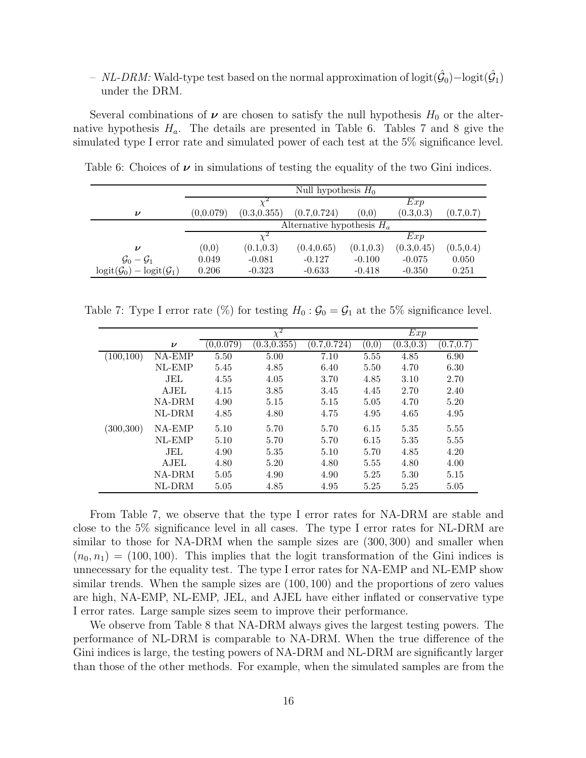$- NL$ -DRM: Wald-type test based on the normal approximation of  $logit(\hat{G}_0) - logit(\hat{G}_1)$ under the DRM.

Several combinations of  $\nu$  are chosen to satisfy the null hypothesis  $H_0$  or the alternative hypothesis  $H_a$ . The details are presented in Table [6.](#page-15-0) Tables [7](#page-15-1) and [8](#page-16-0) give the simulated type I error rate and simulated power of each test at the 5% significance level.

Null hypothesis  $H_0$  $\chi^2$  $\frac{1}{2}$  Exp  $\nu$  (0,0.079) (0.3,0.355) (0.7,0.724) (0,0) (0.3,0.3) (0.7,0.7) Alternative hypothesis  $H<sub>c</sub>$  $\chi^2$  $2$  Exp  $\nu$  (0,0) (0.1,0.3) (0.4,0.65) (0.1,0.3) (0.3,0.45) (0.5,0.4)  $\mathcal{G}_0 - \mathcal{G}_1$  0.049 -0.081 -0.127 -0.100 -0.075 0.050

<span id="page-15-0"></span>Table 6: Choices of  $\nu$  in simulations of testing the equality of the two Gini indices.

<span id="page-15-1"></span>Table 7: Type I error rate (%) for testing  $H_0: \mathcal{G}_0 = \mathcal{G}_1$  at the 5% significance level.

 $\text{logit}(\mathcal{G}_0) - \text{logit}(\mathcal{G}_1)$  0.206 -0.323 -0.633 -0.418 -0.350 0.251

|            |                    |            | $\chi^2$        |              |       | $\overline{E}xp$ |            |
|------------|--------------------|------------|-----------------|--------------|-------|------------------|------------|
|            | $\boldsymbol{\nu}$ | (0, 0.079) | $(0.3,\!0.355)$ | (0.7, 0.724) | (0,0) | (0.3, 0.3)       | (0.7, 0.7) |
| (100, 100) | NA-EMP             | 5.50       | 5.00            | 7.10         | 5.55  | 4.85             | 6.90       |
|            | NL-EMP             | 5.45       | 4.85            | 6.40         | 5.50  | 4.70             | 6.30       |
|            | JEL                | 4.55       | 4.05            | 3.70         | 4.85  | 3.10             | 2.70       |
|            | AJEL               | 4.15       | 3.85            | 3.45         | 4.45  | 2.70             | 2.40       |
|            | NA-DRM             | 4.90       | 5.15            | 5.15         | 5.05  | 4.70             | 5.20       |
|            | NL-DRM             | 4.85       | 4.80            | 4.75         | 4.95  | 4.65             | 4.95       |
| (300, 300) | NA-EMP             | 5.10       | 5.70            | 5.70         | 6.15  | 5.35             | 5.55       |
|            | NL-EMP             | 5.10       | 5.70            | 5.70         | 6.15  | 5.35             | 5.55       |
|            | JEL.               | 4.90       | 5.35            | 5.10         | 5.70  | 4.85             | 4.20       |
|            | AJEL               | 4.80       | 5.20            | 4.80         | 5.55  | 4.80             | 4.00       |
|            | NA-DRM             | 5.05       | 4.90            | 4.90         | 5.25  | 5.30             | 5.15       |
|            | NL-DRM             | 5.05       | 4.85            | 4.95         | 5.25  | 5.25             | 5.05       |

From Table [7,](#page-15-1) we observe that the type I error rates for NA-DRM are stable and close to the 5% significance level in all cases. The type I error rates for NL-DRM are similar to those for NA-DRM when the sample sizes are (300, 300) and smaller when  $(n_0, n_1) = (100, 100)$ . This implies that the logit transformation of the Gini indices is unnecessary for the equality test. The type I error rates for NA-EMP and NL-EMP show similar trends. When the sample sizes are  $(100, 100)$  and the proportions of zero values are high, NA-EMP, NL-EMP, JEL, and AJEL have either inflated or conservative type I error rates. Large sample sizes seem to improve their performance.

We observe from Table [8](#page-16-0) that NA-DRM always gives the largest testing powers. The performance of NL-DRM is comparable to NA-DRM. When the true difference of the Gini indices is large, the testing powers of NA-DRM and NL-DRM are significantly larger than those of the other methods. For example, when the simulated samples are from the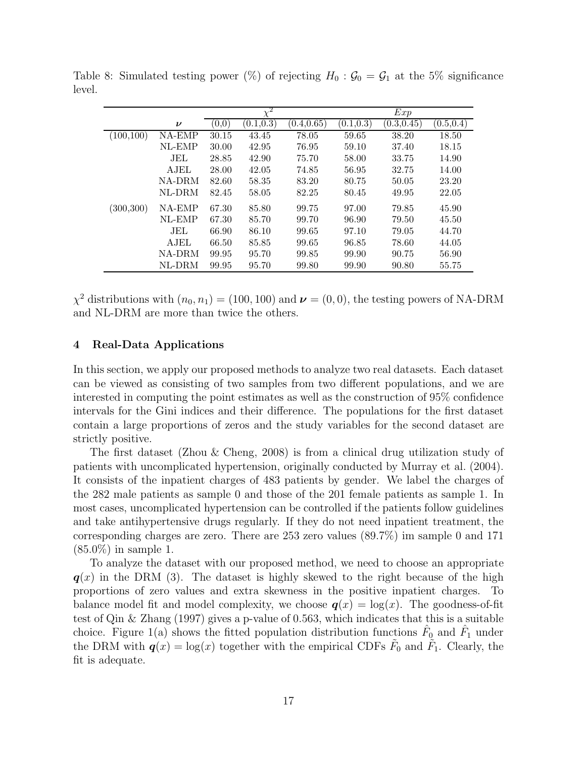|            |                    |       | $\chi^2$   |             |            | Exp         |            |
|------------|--------------------|-------|------------|-------------|------------|-------------|------------|
|            | $\boldsymbol{\nu}$ | (0.0) | (0.1, 0.3) | (0.4, 0.65) | (0.1, 0.3) | (0.3, 0.45) | (0.5, 0.4) |
| (100, 100) | NA-EMP             | 30.15 | 43.45      | 78.05       | 59.65      | 38.20       | 18.50      |
|            | NL-EMP             | 30.00 | 42.95      | 76.95       | 59.10      | 37.40       | 18.15      |
|            | JEL                | 28.85 | 42.90      | 75.70       | 58.00      | 33.75       | 14.90      |
|            | AJEL               | 28.00 | 42.05      | 74.85       | 56.95      | 32.75       | 14.00      |
|            | NA-DRM             | 82.60 | 58.35      | 83.20       | 80.75      | 50.05       | 23.20      |
|            | NL-DRM             | 82.45 | 58.05      | 82.25       | 80.45      | 49.95       | 22.05      |
| (300, 300) | NA-EMP             | 67.30 | 85.80      | 99.75       | 97.00      | 79.85       | 45.90      |
|            | NL-EMP             | 67.30 | 85.70      | 99.70       | 96.90      | 79.50       | 45.50      |
|            | JEL                | 66.90 | 86.10      | 99.65       | 97.10      | 79.05       | 44.70      |
|            | <b>AJEL</b>        | 66.50 | 85.85      | 99.65       | 96.85      | 78.60       | 44.05      |
|            | NA-DRM             | 99.95 | 95.70      | 99.85       | 99.90      | 90.75       | 56.90      |
|            | NL-DRM             | 99.95 | 95.70      | 99.80       | 99.90      | 90.80       | 55.75      |

<span id="page-16-0"></span>Table 8: Simulated testing power (%) of rejecting  $H_0$ :  $\mathcal{G}_0 = \mathcal{G}_1$  at the 5% significance level.

 $\chi^2$  distributions with  $(n_0, n_1) = (100, 100)$  and  $\nu = (0, 0)$ , the testing powers of NA-DRM and NL-DRM are more than twice the others.

### 4 Real-Data Applications

In this section, we apply our proposed methods to analyze two real datasets. Each dataset can be viewed as consisting of two samples from two different populations, and we are interested in computing the point estimates as well as the construction of 95% confidence intervals for the Gini indices and their difference. The populations for the first dataset contain a large proportions of zeros and the study variables for the second dataset are strictly positive.

The first dataset [\(Zhou & Cheng, 2008](#page-22-3)) is from a clinical drug utilization study of patients with uncomplicated hypertension, originally conducted by [Murray et al. \(2004\)](#page-21-12). It consists of the inpatient charges of 483 patients by gender. We label the charges of the 282 male patients as sample 0 and those of the 201 female patients as sample 1. In most cases, uncomplicated hypertension can be controlled if the patients follow guidelines and take antihypertensive drugs regularly. If they do not need inpatient treatment, the corresponding charges are zero. There are 253 zero values (89.7%) im sample 0 and 171 (85.0%) in sample 1.

To analyze the dataset with our proposed method, we need to choose an appropriate  $q(x)$  in the DRM [\(3\)](#page-23-1). The dataset is highly skewed to the right because of the high proportions of zero values and extra skewness in the positive inpatient charges. To balance model fit and model complexity, we choose  $q(x) = \log(x)$ . The goodness-of-fit test of [Qin & Zhang \(1997\)](#page-21-7) gives a p-value of 0.563, which indicates that this is a suitable choice. Figure [1\(](#page-17-0)a) shows the fitted population distribution functions  $\hat{F}_0$  and  $\hat{F}_1$  under the DRM with  $q(x) = \log(x)$  together with the empirical CDFs  $\tilde{F}_0$  and  $\tilde{F}_1$ . Clearly, the fit is adequate.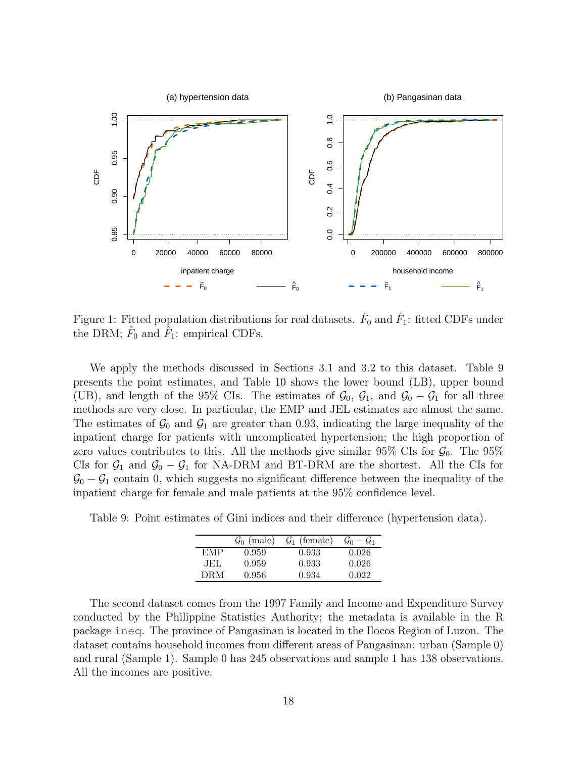<span id="page-17-0"></span>

Figure 1: Fitted population distributions for real datasets.  $\hat{F}_0$  and  $\hat{F}_1$ : fitted CDFs under the DRM;  $\tilde{F}_0$  and  $\tilde{F}_1$ : empirical CDFs.

We apply the methods discussed in Sections [3.1](#page-9-0) and [3.2](#page-11-1) to this dataset. Table [9](#page-17-1) presents the point estimates, and Table [10](#page-18-0) shows the lower bound (LB), upper bound (UB), and length of the 95% CIs. The estimates of  $\mathcal{G}_0$ ,  $\mathcal{G}_1$ , and  $\mathcal{G}_0 - \mathcal{G}_1$  for all three methods are very close. In particular, the EMP and JEL estimates are almost the same. The estimates of  $\mathcal{G}_0$  and  $\mathcal{G}_1$  are greater than 0.93, indicating the large inequality of the inpatient charge for patients with uncomplicated hypertension; the high proportion of zero values contributes to this. All the methods give similar  $95\%$  CIs for  $\mathcal{G}_0$ . The  $95\%$ CIs for  $\mathcal{G}_1$  and  $\mathcal{G}_0 - \mathcal{G}_1$  for NA-DRM and BT-DRM are the shortest. All the CIs for  $\mathcal{G}_0 - \mathcal{G}_1$  contain 0, which suggests no significant difference between the inequality of the inpatient charge for female and male patients at the 95% confidence level.

<span id="page-17-1"></span>Table 9: Point estimates of Gini indices and their difference (hypertension data).

|     | (male)<br>$\mathcal{G}_0$ | (female) |       |
|-----|---------------------------|----------|-------|
| EMP | 0.959                     | 0.933    | 0.026 |
| JEL | 0.959                     | 0.933    | 0.026 |
| DRM | 0.956                     | 0.934    | 0.022 |

The second dataset comes from the 1997 Family and Income and Expenditure Survey conducted by the Philippine Statistics Authority; the metadata is available in the R package ineq. The province of Pangasinan is located in the Ilocos Region of Luzon. The dataset contains household incomes from different areas of Pangasinan: urban (Sample 0) and rural (Sample 1). Sample 0 has 245 observations and sample 1 has 138 observations. All the incomes are positive.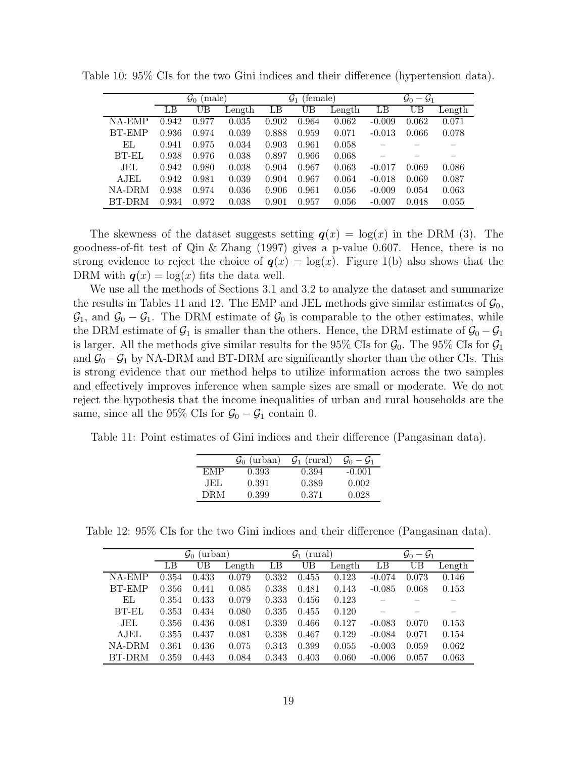|              |       | (male)<br>$\mathcal{G}_0$ |        |       | (female)<br>$\mathcal{G}_1$ |        |          | $\mathcal{G}_0-\mathcal{G}_1$ |        |
|--------------|-------|---------------------------|--------|-------|-----------------------------|--------|----------|-------------------------------|--------|
|              | LB    | UB                        | Length | LΒ    | UB                          | Length | LB       | UB                            | Length |
| NA-EMP       | 0.942 | 0.977                     | 0.035  | 0.902 | 0.964                       | 0.062  | $-0.009$ | 0.062                         | 0.071  |
| BT-EMP       | 0.936 | 0.974                     | 0.039  | 0.888 | 0.959                       | 0.071  | $-0.013$ | 0.066                         | 0.078  |
| ΕL           | 0.941 | 0.975                     | 0.034  | 0.903 | 0.961                       | 0.058  |          |                               |        |
| <b>BT-EL</b> | 0.938 | 0.976                     | 0.038  | 0.897 | 0.966                       | 0.068  |          |                               |        |
| JEL          | 0.942 | 0.980                     | 0.038  | 0.904 | 0.967                       | 0.063  | $-0.017$ | 0.069                         | 0.086  |
| AJEL         | 0.942 | 0.981                     | 0.039  | 0.904 | 0.967                       | 0.064  | $-0.018$ | 0.069                         | 0.087  |
| NA-DRM       | 0.938 | 0.974                     | 0.036  | 0.906 | 0.961                       | 0.056  | $-0.009$ | 0.054                         | 0.063  |
| BT-DRM       | 0.934 | 0.972                     | 0.038  | 0.901 | 0.957                       | 0.056  | $-0.007$ | 0.048                         | 0.055  |

<span id="page-18-0"></span>Table 10: 95% CIs for the two Gini indices and their difference (hypertension data).

The skewness of the dataset suggests setting  $q(x) = \log(x)$  in the DRM [\(3\)](#page-23-1). The goodness-of-fit test of [Qin & Zhang \(1997](#page-21-7)) gives a p-value 0.607. Hence, there is no strong evidence to reject the choice of  $q(x) = \log(x)$ . Figure [1\(](#page-17-0)b) also shows that the DRM with  $q(x) = \log(x)$  fits the data well.

We use all the methods of Sections [3.1](#page-9-0) and [3.2](#page-11-1) to analyze the dataset and summarize the results in Tables [11](#page-18-1) and [12.](#page-18-2) The EMP and JEL methods give similar estimates of  $\mathcal{G}_0$ ,  $\mathcal{G}_1$ , and  $\mathcal{G}_0 - \mathcal{G}_1$ . The DRM estimate of  $\mathcal{G}_0$  is comparable to the other estimates, while the DRM estimate of  $\mathcal{G}_1$  is smaller than the others. Hence, the DRM estimate of  $\mathcal{G}_0 - \mathcal{G}_1$ is larger. All the methods give similar results for the 95% CIs for  $\mathcal{G}_0$ . The 95% CIs for  $\mathcal{G}_1$ and  $\mathcal{G}_0-\mathcal{G}_1$  by NA-DRM and BT-DRM are significantly shorter than the other CIs. This is strong evidence that our method helps to utilize information across the two samples and effectively improves inference when sample sizes are small or moderate. We do not reject the hypothesis that the income inequalities of urban and rural households are the same, since all the 95% CIs for  $\mathcal{G}_0 - \mathcal{G}_1$  contain 0.

<span id="page-18-1"></span>Table 11: Point estimates of Gini indices and their difference (Pangasinan data).

|            | $\mathcal{G}_0$ (urban) | $\mathcal{G}_1$ (rural) | $\mathcal{G}_0-\mathcal{G}_1$ |
|------------|-------------------------|-------------------------|-------------------------------|
| <b>EMP</b> | 0.393                   | 0.394                   | $-0.001$                      |
| JEL        | 0.391                   | 0.389                   | 0.002                         |
| DRM        | 0.399                   | 0.371                   | 0.028                         |

<span id="page-18-2"></span>Table 12: 95% CIs for the two Gini indices and their difference (Pangasinan data).

|        |       | (urban)<br>$\mathcal{G}_0$ |        |       | (rural)<br>$\mathcal{G}_1$ |        | $\mathcal{G}_0-\mathcal{G}_1$ |       |        |  |
|--------|-------|----------------------------|--------|-------|----------------------------|--------|-------------------------------|-------|--------|--|
|        | LB    | UΒ                         | Length | LΒ    | UB                         | Length | LB                            | UB    | Length |  |
| NA-EMP | 0.354 | 0.433                      | 0.079  | 0.332 | 0.455                      | 0.123  | $-0.074$                      | 0.073 | 0.146  |  |
| BT-EMP | 0.356 | 0.441                      | 0.085  | 0.338 | 0.481                      | 0.143  | $-0.085$                      | 0.068 | 0.153  |  |
| EL.    | 0.354 | 0.433                      | 0.079  | 0.333 | 0.456                      | 0.123  |                               |       |        |  |
| BT-EL  | 0.353 | 0.434                      | 0.080  | 0.335 | 0.455                      | 0.120  |                               |       |        |  |
| JEL    | 0.356 | 0.436                      | 0.081  | 0.339 | 0.466                      | 0.127  | $-0.083$                      | 0.070 | 0.153  |  |
| AJEL   | 0.355 | 0.437                      | 0.081  | 0.338 | 0.467                      | 0.129  | $-0.084$                      | 0.071 | 0.154  |  |
| NA-DRM | 0.361 | 0.436                      | 0.075  | 0.343 | 0.399                      | 0.055  | $-0.003$                      | 0.059 | 0.062  |  |
| BT-DRM | 0.359 | 0.443                      | 0.084  | 0.343 | 0.403                      | 0.060  | $-0.006$                      | 0.057 | 0.063  |  |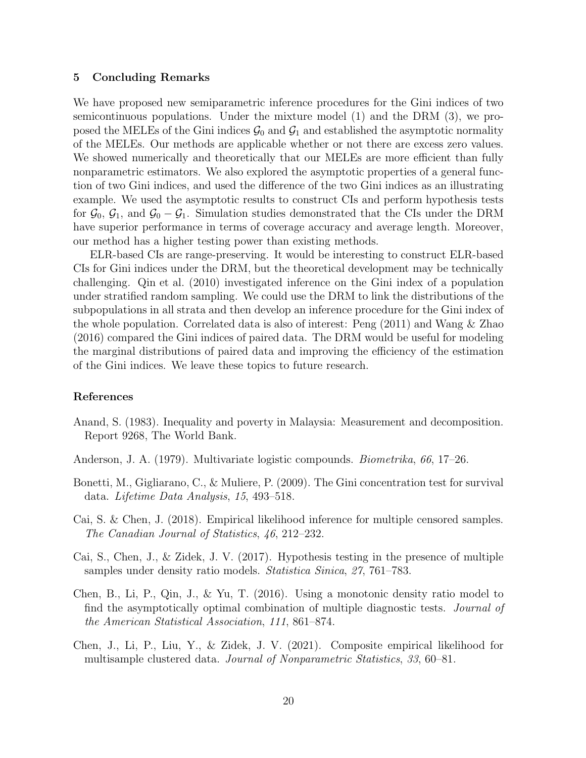#### 5 Concluding Remarks

We have proposed new semiparametric inference procedures for the Gini indices of two semicontinuous populations. Under the mixture model [\(1\)](#page-23-0) and the DRM [\(3\)](#page-23-1), we proposed the MELEs of the Gini indices  $\mathcal{G}_0$  and  $\mathcal{G}_1$  and established the asymptotic normality of the MELEs. Our methods are applicable whether or not there are excess zero values. We showed numerically and theoretically that our MELEs are more efficient than fully nonparametric estimators. We also explored the asymptotic properties of a general function of two Gini indices, and used the difference of the two Gini indices as an illustrating example. We used the asymptotic results to construct CIs and perform hypothesis tests for  $\mathcal{G}_0$ ,  $\mathcal{G}_1$ , and  $\mathcal{G}_0 - \mathcal{G}_1$ . Simulation studies demonstrated that the CIs under the DRM have superior performance in terms of coverage accuracy and average length. Moreover, our method has a higher testing power than existing methods.

ELR-based CIs are range-preserving. It would be interesting to construct ELR-based CIs for Gini indices under the DRM, but the theoretical development may be technically challenging. [Qin et al. \(2010](#page-48-1)) investigated inference on the Gini index of a population under stratified random sampling. We could use the DRM to link the distributions of the subpopulations in all strata and then develop an inference procedure for the Gini index of the whole population. Correlated data is also of interest: [Peng \(2011\)](#page-21-0) and [Wang & Zhao](#page-21-2) [\(2016\)](#page-21-2) compared the Gini indices of paired data. The DRM would be useful for modeling the marginal distributions of paired data and improving the efficiency of the estimation of the Gini indices. We leave these topics to future research.

#### References

- <span id="page-19-1"></span>Anand, S. (1983). Inequality and poverty in Malaysia: Measurement and decomposition. Report 9268, The World Bank.
- <span id="page-19-4"></span>Anderson, J. A. (1979). Multivariate logistic compounds. *Biometrika*, *66*, 17–26.
- <span id="page-19-0"></span>Bonetti, M., Gigliarano, C., & Muliere, P. (2009). The Gini concentration test for survival data. *Lifetime Data Analysis*, *15*, 493–518.
- <span id="page-19-3"></span>Cai, S. & Chen, J. (2018). Empirical likelihood inference for multiple censored samples. *The Canadian Journal of Statistics*, *46*, 212–232.
- <span id="page-19-2"></span>Cai, S., Chen, J., & Zidek, J. V. (2017). Hypothesis testing in the presence of multiple samples under density ratio models. *Statistica Sinica*, *27*, 761–783.
- <span id="page-19-6"></span>Chen, B., Li, P., Qin, J., & Yu, T. (2016). Using a monotonic density ratio model to find the asymptotically optimal combination of multiple diagnostic tests. *Journal of the American Statistical Association*, *111*, 861–874.
- <span id="page-19-5"></span>Chen, J., Li, P., Liu, Y., & Zidek, J. V. (2021). Composite empirical likelihood for multisample clustered data. *Journal of Nonparametric Statistics*, *33*, 60–81.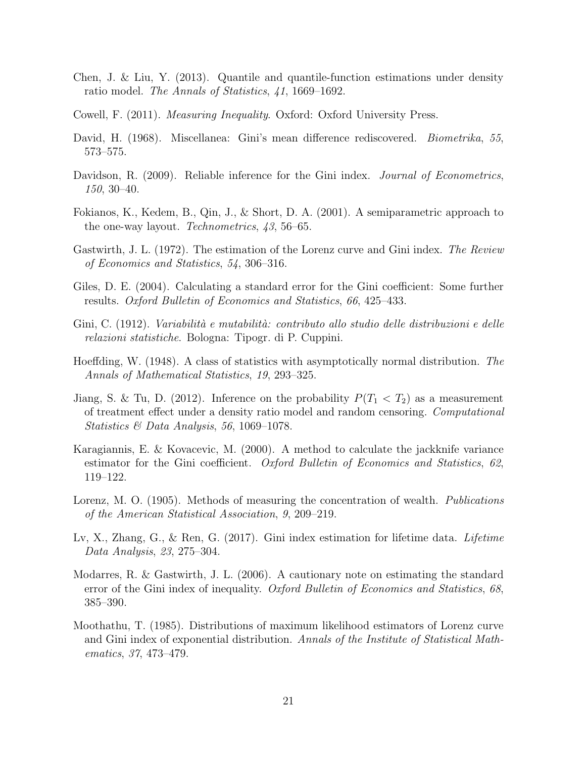- <span id="page-20-10"></span>Chen, J. & Liu, Y. (2013). Quantile and quantile-function estimations under density ratio model. *The Annals of Statistics*, *41*, 1669–1692.
- <span id="page-20-4"></span>Cowell, F. (2011). *Measuring Inequality*. Oxford: Oxford University Press.
- David, H. (1968). Miscellanea: Gini's mean difference rediscovered. *Biometrika*, *55*, 573–575.
- <span id="page-20-9"></span>Davidson, R. (2009). Reliable inference for the Gini index. *Journal of Econometrics*, *150*, 30–40.
- <span id="page-20-13"></span>Fokianos, K., Kedem, B., Qin, J., & Short, D. A. (2001). A semiparametric approach to the one-way layout. *Technometrics*, *43*, 56–65.
- <span id="page-20-3"></span>Gastwirth, J. L. (1972). The estimation of the Lorenz curve and Gini index. *The Review of Economics and Statistics*, *54*, 306–316.
- <span id="page-20-6"></span>Giles, D. E. (2004). Calculating a standard error for the Gini coefficient: Some further results. *Oxford Bulletin of Economics and Statistics*, *66*, 425–433.
- <span id="page-20-0"></span>Gini, C. (1912). *Variabilità e mutabilità: contributo allo studio delle distribuzioni e delle relazioni statistiche*. Bologna: Tipogr. di P. Cuppini.
- <span id="page-20-5"></span>Hoeffding, W. (1948). A class of statistics with asymptotically normal distribution. *The Annals of Mathematical Statistics*, *19*, 293–325.
- <span id="page-20-12"></span>Jiang, S. & Tu, D. (2012). Inference on the probability  $P(T_1 < T_2)$  as a measurement of treatment effect under a density ratio model and random censoring. *Computational Statistics & Data Analysis*, *56*, 1069–1078.
- <span id="page-20-8"></span>Karagiannis, E. & Kovacevic, M. (2000). A method to calculate the jackknife variance estimator for the Gini coefficient. *Oxford Bulletin of Economics and Statistics*, *62*, 119–122.
- <span id="page-20-2"></span>Lorenz, M. O. (1905). Methods of measuring the concentration of wealth. *Publications of the American Statistical Association*, *9*, 209–219.
- <span id="page-20-1"></span>Lv, X., Zhang, G., & Ren, G. (2017). Gini index estimation for lifetime data. *Lifetime Data Analysis*, *23*, 275–304.
- <span id="page-20-7"></span>Modarres, R. & Gastwirth, J. L. (2006). A cautionary note on estimating the standard error of the Gini index of inequality. *Oxford Bulletin of Economics and Statistics*, *68*, 385–390.
- <span id="page-20-11"></span>Moothathu, T. (1985). Distributions of maximum likelihood estimators of Lorenz curve and Gini index of exponential distribution. *Annals of the Institute of Statistical Mathematics*, *37*, 473–479.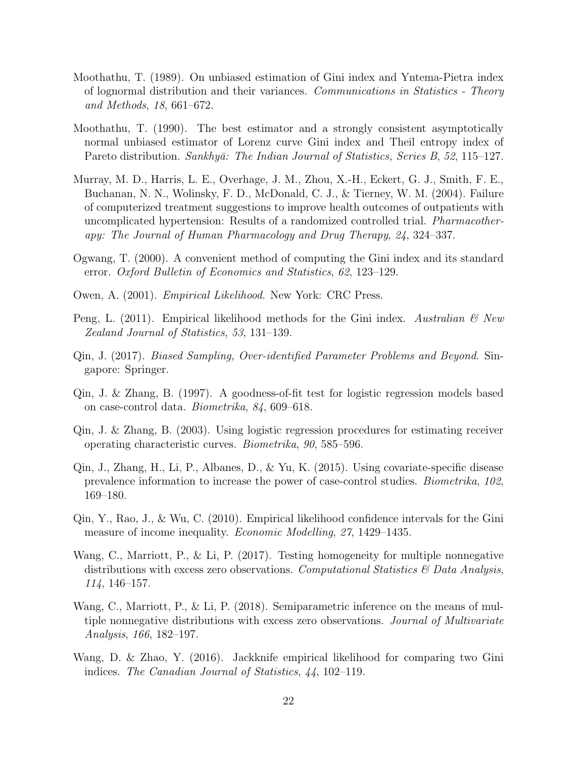- <span id="page-21-5"></span>Moothathu, T. (1989). On unbiased estimation of Gini index and Yntema-Pietra index of lognormal distribution and their variances. *Communications in Statistics - Theory and Methods*, *18*, 661–672.
- <span id="page-21-6"></span>Moothathu, T. (1990). The best estimator and a strongly consistent asymptotically normal unbiased estimator of Lorenz curve Gini index and Theil entropy index of Pareto distribution. *Sankhyā: The Indian Journal of Statistics, Series B*, 52, 115–127.
- <span id="page-21-12"></span>Murray, M. D., Harris, L. E., Overhage, J. M., Zhou, X.-H., Eckert, G. J., Smith, F. E., Buchanan, N. N., Wolinsky, F. D., McDonald, C. J., & Tierney, W. M. (2004). Failure of computerized treatment suggestions to improve health outcomes of outpatients with uncomplicated hypertension: Results of a randomized controlled trial. *Pharmacotherapy: The Journal of Human Pharmacology and Drug Therapy*, *24*, 324–337.
- <span id="page-21-1"></span>Ogwang, T. (2000). A convenient method of computing the Gini index and its standard error. *Oxford Bulletin of Economics and Statistics*, *62*, 123–129.
- <span id="page-21-3"></span>Owen, A. (2001). *Empirical Likelihood*. New York: CRC Press.
- <span id="page-21-0"></span>Peng, L. (2011). Empirical likelihood methods for the Gini index. *Australian & New Zealand Journal of Statistics*, *53*, 131–139.
- <span id="page-21-4"></span>Qin, J. (2017). *Biased Sampling, Over-identified Parameter Problems and Beyond*. Singapore: Springer.
- <span id="page-21-7"></span>Qin, J. & Zhang, B. (1997). A goodness-of-fit test for logistic regression models based on case-control data. *Biometrika*, *84*, 609–618.
- <span id="page-21-8"></span>Qin, J. & Zhang, B. (2003). Using logistic regression procedures for estimating receiver operating characteristic curves. *Biometrika*, *90*, 585–596.
- <span id="page-21-9"></span>Qin, J., Zhang, H., Li, P., Albanes, D., & Yu, K. (2015). Using covariate-specific disease prevalence information to increase the power of case-control studies. *Biometrika*, *102*, 169–180.
- Qin, Y., Rao, J., & Wu, C. (2010). Empirical likelihood confidence intervals for the Gini measure of income inequality. *Economic Modelling*, *27*, 1429–1435.
- <span id="page-21-10"></span>Wang, C., Marriott, P., & Li, P. (2017). Testing homogeneity for multiple nonnegative distributions with excess zero observations. *Computational Statistics & Data Analysis*, *114*, 146–157.
- <span id="page-21-11"></span>Wang, C., Marriott, P., & Li, P. (2018). Semiparametric inference on the means of multiple nonnegative distributions with excess zero observations. *Journal of Multivariate Analysis*, *166*, 182–197.
- <span id="page-21-2"></span>Wang, D. & Zhao, Y. (2016). Jackknife empirical likelihood for comparing two Gini indices. *The Canadian Journal of Statistics*, *44*, 102–119.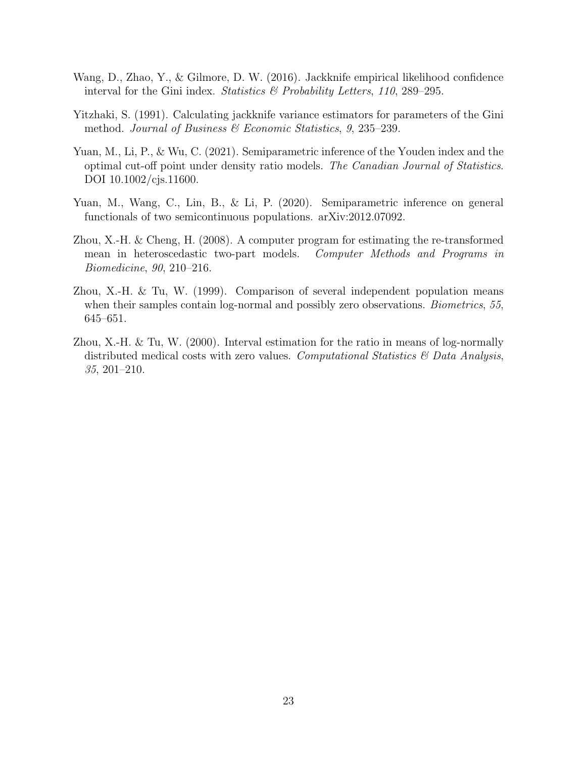- <span id="page-22-0"></span>Wang, D., Zhao, Y., & Gilmore, D. W. (2016). Jackknife empirical likelihood confidence interval for the Gini index. *Statistics & Probability Letters*, *110*, 289–295.
- <span id="page-22-4"></span>Yitzhaki, S. (1991). Calculating jackknife variance estimators for parameters of the Gini method. *Journal of Business & Economic Statistics*, *9*, 235–239.
- <span id="page-22-5"></span>Yuan, M., Li, P., & Wu, C. (2021). Semiparametric inference of the Youden index and the optimal cut-off point under density ratio models. *The Canadian Journal of Statistics*. DOI 10.1002/cjs.11600.
- Yuan, M., Wang, C., Lin, B., & Li, P. (2020). Semiparametric inference on general functionals of two semicontinuous populations. arXiv:2012.07092.
- <span id="page-22-3"></span>Zhou, X.-H. & Cheng, H. (2008). A computer program for estimating the re-transformed mean in heteroscedastic two-part models. *Computer Methods and Programs in Biomedicine*, *90*, 210–216.
- <span id="page-22-1"></span>Zhou, X.-H. & Tu, W. (1999). Comparison of several independent population means when their samples contain log-normal and possibly zero observations. *Biometrics*, *55*, 645–651.
- <span id="page-22-2"></span>Zhou, X.-H. & Tu, W. (2000). Interval estimation for the ratio in means of log-normally distributed medical costs with zero values. *Computational Statistics & Data Analysis*, *35*, 201–210.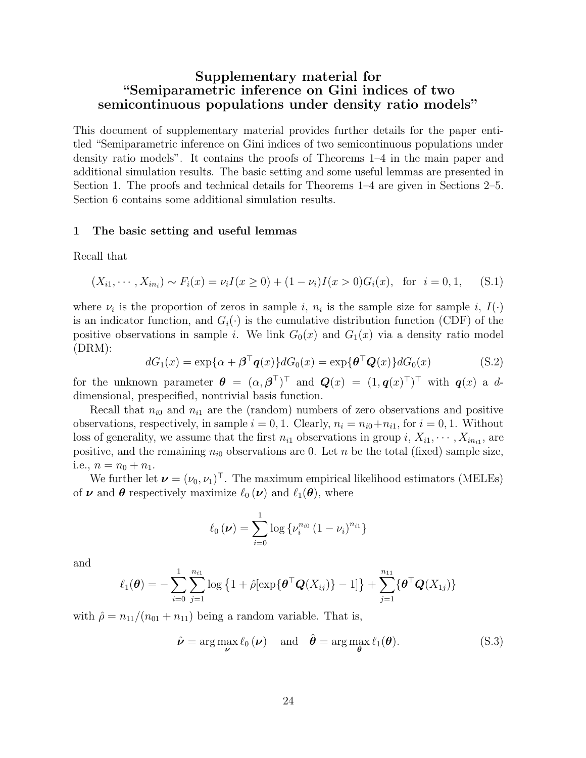# Supplementary material for "Semiparametric inference on Gini indices of two semicontinuous populations under density ratio models"

This document of supplementary material provides further details for the paper entitled "Semiparametric inference on Gini indices of two semicontinuous populations under density ratio models". It contains the proofs of Theorems 1–4 in the main paper and additional simulation results. The basic setting and some useful lemmas are presented in Section 1. The proofs and technical details for Theorems 1–4 are given in Sections 2–5. Section 6 contains some additional simulation results.

#### 1 The basic setting and useful lemmas

Recall that

<span id="page-23-0"></span>
$$
(X_{i1}, \cdots, X_{in_i}) \sim F_i(x) = \nu_i I(x \ge 0) + (1 - \nu_i) I(x > 0) G_i(x), \text{ for } i = 0, 1, \quad (S.1)
$$

where  $\nu_i$  is the proportion of zeros in sample *i*,  $n_i$  is the sample size for sample *i*,  $I(\cdot)$ is an indicator function, and  $G_i(\cdot)$  is the cumulative distribution function (CDF) of the positive observations in sample i. We link  $G_0(x)$  and  $G_1(x)$  via a density ratio model (DRM):

<span id="page-23-2"></span>
$$
dG_1(x) = \exp{\{\alpha + \beta^{\top} \mathbf{q}(x)\}} dG_0(x) = \exp{\{\mathbf{\theta}^{\top} \mathbf{Q}(x)\}} dG_0(x)
$$
(S.2)

for the unknown parameter  $\boldsymbol{\theta} = (\alpha, \boldsymbol{\beta}^{\top})^{\top}$  and  $\boldsymbol{Q}(x) = (1, \boldsymbol{q}(x)^{\top})^{\top}$  with  $\boldsymbol{q}(x)$  a ddimensional, prespecified, nontrivial basis function.

Recall that  $n_{i0}$  and  $n_{i1}$  are the (random) numbers of zero observations and positive observations, respectively, in sample  $i = 0, 1$ . Clearly,  $n_i = n_{i0} + n_{i1}$ , for  $i = 0, 1$ . Without loss of generality, we assume that the first  $n_{i1}$  observations in group  $i, X_{i1}, \dots, X_{in_{i1}}$ , are positive, and the remaining  $n_{i0}$  observations are 0. Let n be the total (fixed) sample size, i.e.,  $n = n_0 + n_1$ .

We further let  $\mathbf{v} = (\nu_0, \nu_1)^\top$ . The maximum empirical likelihood estimators (MELEs) of  $\nu$  and  $\theta$  respectively maximize  $\ell_0(\nu)$  and  $\ell_1(\theta)$ , where

$$
\ell_0(\nu) = \sum_{i=0}^{1} \log \{ \nu_i^{n_{i0}} (1 - \nu_i)^{n_{i1}} \}
$$

and

$$
\ell_1(\boldsymbol{\theta}) = -\sum_{i=0}^{1} \sum_{j=1}^{n_{i1}} \log \left\{ 1 + \hat{\rho}[\exp\{\boldsymbol{\theta}^\top \boldsymbol{Q}(X_{ij})\} - 1] \right\} + \sum_{j=1}^{n_{11}} \{ \boldsymbol{\theta}^\top \boldsymbol{Q}(X_{1j}) \}
$$

with  $\hat{\rho} = n_{11}/(n_{01} + n_{11})$  being a random variable. That is,

<span id="page-23-1"></span>
$$
\hat{\boldsymbol{\nu}} = \arg \max_{\boldsymbol{\nu}} \ell_0(\boldsymbol{\nu}) \quad \text{and} \quad \hat{\boldsymbol{\theta}} = \arg \max_{\boldsymbol{\theta}} \ell_1(\boldsymbol{\theta}). \tag{S.3}
$$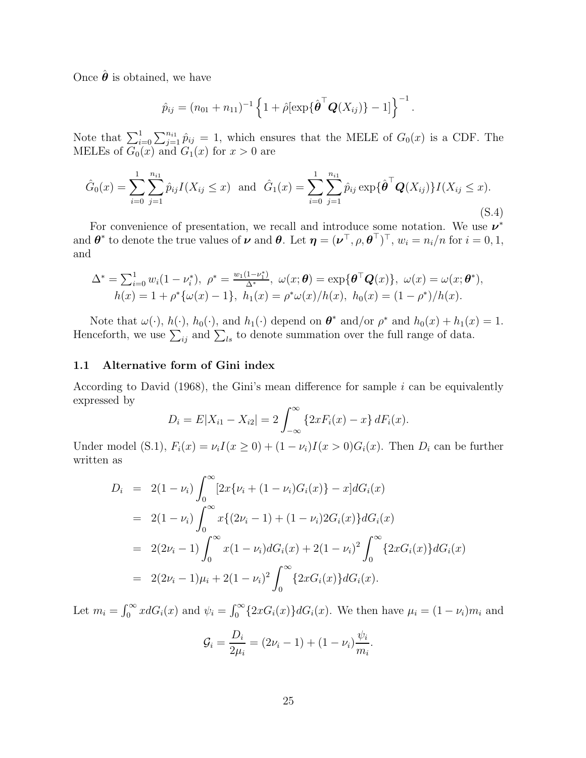Once  $\hat{\boldsymbol{\theta}}$  is obtained, we have

$$
\hat{p}_{ij} = (n_{01} + n_{11})^{-1} \left\{ 1 + \hat{\rho}[\exp\{\hat{\boldsymbol{\theta}}^\top \boldsymbol{Q}(X_{ij})\} - 1] \right\}^{-1}.
$$

Note that  $\sum_{i=0}^{1} \sum_{j=1}^{n_{i1}} \hat{p}_{ij} = 1$ , which ensures that the MELE of  $G_0(x)$  is a CDF. The MELEs of  $G_0(x)$  and  $G_1(x)$  for  $x > 0$  are

<span id="page-24-0"></span>
$$
\hat{G}_0(x) = \sum_{i=0}^1 \sum_{j=1}^{n_{i1}} \hat{p}_{ij} I(X_{ij} \le x) \text{ and } \hat{G}_1(x) = \sum_{i=0}^1 \sum_{j=1}^{n_{i1}} \hat{p}_{ij} \exp\{\hat{\boldsymbol{\theta}}^\top \mathbf{Q}(X_{ij})\} I(X_{ij} \le x).
$$
\n(S.4)

For convenience of presentation, we recall and introduce some notation. We use  $\nu^*$ and  $\boldsymbol{\theta}^*$  to denote the true values of  $\boldsymbol{\nu}$  and  $\boldsymbol{\theta}$ . Let  $\boldsymbol{\eta} = (\boldsymbol{\nu}^\top, \rho, \boldsymbol{\theta}^\top)^\top$ ,  $w_i = n_i/n$  for  $i = 0, 1$ , and

$$
\Delta^* = \sum_{i=0}^1 w_i (1 - \nu_i^*), \ \rho^* = \frac{w_1(1 - \nu_1^*)}{\Delta^*}, \ \omega(x; \boldsymbol{\theta}) = \exp\{\boldsymbol{\theta}^\top \boldsymbol{Q}(x)\}, \ \omega(x) = \omega(x; \boldsymbol{\theta}^*), h(x) = 1 + \rho^*\{\omega(x) - 1\}, \ h_1(x) = \rho^*\omega(x)/h(x), \ h_0(x) = (1 - \rho^*)/h(x).
$$

Note that  $\omega(\cdot)$ ,  $h(\cdot)$ ,  $h_0(\cdot)$ , and  $h_1(\cdot)$  depend on  $\boldsymbol{\theta}^*$  and/or  $\rho^*$  and  $h_0(x) + h_1(x) = 1$ . Henceforth, we use  $\sum_{ij}$  and  $\sum_{ls}$  to denote summation over the full range of data.

# 1.1 Alternative form of Gini index

According to [David \(1968\)](#page-48-0), the Gini's mean difference for sample  $i$  can be equivalently expressed by

$$
D_i = E|X_{i1} - X_{i2}| = 2 \int_{-\infty}^{\infty} \{2x F_i(x) - x\} dF_i(x).
$$

Under model [\(S.1\)](#page-23-0),  $F_i(x) = \nu_i I(x \geq 0) + (1 - \nu_i)I(x > 0)G_i(x)$ . Then  $D_i$  can be further written as

$$
D_i = 2(1 - \nu_i) \int_0^\infty [2x\{\nu_i + (1 - \nu_i)G_i(x)\} - x] dG_i(x)
$$
  
\n
$$
= 2(1 - \nu_i) \int_0^\infty x\{(2\nu_i - 1) + (1 - \nu_i)2G_i(x)\} dG_i(x)
$$
  
\n
$$
= 2(2\nu_i - 1) \int_0^\infty x(1 - \nu_i) dG_i(x) + 2(1 - \nu_i)^2 \int_0^\infty \{2xG_i(x)\} dG_i(x)
$$
  
\n
$$
= 2(2\nu_i - 1)\mu_i + 2(1 - \nu_i)^2 \int_0^\infty \{2xG_i(x)\} dG_i(x).
$$

Let  $m_i = \int_0^\infty x dG_i(x)$  and  $\psi_i = \int_0^\infty \{2xG_i(x)\} dG_i(x)$ . We then have  $\mu_i = (1 - \nu_i)m_i$  and

$$
\mathcal{G}_i = \frac{D_i}{2\mu_i} = (2\nu_i - 1) + (1 - \nu_i) \frac{\psi_i}{m_i}.
$$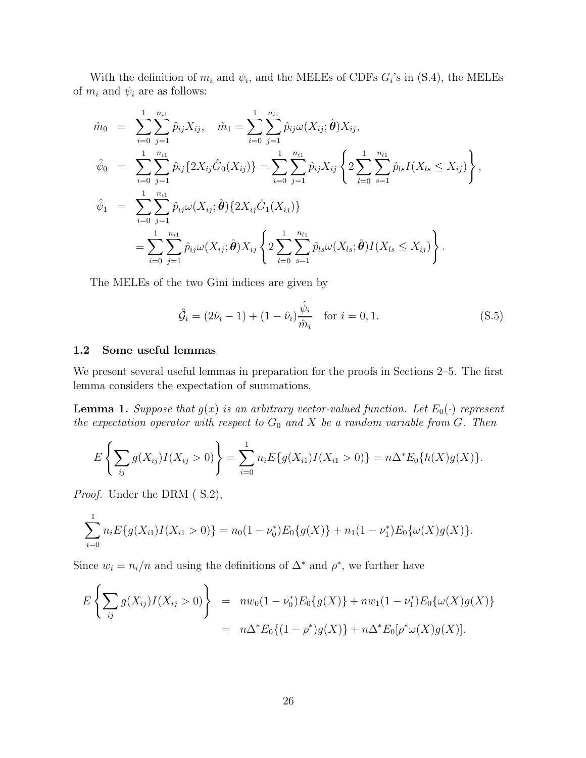With the definition of  $m_i$  and  $\psi_i$ , and the MELEs of CDFs  $G_i$ 's in [\(S.4\)](#page-24-0), the MELEs of  $m_i$  and  $\psi_i$  are as follows:

$$
\hat{m}_{0} = \sum_{i=0}^{1} \sum_{j=1}^{n_{i1}} \hat{p}_{ij} X_{ij}, \quad \hat{m}_{1} = \sum_{i=0}^{1} \sum_{j=1}^{n_{i1}} \hat{p}_{ij} \omega(X_{ij}; \hat{\boldsymbol{\theta}}) X_{ij},
$$
  
\n
$$
\hat{\psi}_{0} = \sum_{i=0}^{1} \sum_{j=1}^{n_{i1}} \hat{p}_{ij} \{2X_{ij} \hat{G}_{0}(X_{ij})\} = \sum_{i=0}^{1} \sum_{j=1}^{n_{i1}} \hat{p}_{ij} X_{ij} \left\{2 \sum_{l=0}^{1} \sum_{s=1}^{n_{l1}} \hat{p}_{ls} I(X_{ls} \le X_{ij})\right\},
$$
  
\n
$$
\hat{\psi}_{1} = \sum_{i=0}^{1} \sum_{j=1}^{n_{i1}} \hat{p}_{ij} \omega(X_{ij}; \hat{\boldsymbol{\theta}}) \{2X_{ij} \hat{G}_{1}(X_{ij})\}
$$
  
\n
$$
= \sum_{i=0}^{1} \sum_{j=1}^{n_{i1}} \hat{p}_{ij} \omega(X_{ij}; \hat{\boldsymbol{\theta}}) X_{ij} \left\{2 \sum_{l=0}^{1} \sum_{s=1}^{n_{l1}} \hat{p}_{ls} \omega(X_{ls}; \hat{\boldsymbol{\theta}}) I(X_{ls} \le X_{ij})\right\}.
$$

The MELEs of the two Gini indices are given by

$$
\hat{\mathcal{G}}_i = (2\hat{\nu}_i - 1) + (1 - \hat{\nu}_i) \frac{\hat{\psi}_i}{\hat{m}_i} \quad \text{for } i = 0, 1.
$$
 (S.5)

#### 1.2 Some useful lemmas

We present several useful lemmas in preparation for the proofs in Sections 2–5. The first lemma considers the expectation of summations.

<span id="page-25-0"></span>**Lemma 1.** *Suppose that*  $g(x)$  *is an arbitrary vector-valued function. Let*  $E_0(\cdot)$  *represent the expectation operator with respect to*  $G_0$  *and*  $X$  *be a random variable from*  $G$ *. Then* 

$$
E\left\{\sum_{ij} g(X_{ij})I(X_{ij} > 0)\right\} = \sum_{i=0}^{1} n_i E\{g(X_{i1})I(X_{i1} > 0)\} = n\Delta^* E_0\{h(X)g(X)\}.
$$

*Proof.* Under the DRM ( [S.2\)](#page-23-2),

$$
\sum_{i=0}^{1} n_i E\{g(X_{i1})I(X_{i1} > 0)\} = n_0(1 - \nu_0^*)E_0\{g(X)\} + n_1(1 - \nu_1^*)E_0\{\omega(X)g(X)\}.
$$

Since  $w_i = n_i/n$  and using the definitions of  $\Delta^*$  and  $\rho^*$ , we further have

$$
E\left\{\sum_{ij} g(X_{ij})I(X_{ij} > 0)\right\} = n w_0 (1 - \nu_0^*) E_0\{g(X)\} + n w_1 (1 - \nu_1^*) E_0\{\omega(X)g(X)\}
$$
  
=  $n\Delta^* E_0\{(1 - \rho^*)g(X)\} + n\Delta^* E_0[\rho^* \omega(X)g(X)].$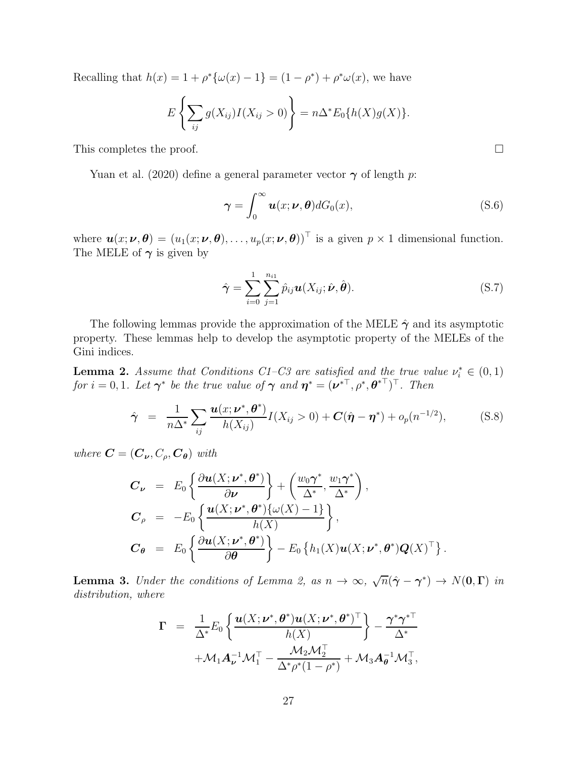Recalling that  $h(x) = 1 + \rho^* \{ \omega(x) - 1 \} = (1 - \rho^*) + \rho^* \omega(x)$ , we have

$$
E\left\{\sum_{ij}g(X_{ij})I(X_{ij}>0)\right\}=n\Delta^*E_0\{h(X)g(X)\}.
$$

This completes the proof.  $\Box$ 

[Yuan et al. \(2020\)](#page-48-2) define a general parameter vector  $\gamma$  of length p:

<span id="page-26-3"></span>
$$
\boldsymbol{\gamma} = \int_0^\infty \boldsymbol{u}(x; \boldsymbol{\nu}, \boldsymbol{\theta}) dG_0(x), \tag{S.6}
$$

where  $\mathbf{u}(x; \boldsymbol{\nu}, \boldsymbol{\theta}) = (u_1(x; \boldsymbol{\nu}, \boldsymbol{\theta}), \dots, u_p(x; \boldsymbol{\nu}, \boldsymbol{\theta}))^\top$  is a given  $p \times 1$  dimensional function. The MELE of  $\gamma$  is given by

<span id="page-26-4"></span>
$$
\hat{\boldsymbol{\gamma}} = \sum_{i=0}^{1} \sum_{j=1}^{n_{i1}} \hat{p}_{ij} \boldsymbol{u}(X_{ij}; \hat{\boldsymbol{\nu}}, \hat{\boldsymbol{\theta}}).
$$
 (S.7)

The following lemmas provide the approximation of the MELE  $\hat{\gamma}$  and its asymptotic property. These lemmas help to develop the asymptotic property of the MELEs of the Gini indices.

<span id="page-26-0"></span>**Lemma 2.** Assume that Conditions C1–C3 are satisfied and the true value  $\nu_i^* \in (0,1)$ *for*  $i = 0, 1$ *. Let*  $\boldsymbol{\gamma}^*$  *be the true value of*  $\boldsymbol{\gamma}$  *and*  $\boldsymbol{\eta}^* = (\boldsymbol{\nu}^{*T}, \rho^*, \boldsymbol{\theta}^{*T})^T$ *. Then* 

<span id="page-26-2"></span>
$$
\hat{\boldsymbol{\gamma}} = \frac{1}{n\Delta^*} \sum_{ij} \frac{\boldsymbol{u}(x; \boldsymbol{\nu}^*, \boldsymbol{\theta}^*)}{h(X_{ij})} I(X_{ij} > 0) + \boldsymbol{C}(\hat{\boldsymbol{\eta}} - \boldsymbol{\eta}^*) + o_p(n^{-1/2}), \tag{S.8}
$$

*where*  $\mathbf{C} = (\mathbf{C}_{\nu}, C_{\theta}, \mathbf{C}_{\theta})$  *with* 

$$
C_{\nu} = E_0 \left\{ \frac{\partial u(X; \nu^*, \theta^*)}{\partial \nu} \right\} + \left( \frac{w_0 \gamma^*}{\Delta^*}, \frac{w_1 \gamma^*}{\Delta^*} \right),
$$
  
\n
$$
C_{\rho} = -E_0 \left\{ \frac{u(X; \nu^*, \theta^*) \{ \omega(X) - 1 \}}{h(X)} \right\},
$$
  
\n
$$
C_{\theta} = E_0 \left\{ \frac{\partial u(X; \nu^*, \theta^*)}{\partial \theta} \right\} - E_0 \left\{ h_1(X) u(X; \nu^*, \theta^*) Q(X)^\top \right\}.
$$

<span id="page-26-1"></span>**Lemma 3.** *Under the conditions of Lemma [2,](#page-26-0) as*  $n \to \infty$ ,  $\sqrt{n}(\hat{\gamma} - \gamma^*) \to N(0, \Gamma)$  *in distribution, where*

$$
\mathbf{\Gamma} = \frac{1}{\Delta^*} E_0 \left\{ \frac{\boldsymbol{u}(X; \boldsymbol{\nu}^*, \boldsymbol{\theta}^*) \boldsymbol{u}(X; \boldsymbol{\nu}^*, \boldsymbol{\theta}^*)^\top}{h(X)} \right\} - \frac{\boldsymbol{\gamma}^* \boldsymbol{\gamma}^{*\top}}{\Delta^*} + \mathcal{M}_1 \boldsymbol{A}_{\boldsymbol{\nu}}^{-1} \mathcal{M}_1^\top - \frac{\mathcal{M}_2 \mathcal{M}_2^\top}{\Delta^* \rho^*(1 - \rho^*)} + \mathcal{M}_3 \boldsymbol{A}_{\boldsymbol{\theta}}^{-1} \mathcal{M}_3^\top,
$$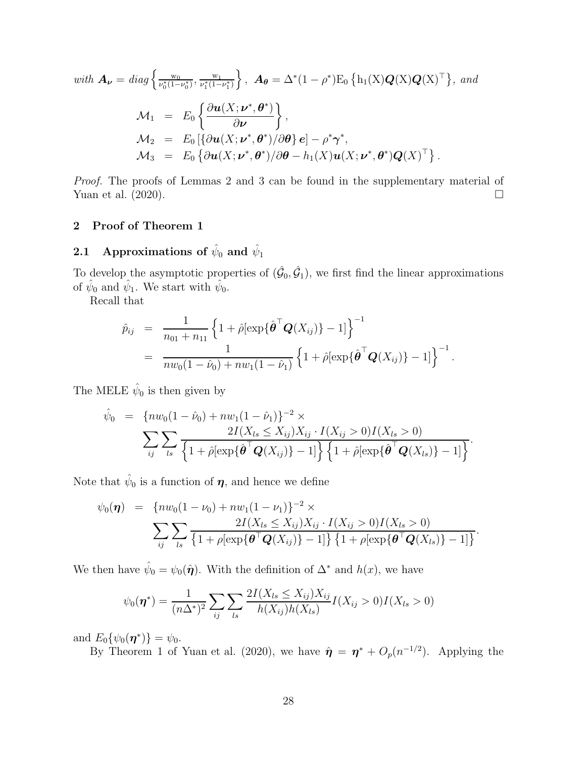with 
$$
\mathbf{A}_{\nu} = diag \left\{ \frac{w_0}{\nu_0^*(1-\nu_0^*)}, \frac{w_1}{\nu_1^*(1-\nu_1^*)} \right\}, \ \mathbf{A}_{\theta} = \Delta^*(1-\rho^*) E_0 \left\{ h_1(X) \mathbf{Q}(X) \mathbf{Q}(X)^{\top} \right\}, \ \text{and}
$$
  
\n
$$
\mathcal{M}_1 = E_0 \left\{ \frac{\partial \mathbf{u}(X; \nu^*, \theta^*)}{\partial \nu} \right\},
$$
\n
$$
\mathcal{M}_2 = E_0 \left[ \{ \partial \mathbf{u}(X; \nu^*, \theta^*) / \partial \theta \} \mathbf{e} \right] - \rho^* \boldsymbol{\gamma}^*,
$$
\n
$$
\mathcal{M}_3 = E_0 \left\{ \partial \mathbf{u}(X; \nu^*, \theta^*) / \partial \theta - h_1(X) \mathbf{u}(X; \nu^*, \theta^*) \mathbf{Q}(X)^{\top} \right\}.
$$

*Proof.* The proofs of Lemmas [2](#page-26-0) and [3](#page-26-1) can be found in the supplementary material of Yuan et al.  $(2020)$ .

# <span id="page-27-1"></span><span id="page-27-0"></span>2 Proof of Theorem 1

# 2.1 Approximations of  $\hat\psi_0$  and  $\hat\psi_1$

To develop the asymptotic properties of  $(\hat{\mathcal{G}}_0, \hat{\mathcal{G}}_1)$ , we first find the linear approximations of  $\hat{\psi}_0$  and  $\hat{\psi}_1$ . We start with  $\hat{\psi}_0$ .

Recall that

$$
\hat{p}_{ij} = \frac{1}{n_{01} + n_{11}} \left\{ 1 + \hat{\rho} [\exp\{\hat{\boldsymbol{\theta}}^\top \mathbf{Q}(X_{ij})\} - 1] \right\}^{-1} \n= \frac{1}{n w_0 (1 - \hat{\nu}_0) + n w_1 (1 - \hat{\nu}_1)} \left\{ 1 + \hat{\rho} [\exp\{\hat{\boldsymbol{\theta}}^\top \mathbf{Q}(X_{ij})\} - 1] \right\}^{-1}.
$$

The MELE  $\hat{\psi}_0$  is then given by

$$
\hat{\psi}_0 = \left\{ n w_0 (1 - \hat{\nu}_0) + n w_1 (1 - \hat{\nu}_1) \right\}^{-2} \times \n\sum_{ij} \sum_{ls} \frac{2I(X_{ls} \le X_{ij}) X_{ij} \cdot I(X_{ij} > 0) I(X_{ls} > 0)}{\left\{ 1 + \hat{\rho} [\exp\{\hat{\boldsymbol{\theta}}^\top \mathbf{Q}(X_{ij})\} - 1] \right\} \left\{ 1 + \hat{\rho} [\exp\{\hat{\boldsymbol{\theta}}^\top \mathbf{Q}(X_{ls})\} - 1] \right\}}.
$$

Note that  $\hat{\psi}_0$  is a function of  $\eta$ , and hence we define

$$
\psi_0(\boldsymbol{\eta}) = \left\{ n w_0 (1 - \nu_0) + n w_1 (1 - \nu_1) \right\}^{-2} \times \\ \sum_{ij} \sum_{ls} \frac{2I(X_{ls} \le X_{ij}) X_{ij} \cdot I(X_{ij} > 0) I(X_{ls} > 0)}{\left\{ 1 + \rho [\exp\{\boldsymbol{\theta}^\top \boldsymbol{Q}(X_{ij})\} - 1] \right\} \left\{ 1 + \rho [\exp\{\boldsymbol{\theta}^\top \boldsymbol{Q}(X_{ls})\} - 1] \right\}}.
$$

We then have  $\hat{\psi}_0 = \psi_0(\hat{\eta})$ . With the definition of  $\Delta^*$  and  $h(x)$ , we have

$$
\psi_0(\boldsymbol{\eta}^*) = \frac{1}{(n\Delta^*)^2} \sum_{ij} \sum_{ls} \frac{2I(X_{ls} \le X_{ij})X_{ij}}{h(X_{ij})h(X_{ls})} I(X_{ij} > 0) I(X_{ls} > 0)
$$

and  $E_0\{\psi_0(\eta^*)\} = \psi_0$ .

By Theorem 1 of [Yuan et al. \(2020\)](#page-48-2), we have  $\hat{\eta} = \eta^* + O_p(n^{-1/2})$ . Applying the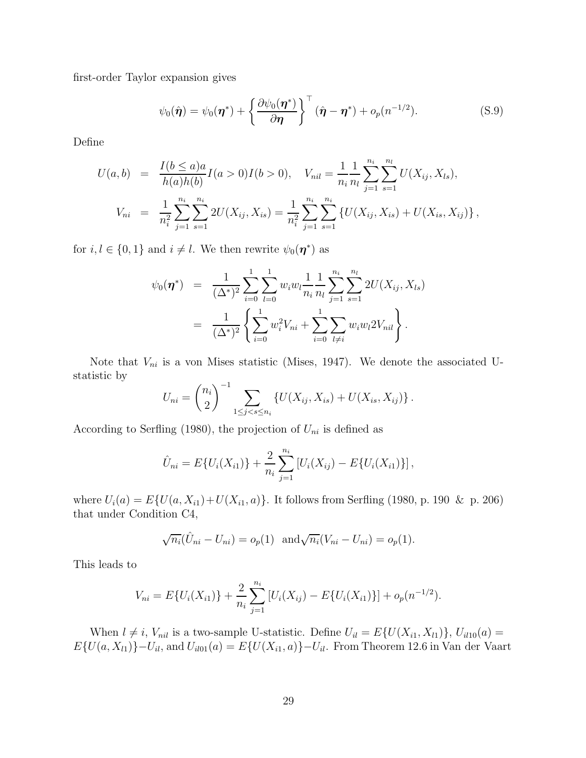first-order Taylor expansion gives

<span id="page-28-0"></span>
$$
\psi_0(\hat{\boldsymbol{\eta}}) = \psi_0(\boldsymbol{\eta}^*) + \left\{ \frac{\partial \psi_0(\boldsymbol{\eta}^*)}{\partial \boldsymbol{\eta}} \right\}^\top (\hat{\boldsymbol{\eta}} - \boldsymbol{\eta}^*) + o_p(n^{-1/2}). \tag{S.9}
$$

Define

$$
U(a,b) = \frac{I(b \le a)a}{h(a)h(b)}I(a > 0)I(b > 0), \quad V_{nil} = \frac{1}{n_i} \frac{1}{n_l} \sum_{j=1}^{n_i} \sum_{s=1}^{n_l} U(X_{ij}, X_{ls}),
$$
  

$$
V_{ni} = \frac{1}{n_i^2} \sum_{j=1}^{n_i} \sum_{s=1}^{n_i} 2U(X_{ij}, X_{is}) = \frac{1}{n_i^2} \sum_{j=1}^{n_i} \sum_{s=1}^{n_i} \{U(X_{ij}, X_{is}) + U(X_{is}, X_{ij})\},
$$

for  $i, l \in \{0, 1\}$  and  $i \neq l$ . We then rewrite  $\psi_0(\eta^*)$  as

$$
\psi_0(\boldsymbol{\eta}^*) = \frac{1}{(\Delta^*)^2} \sum_{i=0}^1 \sum_{l=0}^1 w_i w_l \frac{1}{n_i} \frac{1}{n_l} \sum_{j=1}^{n_i} \sum_{s=1}^{n_l} 2U(X_{ij}, X_{ls})
$$

$$
= \frac{1}{(\Delta^*)^2} \left\{ \sum_{i=0}^1 w_i^2 V_{ni} + \sum_{i=0}^1 \sum_{l \neq i} w_i w_l 2V_{nil} \right\}.
$$

Note that  $V_{ni}$  is a von Mises statistic [\(Mises](#page-48-3), [1947\)](#page-48-3). We denote the associated Ustatistic by

$$
U_{ni} = {n_i \choose 2}^{-1} \sum_{1 \le j < s \le n_i} \{U(X_{ij}, X_{is}) + U(X_{is}, X_{ij})\}.
$$

According to [Serfling \(1980\)](#page-48-4), the projection of  $U_{ni}$  is defined as

$$
\hat{U}_{ni} = E\{U_i(X_{i1})\} + \frac{2}{n_i} \sum_{j=1}^{n_i} [U_i(X_{ij}) - E\{U_i(X_{i1})\}],
$$

where  $U_i(a) = E\{U(a, X_{i1}) + U(X_{i1}, a)\}\.$  It follows from [Serfling \(1980,](#page-48-4) p. 190 & p. 206) that under Condition C4,

$$
\sqrt{n_i}(\hat{U}_{ni} - U_{ni}) = o_p(1)
$$
 and  $\sqrt{n_i}(V_{ni} - U_{ni}) = o_p(1)$ .

This leads to

$$
V_{ni} = E\{U_i(X_{i1})\} + \frac{2}{n_i} \sum_{j=1}^{n_i} [U_i(X_{ij}) - E\{U_i(X_{i1})\}] + o_p(n^{-1/2}).
$$

When  $l \neq i$ ,  $V_{nil}$  is a two-sample U-statistic. Define  $U_{il} = E\{U(X_{i1}, X_{l1})\}, U_{il10}(a) =$  $E\{U(a, X_{l1})\}-U_{il}$ , and  $U_{il01}(a) = E\{U(X_{i1}, a)\}-U_{il}$ . From Theorem 12.6 in [Van der Vaart](#page-48-5)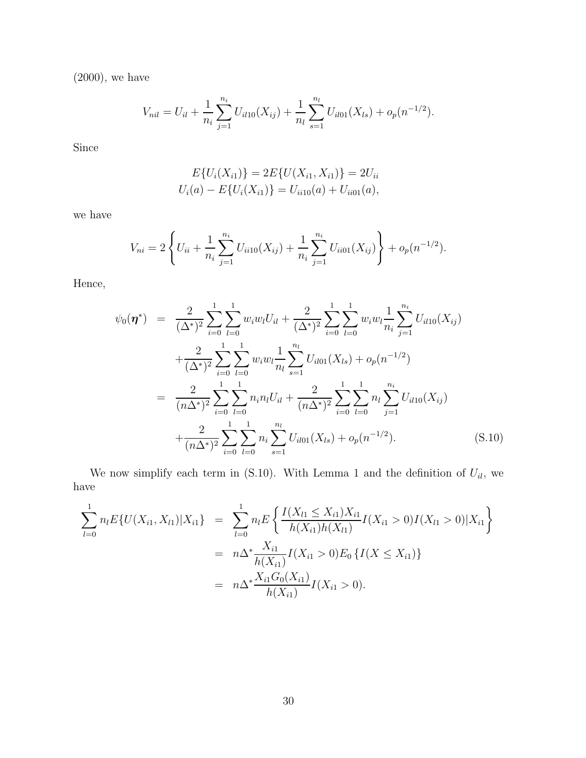[\(2000\)](#page-48-5), we have

$$
V_{nil} = U_{il} + \frac{1}{n_i} \sum_{j=1}^{n_i} U_{il10}(X_{ij}) + \frac{1}{n_i} \sum_{s=1}^{n_l} U_{il01}(X_{ls}) + o_p(n^{-1/2}).
$$

Since

$$
E{U_i(X_{i1})} = 2E{U(X_{i1}, X_{i1})} = 2U_{ii}
$$
  

$$
U_i(a) - E{U_i(X_{i1})} = U_{ii10}(a) + U_{ii01}(a),
$$

we have

$$
V_{ni} = 2\left\{U_{ii} + \frac{1}{n_i}\sum_{j=1}^{n_i} U_{ii10}(X_{ij}) + \frac{1}{n_i}\sum_{j=1}^{n_i} U_{ii01}(X_{ij})\right\} + o_p(n^{-1/2}).
$$

Hence,

<span id="page-29-0"></span>
$$
\psi_0(\boldsymbol{\eta}^*) = \frac{2}{(\Delta^*)^2} \sum_{i=0}^1 \sum_{l=0}^1 w_i w_l U_{il} + \frac{2}{(\Delta^*)^2} \sum_{i=0}^1 \sum_{l=0}^1 w_i w_l \frac{1}{n_i} \sum_{j=1}^{n_i} U_{il10}(X_{ij}) \n+ \frac{2}{(\Delta^*)^2} \sum_{i=0}^1 \sum_{l=0}^1 w_i w_l \frac{1}{n_l} \sum_{s=1}^{n_l} U_{il01}(X_{ls}) + o_p(n^{-1/2}) \n= \frac{2}{(n\Delta^*)^2} \sum_{i=0}^1 \sum_{l=0}^1 n_i n_l U_{il} + \frac{2}{(n\Delta^*)^2} \sum_{i=0}^1 \sum_{l=0}^1 n_l \sum_{j=1}^{n_i} U_{il10}(X_{ij}) \n+ \frac{2}{(n\Delta^*)^2} \sum_{i=0}^1 \sum_{l=0}^1 n_i \sum_{s=1}^{n_l} U_{il01}(X_{ls}) + o_p(n^{-1/2}). \tag{S.10}
$$

We now simplify each term in [\(S.10\)](#page-29-0). With Lemma [1](#page-25-0) and the definition of  $U_{il}$ , we have

$$
\sum_{l=0}^{1} n_l E\{U(X_{i1}, X_{l1}) | X_{i1}\} = \sum_{l=0}^{1} n_l E\left\{\frac{I(X_{l1} \le X_{i1}) X_{i1}}{h(X_{i1}) h(X_{l1})} I(X_{i1} > 0) I(X_{l1} > 0) | X_{i1}\right\}
$$

$$
= n\Delta^* \frac{X_{i1}}{h(X_{i1})} I(X_{i1} > 0) E_0 \{I(X \le X_{i1})\}
$$

$$
= n\Delta^* \frac{X_{i1} G_0(X_{i1})}{h(X_{i1})} I(X_{i1} > 0).
$$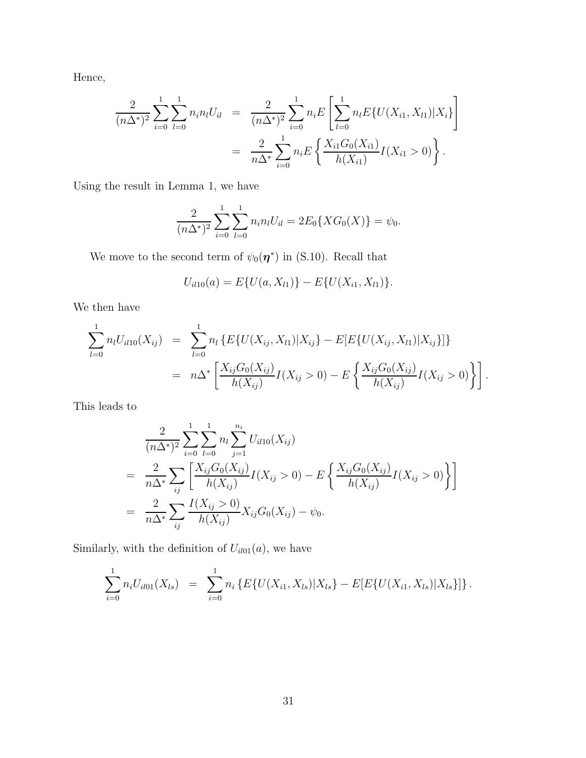Hence,

$$
\frac{2}{(n\Delta^*)^2} \sum_{i=0}^1 \sum_{l=0}^1 n_i n_l U_{il} = \frac{2}{(n\Delta^*)^2} \sum_{i=0}^1 n_i E\left[\sum_{l=0}^1 n_l E\{U(X_{i1}, X_{l1})|X_i\}\right]
$$

$$
= \frac{2}{n\Delta^*} \sum_{i=0}^1 n_i E\left\{\frac{X_{i1} G_0(X_{i1})}{h(X_{i1})} I(X_{i1} > 0)\right\}.
$$

Using the result in Lemma [1,](#page-25-0) we have

$$
\frac{2}{(n\Delta^*)^2} \sum_{i=0}^1 \sum_{l=0}^1 n_i n_l U_{il} = 2E_0 \{ XG_0(X) \} = \psi_0.
$$

We move to the second term of  $\psi_0(\eta^*)$  in [\(S.10\)](#page-29-0). Recall that

$$
U_{il10}(a) = E\{U(a, X_{l1})\} - E\{U(X_{i1}, X_{l1})\}.
$$

We then have

$$
\sum_{l=0}^{1} n_l U_{il10}(X_{ij}) = \sum_{l=0}^{1} n_l \{ E\{ U(X_{ij}, X_{l1}) | X_{ij} \} - E[E\{ U(X_{ij}, X_{l1}) | X_{ij} \}]\}
$$
  
= 
$$
n\Delta^* \left[ \frac{X_{ij} G_0(X_{ij})}{h(X_{ij})} I(X_{ij} > 0) - E \left\{ \frac{X_{ij} G_0(X_{ij})}{h(X_{ij})} I(X_{ij} > 0) \right\} \right].
$$

This leads to

$$
\frac{2}{(n\Delta^*)^2} \sum_{i=0}^1 \sum_{l=0}^1 n_l \sum_{j=1}^{n_i} U_{il10}(X_{ij})
$$
\n
$$
= \frac{2}{n\Delta^*} \sum_{ij} \left[ \frac{X_{ij} G_0(X_{ij})}{h(X_{ij})} I(X_{ij} > 0) - E \left\{ \frac{X_{ij} G_0(X_{ij})}{h(X_{ij})} I(X_{ij} > 0) \right\} \right]
$$
\n
$$
= \frac{2}{n\Delta^*} \sum_{ij} \frac{I(X_{ij} > 0)}{h(X_{ij})} X_{ij} G_0(X_{ij}) - \psi_0.
$$

Similarly, with the definition of  $U_{i l 0 1}(a)$ , we have

$$
\sum_{i=0}^{1} n_i U_{i01}(X_{ls}) = \sum_{i=0}^{1} n_i \{ E\{ U(X_{i1}, X_{ls}) | X_{ls} \} - E[E\{ U(X_{i1}, X_{ls}) | X_{ls} \}]\}.
$$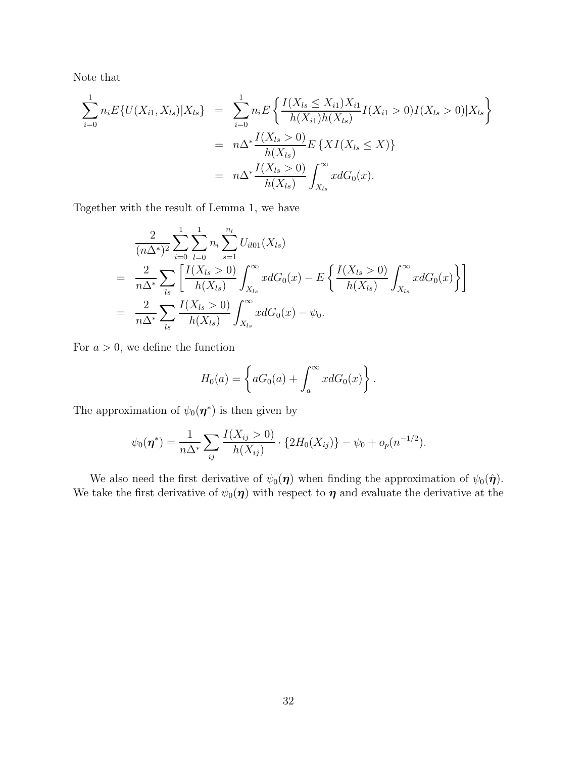Note that

$$
\sum_{i=0}^{1} n_i E\{U(X_{i1}, X_{ls})|X_{ls}\} = \sum_{i=0}^{1} n_i E\left\{\frac{I(X_{ls} \le X_{i1})X_{i1}}{h(X_{i1})h(X_{ls})}I(X_{i1} > 0)I(X_{ls} > 0)|X_{ls}\right\}
$$

$$
= n\Delta^* \frac{I(X_{ls} > 0)}{h(X_{ls})}E\{XI(X_{ls} \le X)\}
$$

$$
= n\Delta^* \frac{I(X_{ls} > 0)}{h(X_{ls})} \int_{X_{ls}}^{\infty} x dG_0(x).
$$

Together with the result of Lemma [1,](#page-25-0) we have

$$
\frac{2}{(n\Delta^*)^2} \sum_{i=0}^1 \sum_{l=0}^1 n_i \sum_{s=1}^{n_l} U_{il01}(X_{ls})
$$
\n
$$
= \frac{2}{n\Delta^*} \sum_{ls} \left[ \frac{I(X_{ls} > 0)}{h(X_{ls})} \int_{X_{ls}}^{\infty} x dG_0(x) - E \left\{ \frac{I(X_{ls} > 0)}{h(X_{ls})} \int_{X_{ls}}^{\infty} x dG_0(x) \right\} \right]
$$
\n
$$
= \frac{2}{n\Delta^*} \sum_{ls} \frac{I(X_{ls} > 0)}{h(X_{ls})} \int_{X_{ls}}^{\infty} x dG_0(x) - \psi_0.
$$

For  $a > 0$ , we define the function

$$
H_0(a) = \left\{ aG_0(a) + \int_a^{\infty} x dG_0(x) \right\}.
$$

The approximation of  $\psi_0(\eta^*)$  is then given by

$$
\psi_0(\boldsymbol{\eta}^*) = \frac{1}{n\Delta^*} \sum_{ij} \frac{I(X_{ij} > 0)}{h(X_{ij})} \cdot \{2H_0(X_{ij})\} - \psi_0 + o_p(n^{-1/2}).
$$

We also need the first derivative of  $\psi_0(\eta)$  when finding the approximation of  $\psi_0(\hat{\eta})$ . We take the first derivative of  $\psi_0(\eta)$  with respect to  $\eta$  and evaluate the derivative at the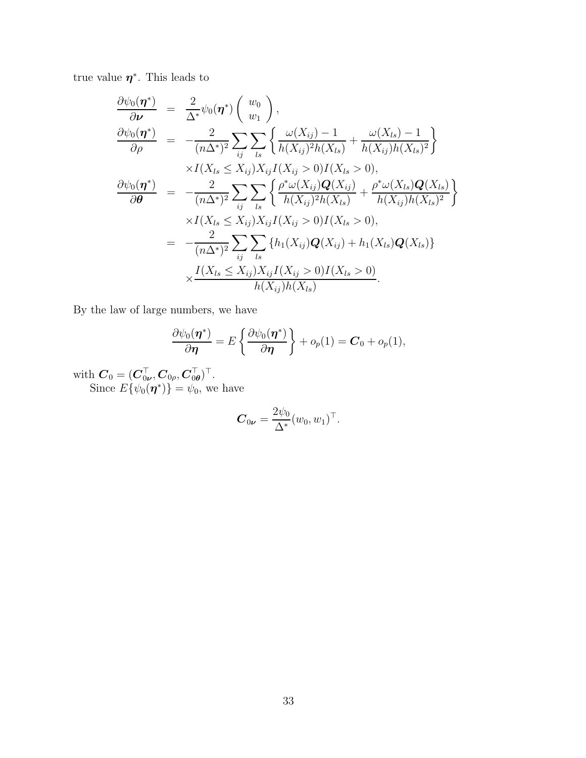true value  $\eta^*$ . This leads to

$$
\frac{\partial \psi_0(\eta^*)}{\partial \nu} = \frac{2}{\Delta^*} \psi_0(\eta^*) \left( \begin{array}{c} w_0 \\ w_1 \end{array} \right), \n\frac{\partial \psi_0(\eta^*)}{\partial \rho} = -\frac{2}{(n\Delta^*)^2} \sum_{ij} \sum_{ls} \left\{ \frac{\omega(X_{ij}) - 1}{h(X_{ij})^2 h(X_{ls})} + \frac{\omega(X_{ls}) - 1}{h(X_{ij}) h(X_{ls})^2} \right\} \n\times I(X_{ls} \le X_{ij}) X_{ij} I(X_{ij} > 0) I(X_{ls} > 0), \n\frac{\partial \psi_0(\eta^*)}{\partial \theta} = -\frac{2}{(n\Delta^*)^2} \sum_{ij} \sum_{ls} \left\{ \frac{\rho^* \omega(X_{ij}) \mathbf{Q}(X_{ij})}{h(X_{ij})^2 h(X_{ls})} + \frac{\rho^* \omega(X_{ls}) \mathbf{Q}(X_{ls})}{h(X_{ij}) h(X_{ls})^2} \right\} \n\times I(X_{ls} \le X_{ij}) X_{ij} I(X_{ij} > 0) I(X_{ls} > 0), \n= -\frac{2}{(n\Delta^*)^2} \sum_{ij} \sum_{ls} \{ h_1(X_{ij}) \mathbf{Q}(X_{ij}) + h_1(X_{ls}) \mathbf{Q}(X_{ls}) \} \n\times \frac{I(X_{ls} \le X_{ij}) X_{ij} I(X_{ij} > 0) I(X_{ls} > 0)}{h(X_{ij}) h(X_{ls})}.
$$

By the law of large numbers, we have

$$
\frac{\partial \psi_0(\boldsymbol{\eta}^*)}{\partial \boldsymbol{\eta}} = E\left\{\frac{\partial \psi_0(\boldsymbol{\eta}^*)}{\partial \boldsymbol{\eta}}\right\} + o_p(1) = \boldsymbol{C}_0 + o_p(1),
$$

with  $\boldsymbol{C}_0 = (\boldsymbol{C}_{0\boldsymbol{\nu}}^\top, \boldsymbol{C}_{0\boldsymbol{\rho}} , \boldsymbol{C}_{0\boldsymbol{\theta}}^\top)^\top.$ Since  $E\{\psi_0(\boldsymbol{\eta}^*)\} = \psi_0$ , we have

$$
C_{0\nu} = \frac{2\psi_0}{\Delta^*} (w_0, w_1)^\top.
$$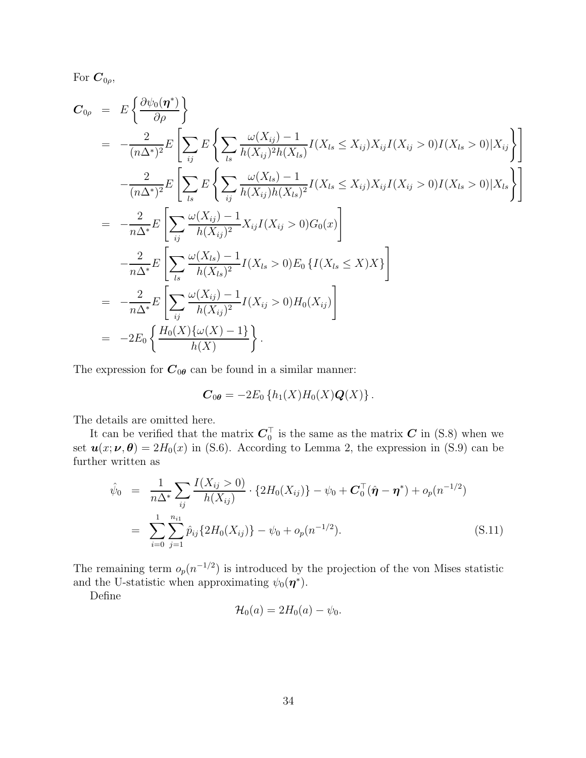For  $C_{0\rho}$ ,

$$
C_{0\rho} = E\left\{\frac{\partial \psi_0(\eta^*)}{\partial \rho}\right\}
$$
  
\n
$$
= -\frac{2}{(n\Delta^*)^2} E\left[\sum_{ij} E\left\{\sum_{ls} \frac{\omega(X_{ij}) - 1}{h(X_{ij})^2 h(X_{ls})} I(X_{ls} \le X_{ij}) X_{ij} I(X_{ls} > 0) I(X_{ls} > 0)|X_{ij}\right\}\right]
$$
  
\n
$$
- \frac{2}{(n\Delta^*)^2} E\left[\sum_{ls} E\left\{\sum_{ij} \frac{\omega(X_{ls}) - 1}{h(X_{ij})h(X_{ls})^2} I(X_{ls} \le X_{ij}) X_{ij} I(X_{ij} > 0) I(X_{ls} > 0)|X_{ls}\right\}\right]
$$
  
\n
$$
= -\frac{2}{n\Delta^*} E\left[\sum_{ij} \frac{\omega(X_{ij}) - 1}{h(X_{ij})^2} X_{ij} I(X_{ij} > 0) G_0(x)\right]
$$
  
\n
$$
- \frac{2}{n\Delta^*} E\left[\sum_{ls} \frac{\omega(X_{ls}) - 1}{h(X_{ls})^2} I(X_{ls} > 0) E_0 \{I(X_{ls} \le X)X\}\right]
$$
  
\n
$$
= -\frac{2}{n\Delta^*} E\left[\sum_{ij} \frac{\omega(X_{ij}) - 1}{h(X_{ij})^2} I(X_{ij} > 0) H_0(X_{ij})\right]
$$
  
\n
$$
= -2E_0 \left\{\frac{H_0(X)\{\omega(X) - 1\}}{h(X)}\right\}.
$$

The expression for  $C_{0\theta}$  can be found in a similar manner:

$$
C_{0\theta} = -2E_0 \{ h_1(X)H_0(X)Q(X) \} .
$$

The details are omitted here.

It can be verified that the matrix  $C_0^{\top}$  $\frac{1}{0}$  is the same as the matrix  $C$  in  $(S.8)$  when we set  $u(x; \nu, \theta) = 2H_0(x)$  in [\(S.6\)](#page-26-3). According to Lemma [2,](#page-26-0) the expression in [\(S.9\)](#page-28-0) can be further written as

<span id="page-33-0"></span>
$$
\hat{\psi}_0 = \frac{1}{n\Delta^*} \sum_{ij} \frac{I(X_{ij} > 0)}{h(X_{ij})} \cdot \{2H_0(X_{ij})\} - \psi_0 + \mathbf{C}_0^\top(\hat{\boldsymbol{\eta}} - \boldsymbol{\eta}^*) + o_p(n^{-1/2})
$$
\n
$$
= \sum_{i=0}^1 \sum_{j=1}^{n_{i1}} \hat{p}_{ij} \{2H_0(X_{ij})\} - \psi_0 + o_p(n^{-1/2}). \tag{S.11}
$$

The remaining term  $o_p(n^{-1/2})$  is introduced by the projection of the von Mises statistic and the U-statistic when approximating  $\psi_0(\eta^*).$ 

Define

$$
\mathcal{H}_0(a) = 2H_0(a) - \psi_0.
$$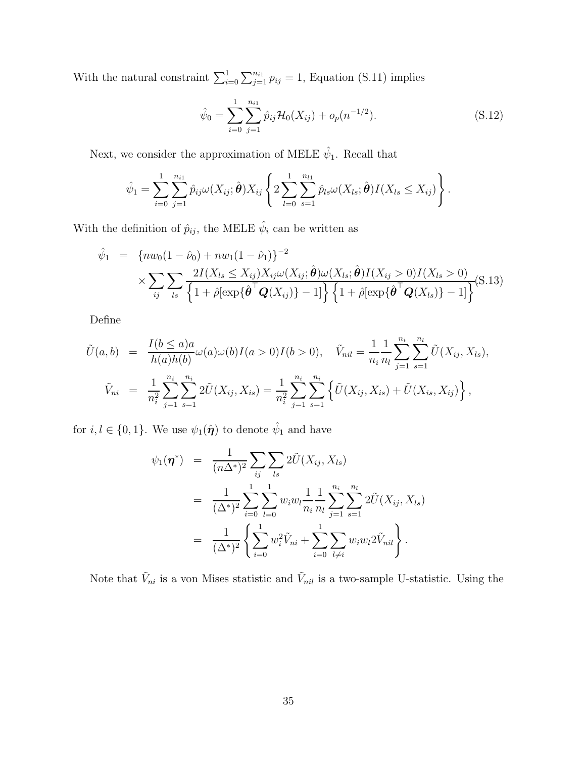With the natural constraint  $\sum_{i=0}^{1} \sum_{j=1}^{n_{i1}} p_{ij} = 1$ , Equation [\(S.11\)](#page-33-0) implies

<span id="page-34-1"></span>
$$
\hat{\psi}_0 = \sum_{i=0}^{1} \sum_{j=1}^{n_{i1}} \hat{p}_{ij} \mathcal{H}_0(X_{ij}) + o_p(n^{-1/2}).
$$
\n(S.12)

Next, we consider the approximation of MELE  $\hat{\psi}_1$ . Recall that

$$
\hat{\psi}_1 = \sum_{i=0}^1 \sum_{j=1}^{n_{i1}} \hat{p}_{ij} \omega(X_{ij}; \hat{\theta}) X_{ij} \left\{ 2 \sum_{l=0}^1 \sum_{s=1}^{n_{l1}} \hat{p}_{ls} \omega(X_{ls}; \hat{\theta}) I(X_{ls} \le X_{ij}) \right\}.
$$

With the definition of  $\hat{p}_{ij}$ , the MELE  $\hat{\psi}_i$  can be written as

<span id="page-34-0"></span>
$$
\hat{\psi}_1 = \{ n w_0 (1 - \hat{\nu}_0) + n w_1 (1 - \hat{\nu}_1) \}^{-2} \times \sum_{ij} \sum_{ls} \frac{2I(X_{ls} \le X_{ij}) X_{ij} \omega(X_{ij}; \hat{\boldsymbol{\theta}}) \omega(X_{ls}; \hat{\boldsymbol{\theta}}) I(X_{ij} > 0) I(X_{ls} > 0)}{\left\{ 1 + \hat{\rho} [\exp\{\hat{\boldsymbol{\theta}}^\top \mathbf{Q}(X_{ij})\} - 1] \right\} \left\{ 1 + \hat{\rho} [\exp\{\hat{\boldsymbol{\theta}}^\top \mathbf{Q}(X_{ls})\} - 1] \right\}} (\text{S.13})
$$

Define

$$
\tilde{U}(a,b) = \frac{I(b \le a)a}{h(a)h(b)} \omega(a)\omega(b)I(a > 0)I(b > 0), \quad \tilde{V}_{nil} = \frac{1}{n_i} \frac{1}{n_l} \sum_{j=1}^{n_i} \sum_{s=1}^{n_l} \tilde{U}(X_{ij}, X_{ls}),
$$
\n
$$
\tilde{V}_{ni} = \frac{1}{n_i^2} \sum_{j=1}^{n_i} \sum_{s=1}^{n_i} 2\tilde{U}(X_{ij}, X_{is}) = \frac{1}{n_i^2} \sum_{j=1}^{n_i} \sum_{s=1}^{n_i} \left\{ \tilde{U}(X_{ij}, X_{is}) + \tilde{U}(X_{is}, X_{ij}) \right\},
$$

for  $i, l \in \{0, 1\}$ . We use  $\psi_1(\hat{\eta})$  to denote  $\hat{\psi}_1$  and have

$$
\psi_1(\eta^*) = \frac{1}{(n\Delta^*)^2} \sum_{ij} \sum_{ls} 2\tilde{U}(X_{ij}, X_{ls})
$$
  
\n
$$
= \frac{1}{(\Delta^*)^2} \sum_{i=0}^1 \sum_{l=0}^1 w_i w_l \frac{1}{n_i} \frac{1}{n_l} \sum_{j=1}^{n_i} \sum_{s=1}^{n_l} 2\tilde{U}(X_{ij}, X_{ls})
$$
  
\n
$$
= \frac{1}{(\Delta^*)^2} \left\{ \sum_{i=0}^1 w_i^2 \tilde{V}_{ni} + \sum_{i=0}^1 \sum_{l \neq i} w_i w_l 2\tilde{V}_{nil} \right\}.
$$

Note that  $\tilde{V}_{ni}$  is a von Mises statistic and  $\tilde{V}_{nil}$  is a two-sample U-statistic. Using the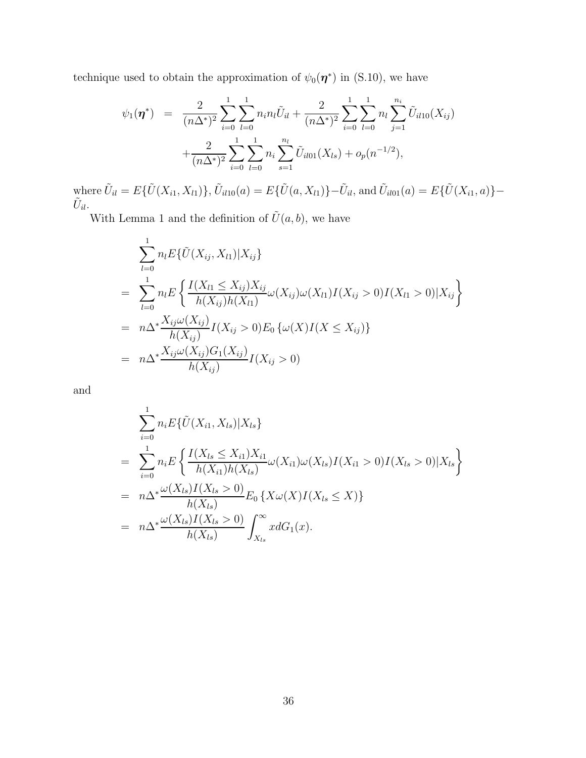technique used to obtain the approximation of  $\psi_0(\eta^*)$  in [\(S.10\)](#page-29-0), we have

$$
\psi_1(\boldsymbol{\eta}^*) = \frac{2}{(n\Delta^*)^2} \sum_{i=0}^1 \sum_{l=0}^1 n_i n_l \tilde{U}_{il} + \frac{2}{(n\Delta^*)^2} \sum_{i=0}^1 \sum_{l=0}^1 n_l \sum_{j=1}^{n_i} \tilde{U}_{il10}(X_{ij}) + \frac{2}{(n\Delta^*)^2} \sum_{i=0}^1 \sum_{l=0}^1 n_i \sum_{s=1}^{n_l} \tilde{U}_{il01}(X_{ls}) + o_p(n^{-1/2}),
$$

where  $\tilde{U}_{il} = E\{\tilde{U}(X_{i1}, X_{l1})\}, \tilde{U}_{il10}(a) = E\{\tilde{U}(a, X_{l1})\} - \tilde{U}_{il}$ , and  $\tilde{U}_{il01}(a) = E\{\tilde{U}(X_{i1}, a)\} - \tilde{U}_{il}$  $\tilde{U}_{il}$ .

With Lemma [1](#page-25-0) and the definition of  $\tilde{U}(a, b)$ , we have

$$
\sum_{l=0}^{1} n_l E\{\tilde{U}(X_{ij}, X_{l1}) | X_{ij}\}\
$$
\n
$$
= \sum_{l=0}^{1} n_l E\left\{\frac{I(X_{l1} \le X_{ij}) X_{ij}}{h(X_{ij}) h(X_{l1})} \omega(X_{l1}) I(X_{ij} > 0) I(X_{l1} > 0) | X_{ij}\right\}
$$
\n
$$
= n \Delta^* \frac{X_{ij} \omega(X_{ij})}{h(X_{ij})} I(X_{ij} > 0) E_0 \{ \omega(X) I(X \le X_{ij}) \}
$$
\n
$$
= n \Delta^* \frac{X_{ij} \omega(X_{ij}) G_1(X_{ij})}{h(X_{ij})} I(X_{ij} > 0)
$$

and

$$
\sum_{i=0}^{1} n_i E\{\tilde{U}(X_{i1}, X_{ls}) | X_{ls}\}
$$
\n
$$
= \sum_{i=0}^{1} n_i E\left\{\frac{I(X_{ls} \le X_{i1}) X_{i1}}{h(X_{i1}) h(X_{ls})} \omega(X_{i1}) \omega(X_{ls}) I(X_{i1} > 0) I(X_{ls} > 0) | X_{ls}\right\}
$$
\n
$$
= n\Delta^* \frac{\omega(X_{ls}) I(X_{ls} > 0)}{h(X_{ls})} E_0 \{X \omega(X) I(X_{ls} \le X)\}
$$
\n
$$
= n\Delta^* \frac{\omega(X_{ls}) I(X_{ls} > 0)}{h(X_{ls})} \int_{X_{ls}}^{\infty} x dG_1(x).
$$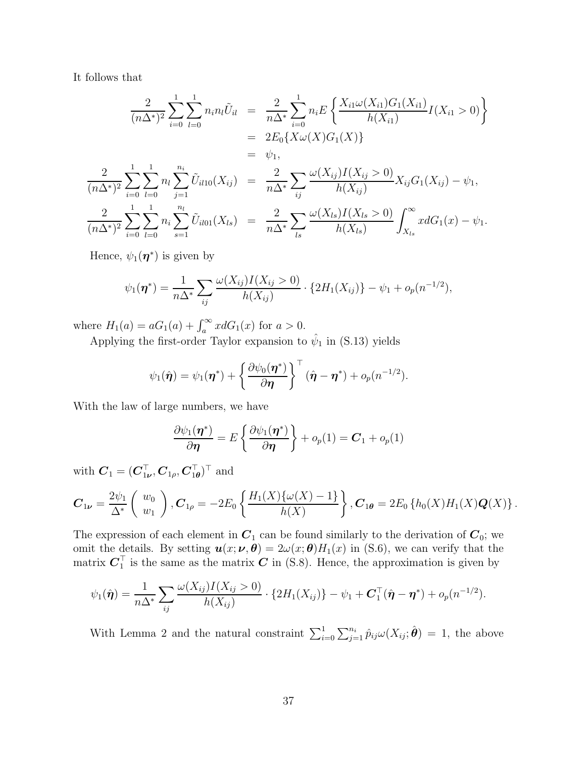It follows that

$$
\frac{2}{(n\Delta^*)^2} \sum_{i=0}^1 \sum_{l=0}^1 n_i n_l \tilde{U}_{il} = \frac{2}{n\Delta^*} \sum_{i=0}^1 n_i E \left\{ \frac{X_{i1}\omega(X_{i1})G_1(X_{i1})}{h(X_{i1})} I(X_{i1} > 0) \right\}
$$
  
\n
$$
= 2E_0 \{ X\omega(X)G_1(X) \}
$$
  
\n
$$
= \psi_1,
$$
  
\n
$$
\frac{2}{(n\Delta^*)^2} \sum_{i=0}^1 \sum_{l=0}^1 n_l \sum_{j=1}^{n_i} \tilde{U}_{il10}(X_{ij}) = \frac{2}{n\Delta^*} \sum_{ij} \frac{\omega(X_{ij})I(X_{ij} > 0)}{h(X_{ij})} X_{ij}G_1(X_{ij}) - \psi_1,
$$
  
\n
$$
\frac{2}{(n\Delta^*)^2} \sum_{i=0}^1 \sum_{l=0}^1 n_i \sum_{s=1}^{n_l} \tilde{U}_{il01}(X_{ls}) = \frac{2}{n\Delta^*} \sum_{ls} \frac{\omega(X_{ls})I(X_{ls} > 0)}{h(X_{ls})} \int_{X_{ls}}^{\infty} x dG_1(x) - \psi_1.
$$

Hence,  $\psi_1(\boldsymbol{\eta}^*)$  is given by

$$
\psi_1(\boldsymbol{\eta}^*) = \frac{1}{n\Delta^*} \sum_{ij} \frac{\omega(X_{ij}) I(X_{ij} > 0)}{h(X_{ij})} \cdot \{2H_1(X_{ij})\} - \psi_1 + o_p(n^{-1/2}),
$$

where  $H_1(a) = aG_1(a) + \int_a^{\infty} x dG_1(x)$  for  $a > 0$ .

Applying the first-order Taylor expansion to  $\hat{\psi}_1$  in [\(S.13\)](#page-34-0) yields

$$
\psi_1(\hat{\boldsymbol{\eta}}) = \psi_1(\boldsymbol{\eta}^*) + \left\{ \frac{\partial \psi_0(\boldsymbol{\eta}^*)}{\partial \boldsymbol{\eta}} \right\}^{\top} (\hat{\boldsymbol{\eta}} - \boldsymbol{\eta}^*) + o_p(n^{-1/2}).
$$

With the law of large numbers, we have

$$
\frac{\partial \psi_1(\boldsymbol{\eta}^*)}{\partial \boldsymbol{\eta}} = E\left\{\frac{\partial \psi_1(\boldsymbol{\eta}^*)}{\partial \boldsymbol{\eta}}\right\} + o_p(1) = \boldsymbol{C}_1 + o_p(1)
$$

with  $\boldsymbol{C}_1 = (\boldsymbol{C}_{1\boldsymbol{\nu}}^\top, \boldsymbol{C}_{1\boldsymbol{\rho}}, \boldsymbol{C}_{1\boldsymbol{\theta}}^\top)^\top$  and

$$
\boldsymbol{C}_{1\nu} = \frac{2\psi_1}{\Delta^*} \left( \begin{array}{c} w_0 \\ w_1 \end{array} \right), \boldsymbol{C}_{1\rho} = -2E_0 \left\{ \frac{H_1(X)\{\omega(X) - 1\}}{h(X)} \right\}, \boldsymbol{C}_{1\theta} = 2E_0 \left\{ h_0(X) H_1(X) \boldsymbol{Q}(X) \right\}.
$$

The expression of each element in  $C_1$  can be found similarly to the derivation of  $C_0$ ; we omit the details. By setting  $u(x; \nu, \theta) = 2\omega(x; \theta)H_1(x)$  in [\(S.6\)](#page-26-3), we can verify that the matrix  $\boldsymbol{C}_1^\top$  $\frac{1}{1}$  is the same as the matrix  $C$  in [\(S.8\)](#page-26-2). Hence, the approximation is given by

$$
\psi_1(\hat{\boldsymbol{\eta}}) = \frac{1}{n\Delta^*} \sum_{ij} \frac{\omega(X_{ij})I(X_{ij} > 0)}{h(X_{ij})} \cdot \{2H_1(X_{ij})\} - \psi_1 + \boldsymbol{C}_1^\top(\hat{\boldsymbol{\eta}} - \boldsymbol{\eta}^*) + o_p(n^{-1/2}).
$$

With Lemma [2](#page-26-0) and the natural constraint  $\sum_{i=0}^{1} \sum_{j=1}^{n_i} \hat{p}_{ij} \omega(X_{ij}; \hat{\theta}) = 1$ , the above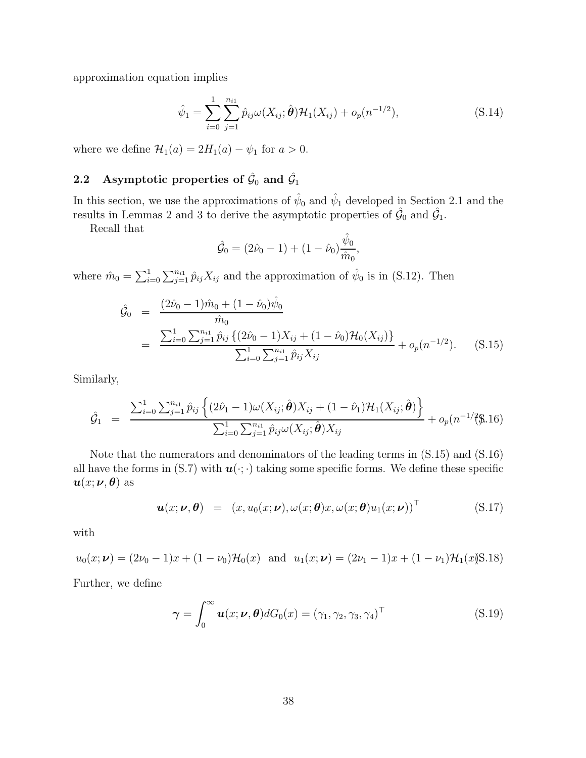approximation equation implies

<span id="page-37-0"></span>
$$
\hat{\psi}_1 = \sum_{i=0}^{1} \sum_{j=1}^{n_{i1}} \hat{p}_{ij} \omega(X_{ij}; \hat{\theta}) \mathcal{H}_1(X_{ij}) + o_p(n^{-1/2}), \tag{S.14}
$$

where we define  $\mathcal{H}_1(a) = 2H_1(a) - \psi_1$  for  $a > 0$ .

# 2.2 Asymptotic properties of  $\hat{\mathcal{G}}_0$  and  $\hat{\mathcal{G}}_1$

In this section, we use the approximations of  $\hat{\psi}_0$  and  $\hat{\psi}_1$  developed in Section [2.1](#page-27-1) and the results in Lemmas [2](#page-26-0) and [3](#page-26-1) to derive the asymptotic properties of  $\hat{G}_0$  and  $\hat{G}_1$ .

Recall that

$$
\hat{\mathcal{G}}_0 = (2\hat{\nu}_0 - 1) + (1 - \hat{\nu}_0) \frac{\hat{\psi}_0}{\hat{m}_0},
$$

where  $\hat{m}_0 = \sum_{i=0}^1 \sum_{j=1}^{n_{i1}} \hat{p}_{ij} X_{ij}$  and the approximation of  $\hat{\psi}_0$  is in [\(S.12\)](#page-34-1). Then

<span id="page-37-1"></span>
$$
\hat{\mathcal{G}}_0 = \frac{(2\hat{\nu}_0 - 1)\hat{m}_0 + (1 - \hat{\nu}_0)\hat{\psi}_0}{\hat{m}_0}
$$
\n
$$
= \frac{\sum_{i=0}^1 \sum_{j=1}^{n_{i1}} \hat{p}_{ij} \left\{ (2\hat{\nu}_0 - 1)X_{ij} + (1 - \hat{\nu}_0) \mathcal{H}_0(X_{ij}) \right\}}{\sum_{i=0}^1 \sum_{j=1}^{n_{i1}} \hat{p}_{ij} X_{ij}} + o_p(n^{-1/2}).
$$
\n(S.15)

Similarly,

<span id="page-37-2"></span>
$$
\hat{\mathcal{G}}_1 = \frac{\sum_{i=0}^1 \sum_{j=1}^{n_{i1}} \hat{p}_{ij} \left\{ (2\hat{\nu}_1 - 1) \omega(X_{ij}; \hat{\boldsymbol{\theta}}) X_{ij} + (1 - \hat{\nu}_1) \mathcal{H}_1(X_{ij}; \hat{\boldsymbol{\theta}}) \right\}}{\sum_{i=0}^1 \sum_{j=1}^{n_{i1}} \hat{p}_{ij} \omega(X_{ij}; \hat{\boldsymbol{\theta}}) X_{ij}} + o_p(n^{-1/2}).
$$

Note that the numerators and denominators of the leading terms in [\(S.15\)](#page-37-1) and [\(S.16\)](#page-37-2) all have the forms in [\(S.7\)](#page-26-4) with  $u(\cdot;\cdot)$  taking some specific forms. We define these specific  $u(x; \nu, \theta)$  as

<span id="page-37-3"></span>
$$
\boldsymbol{u}(x; \boldsymbol{\nu}, \boldsymbol{\theta}) = (x, u_0(x; \boldsymbol{\nu}), \omega(x; \boldsymbol{\theta})x, \omega(x; \boldsymbol{\theta})u_1(x; \boldsymbol{\nu}))^{\top}
$$
(S.17)

with

<span id="page-37-4"></span>
$$
u_0(x; \nu) = (2\nu_0 - 1)x + (1 - \nu_0)\mathcal{H}_0(x)
$$
 and  $u_1(x; \nu) = (2\nu_1 - 1)x + (1 - \nu_1)\mathcal{H}_1(x)$ (S.18)

Further, we define

$$
\boldsymbol{\gamma} = \int_0^\infty \boldsymbol{u}(x; \boldsymbol{\nu}, \boldsymbol{\theta}) dG_0(x) = (\gamma_1, \gamma_2, \gamma_3, \gamma_4)^\top
$$
(S.19)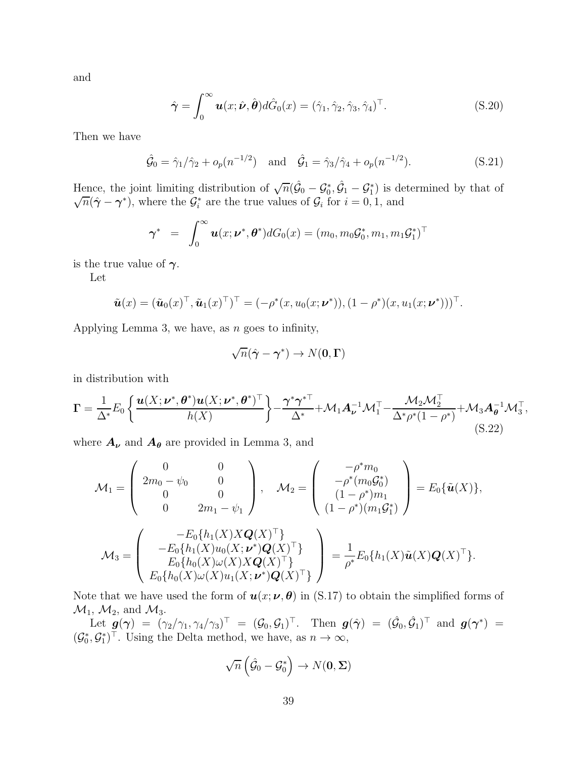and

$$
\hat{\boldsymbol{\gamma}} = \int_0^\infty \boldsymbol{u}(x; \hat{\boldsymbol{\nu}}, \hat{\boldsymbol{\theta}}) d\hat{G}_0(x) = (\hat{\gamma}_1, \hat{\gamma}_2, \hat{\gamma}_3, \hat{\gamma}_4)^\top. \tag{S.20}
$$

Then we have

$$
\hat{\mathcal{G}}_0 = \hat{\gamma}_1 / \hat{\gamma}_2 + o_p(n^{-1/2})
$$
 and  $\hat{\mathcal{G}}_1 = \hat{\gamma}_3 / \hat{\gamma}_4 + o_p(n^{-1/2}).$  (S.21)

Hence, the joint limiting distribution of  $\sqrt{n}(\hat{G}_0 - \mathcal{G}_0^*, \hat{G}_1 - \mathcal{G}_1^*)$  is determined by that of  $\sqrt{n}(\hat{\gamma} - \gamma^*)$ , where the  $\mathcal{G}_i^*$  are the true values of  $\mathcal{G}_i$  for  $i = 0, 1$ , and

$$
\boldsymbol{\gamma}^* = \int_0^\infty \boldsymbol{u}(x; \boldsymbol{\nu}^*, \boldsymbol{\theta}^*) dG_0(x) = (m_0, m_0 \mathcal{G}_0^*, m_1, m_1 \mathcal{G}_1^*)^\top
$$

is the true value of  $\gamma$ .

Let

$$
\tilde{\boldsymbol{u}}(x) = (\tilde{\boldsymbol{u}}_0(x)^\top, \tilde{\boldsymbol{u}}_1(x)^\top)^\top = (-\rho^*(x, u_0(x; \boldsymbol{\nu}^*)), (1 - \rho^*)(x, u_1(x; \boldsymbol{\nu}^*)))^\top.
$$

Applying Lemma [3,](#page-26-1) we have, as  $n$  goes to infinity,

$$
\sqrt{n}(\hat{\boldsymbol{\gamma}} - \boldsymbol{\gamma}^*) \to N(\mathbf{0}, \boldsymbol{\Gamma})
$$

in distribution with

<span id="page-38-0"></span>
$$
\Gamma = \frac{1}{\Delta^*} E_0 \left\{ \frac{\boldsymbol{u}(X; \boldsymbol{\nu}^*, \boldsymbol{\theta}^*) \boldsymbol{u}(X; \boldsymbol{\nu}^*, \boldsymbol{\theta}^*)^\top}{h(X)} \right\} - \frac{\boldsymbol{\gamma}^* \boldsymbol{\gamma}^{*\top}}{\Delta^*} + \mathcal{M}_1 \boldsymbol{A}_{\boldsymbol{\nu}}^{-1} \mathcal{M}_1^\top - \frac{\mathcal{M}_2 \mathcal{M}_2^\top}{\Delta^* \rho^*(1 - \rho^*)} + \mathcal{M}_3 \boldsymbol{A}_{\boldsymbol{\theta}}^{-1} \mathcal{M}_3^\top,
$$
\n(S.22)

where  $A_{\nu}$  and  $A_{\theta}$  are provided in Lemma [3,](#page-26-1) and

$$
\mathcal{M}_1 = \begin{pmatrix} 0 & 0 \\ 2m_0 - \psi_0 & 0 \\ 0 & 0 \\ 0 & 2m_1 - \psi_1 \end{pmatrix}, \quad \mathcal{M}_2 = \begin{pmatrix} -\rho^* m_0 \\ -\rho^* (m_0 \mathcal{G}_0^*) \\ (1 - \rho^*) m_1 \\ (1 - \rho^*) (m_1 \mathcal{G}_1^*) \end{pmatrix} = E_0 \{\tilde{\boldsymbol{u}}(X)\},
$$

$$
\mathcal{M}_3 = \begin{pmatrix} -E_0 \{h_1(X)X\boldsymbol{Q}(X)^{\top}\} \\ -E_0 \{h_1(X)u_0(X; \boldsymbol{\nu}^*)\boldsymbol{Q}(X)^{\top}\} \\ E_0 \{h_0(X)\omega(X)X\boldsymbol{Q}(X)^{\top}\} \\ E_0 \{h_0(X)\omega(X)u_1(X; \boldsymbol{\nu}^*)\boldsymbol{Q}(X)^{\top}\} \end{pmatrix} = \frac{1}{\rho^*} E_0 \{h_1(X)\tilde{\boldsymbol{u}}(X)\boldsymbol{Q}(X)^{\top}\}.
$$

Note that we have used the form of  $u(x; \nu, \theta)$  in [\(S.17\)](#page-37-3) to obtain the simplified forms of  $\mathcal{M}_1$ ,  $\mathcal{M}_2$ , and  $\mathcal{M}_3$ .

Let  $g(\gamma) = (\gamma_2/\gamma_1, \gamma_4/\gamma_3)^{\top} = (\mathcal{G}_0, \mathcal{G}_1)^{\top}$ . Then  $g(\hat{\gamma}) = (\hat{\mathcal{G}}_0, \hat{\mathcal{G}}_1)^{\top}$  and  $g(\gamma^*) =$  $(\mathcal{G}_0^*, \mathcal{G}_1^*)^{\top}$ . Using the Delta method, we have, as  $n \to \infty$ ,

$$
\sqrt{n}\left(\hat{\mathcal{G}}_0-\mathcal{G}_0^*\right) \to N(\mathbf{0},\mathbf{\Sigma})
$$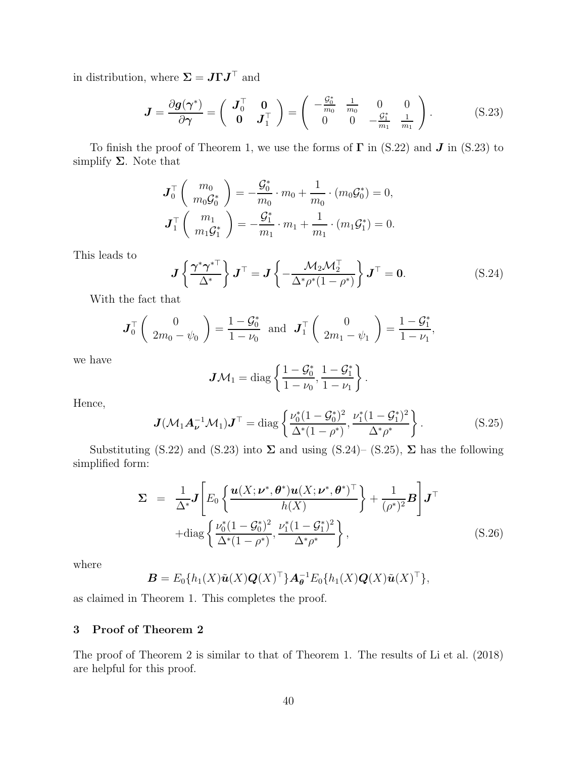in distribution, where  $\Sigma = J \Gamma J^{\top}$  and

<span id="page-39-1"></span>
$$
\boldsymbol{J} = \frac{\partial \boldsymbol{g}(\boldsymbol{\gamma}^*)}{\partial \boldsymbol{\gamma}} = \begin{pmatrix} \boldsymbol{J}_0^{\top} & \boldsymbol{0} \\ \boldsymbol{0} & \boldsymbol{J}_1^{\top} \end{pmatrix} = \begin{pmatrix} -\frac{\mathcal{G}_0^*}{m_0} & \frac{1}{m_0} & 0 & 0 \\ 0 & 0 & -\frac{\mathcal{G}_1^*}{m_1} & \frac{1}{m_1} \end{pmatrix}.
$$
 (S.23)

To finish the proof of Theorem 1, we use the forms of  $\Gamma$  in [\(S.22\)](#page-38-0) and  $\bf{J}$  in [\(S.23\)](#page-39-1) to simplify  $\Sigma$ . Note that

$$
\mathbf{J}_0^{\top} \left( \begin{array}{c} m_0 \\ m_0 \mathcal{G}_0^* \end{array} \right) = -\frac{\mathcal{G}_0^*}{m_0} \cdot m_0 + \frac{1}{m_0} \cdot (m_0 \mathcal{G}_0^*) = 0,
$$
  

$$
\mathbf{J}_1^{\top} \left( \begin{array}{c} m_1 \\ m_1 \mathcal{G}_1^* \end{array} \right) = -\frac{\mathcal{G}_1^*}{m_1} \cdot m_1 + \frac{1}{m_1} \cdot (m_1 \mathcal{G}_1^*) = 0.
$$

This leads to

<span id="page-39-2"></span>
$$
\boldsymbol{J} \left\{ \frac{\boldsymbol{\gamma}^* \boldsymbol{\gamma}^{*\top}}{\Delta^*} \right\} \boldsymbol{J}^\top = \boldsymbol{J} \left\{ -\frac{\mathcal{M}_2 \mathcal{M}_2^\top}{\Delta^* \rho^*(1 - \rho^*)} \right\} \boldsymbol{J}^\top = \boldsymbol{0}.
$$
 (S.24)

With the fact that

$$
\boldsymbol{J}_0^{\top} \left( \begin{array}{c} 0 \\ 2m_0 - \psi_0 \end{array} \right) = \frac{1 - \mathcal{G}_0^*}{1 - \nu_0} \text{ and } \boldsymbol{J}_1^{\top} \left( \begin{array}{c} 0 \\ 2m_1 - \psi_1 \end{array} \right) = \frac{1 - \mathcal{G}_1^*}{1 - \nu_1},
$$

we have

$$
\boldsymbol{J}\mathcal{M}_1=\mathrm{diag}\left\{\frac{1-\mathcal{G}_0^*}{1-\nu_0},\frac{1-\mathcal{G}_1^*}{1-\nu_1}\right\}.
$$

Hence,

<span id="page-39-3"></span>
$$
\mathbf{J}(\mathcal{M}_1 \mathbf{A}_{\nu}^{-1} \mathcal{M}_1) \mathbf{J}^{\top} = \text{diag}\left\{ \frac{\nu_0^*(1 - \mathcal{G}_0^*)^2}{\Delta^*(1 - \rho^*)}, \frac{\nu_1^*(1 - \mathcal{G}_1^*)^2}{\Delta^*\rho^*} \right\}.
$$
 (S.25)

Substituting [\(S.22\)](#page-38-0) and [\(S.23\)](#page-39-1) into  $\Sigma$  and using [\(S.24\)](#page-39-2)– [\(S.25\)](#page-39-3),  $\Sigma$  has the following simplified form:

<span id="page-39-4"></span>
$$
\Sigma = \frac{1}{\Delta^*} \mathbf{J} \left[ E_0 \left\{ \frac{\boldsymbol{u}(X; \boldsymbol{\nu}^*, \boldsymbol{\theta}^*) \boldsymbol{u}(X; \boldsymbol{\nu}^*, \boldsymbol{\theta}^*)^\top}{h(X)} \right\} + \frac{1}{(\rho^*)^2} \mathbf{B} \right] \mathbf{J}^\top
$$
  
+diag  $\left\{ \frac{\nu_0^*(1 - \mathcal{G}_0^*)^2}{\Delta^*(1 - \rho^*)}, \frac{\nu_1^*(1 - \mathcal{G}_1^*)^2}{\Delta^*\rho^*} \right\},$  (S.26)

where

$$
\mathbf{B}=E_0\{h_1(X)\tilde{\mathbf{u}}(X)\mathbf{Q}(X)^{\top}\}\mathbf{A}_{\theta}^{-1}E_0\{h_1(X)\mathbf{Q}(X)\tilde{\mathbf{u}}(X)^{\top}\},\
$$

as claimed in Theorem 1. This completes the proof.

# <span id="page-39-0"></span>3 Proof of Theorem 2

The proof of Theorem 2 is similar to that of Theorem 1. The results of [Li et al. \(2018\)](#page-48-6) are helpful for this proof.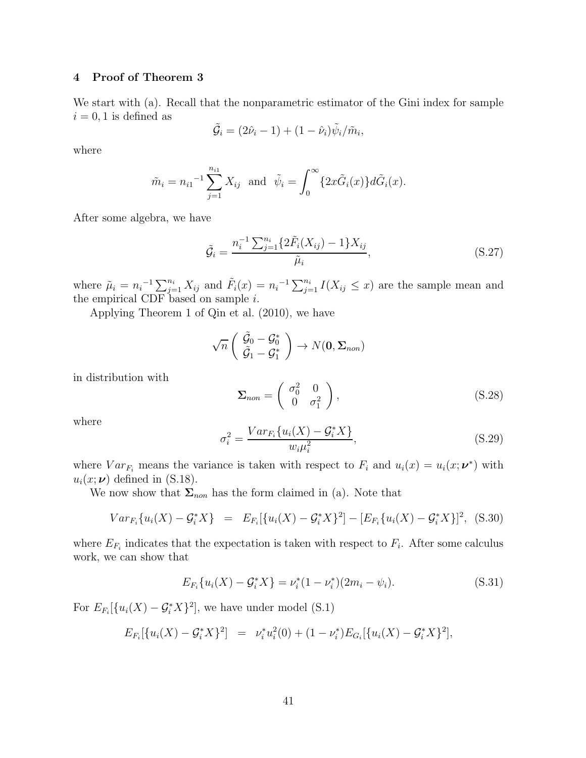#### <span id="page-40-0"></span>4 Proof of Theorem 3

We start with (a). Recall that the nonparametric estimator of the Gini index for sample  $i = 0, 1$  is defined as

$$
\tilde{\mathcal{G}}_i = (2\hat{\nu}_i - 1) + (1 - \hat{\nu}_i)\tilde{\psi}_i/\tilde{m}_i,
$$

where

$$
\tilde{m}_i = n_{i1}^{-1} \sum_{j=1}^{n_{i1}} X_{ij}
$$
 and  $\tilde{\psi}_i = \int_0^\infty \{2x \tilde{G}_i(x)\} d\tilde{G}_i(x).$ 

After some algebra, we have

$$
\tilde{\mathcal{G}}_i = \frac{n_i^{-1} \sum_{j=1}^{n_i} \{ 2\tilde{F}_i(X_{ij}) - 1 \} X_{ij}}{\tilde{\mu}_i},
$$
\n(S.27)

where  $\tilde{\mu}_i = n_i^{-1} \sum_{j=1}^{n_i} X_{ij}$  and  $\tilde{F}_i(x) = n_i^{-1} \sum_{j=1}^{n_i} I(X_{ij} \leq x)$  are the sample mean and the empirical CDF based on sample  $i$ .

Applying Theorem 1 of [Qin et al. \(2010\)](#page-48-1), we have

$$
\sqrt{n}\left(\begin{array}{c}\tilde{\mathcal{G}}_0-\mathcal{G}_0^*\\ \tilde{\mathcal{G}}_1-\mathcal{G}_1^*\end{array}\right)\to N(\mathbf{0},\Sigma_{non})
$$

in distribution with

<span id="page-40-3"></span>
$$
\Sigma_{non} = \begin{pmatrix} \sigma_0^2 & 0 \\ 0 & \sigma_1^2 \end{pmatrix}, \tag{S.28}
$$

where

<span id="page-40-2"></span>
$$
\sigma_i^2 = \frac{Var_{F_i}\{u_i(X) - G_i^*X\}}{w_i \mu_i^2},
$$
\n(S.29)

where  $Var_{F_i}$  means the variance is taken with respect to  $F_i$  and  $u_i(x) = u_i(x; \nu^*)$  with  $u_i(x; \nu)$  defined in [\(S.18\)](#page-37-4).

We now show that  $\Sigma_{non}$  has the form claimed in (a). Note that

<span id="page-40-1"></span>
$$
Var_{F_i}\{u_i(X) - \mathcal{G}_i^* X\} = E_{F_i}[\{u_i(X) - \mathcal{G}_i^* X\}^2] - [E_{F_i}\{u_i(X) - \mathcal{G}_i^* X\}]^2, (S.30)
$$

where  $E_{F_i}$  indicates that the expectation is taken with respect to  $F_i$ . After some calculus work, we can show that

$$
E_{F_i}\{u_i(X) - \mathcal{G}_i^* X\} = \nu_i^*(1 - \nu_i^*)(2m_i - \psi_i). \tag{S.31}
$$

For  $E_{F_i}[\{u_i(X) - \mathcal{G}_i^* X\}^2]$ , we have under model [\(S.1\)](#page-23-0)

$$
E_{F_i}[\{u_i(X) - \mathcal{G}_i^* X\}^2] = \nu_i^* u_i^2(0) + (1 - \nu_i^*) E_{G_i}[\{u_i(X) - \mathcal{G}_i^* X\}^2],
$$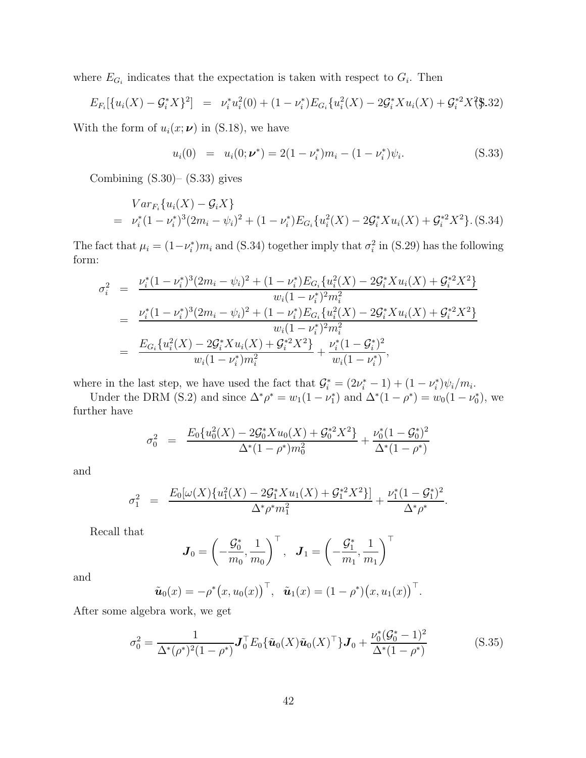where  $E_{G_i}$  indicates that the expectation is taken with respect to  $G_i$ . Then

$$
E_{F_i}[\{u_i(X) - \mathcal{G}_i^* X\}^2] = \nu_i^* u_i^2(0) + (1 - \nu_i^*) E_{G_i} \{u_i^2(X) - 2\mathcal{G}_i^* X u_i(X) + \mathcal{G}_i^{*2} X^2 \},
$$

With the form of  $u_i(x; \nu)$  in [\(S.18\)](#page-37-4), we have

<span id="page-41-0"></span>
$$
u_i(0) = u_i(0; \nu^*) = 2(1 - \nu_i^*)m_i - (1 - \nu_i^*)\psi_i.
$$
 (S.33)

Combining  $(S.30)$ –  $(S.33)$  gives

<span id="page-41-1"></span>
$$
Var_{F_i}\{u_i(X) - \mathcal{G}_i X\}
$$
  
=  $\nu_i^*(1 - \nu_i^*)^3 (2m_i - \psi_i)^2 + (1 - \nu_i^*) E_{G_i}\{u_i^2(X) - 2\mathcal{G}_i^* X u_i(X) + \mathcal{G}_i^{*2} X^2\}.$  (S.34)

The fact that  $\mu_i = (1 - \nu_i^*)m_i$  and [\(S.34\)](#page-41-1) together imply that  $\sigma_i^2$  in [\(S.29\)](#page-40-2) has the following form:

$$
\sigma_i^2 = \frac{\nu_i^*(1-\nu_i^*)^3(2m_i - \psi_i)^2 + (1-\nu_i^*)E_{G_i}\{u_i^2(X) - 2\mathcal{G}_i^*Xu_i(X) + \mathcal{G}_i^*{}^2X^2\}}{w_i(1-\nu_i^*)^2m_i^2}
$$
\n
$$
= \frac{\nu_i^*(1-\nu_i^*)^3(2m_i - \psi_i)^2 + (1-\nu_i^*)E_{G_i}\{u_i^2(X) - 2\mathcal{G}_i^*Xu_i(X) + \mathcal{G}_i^*{}^2X^2\}}{w_i(1-\nu_i^*)^2m_i^2}
$$
\n
$$
= \frac{E_{G_i}\{u_i^2(X) - 2\mathcal{G}_i^*Xu_i(X) + \mathcal{G}_i^*{}^2X^2\}}{w_i(1-\nu_i^*)m_i^2} + \frac{\nu_i^*(1-\mathcal{G}_i^*)^2}{w_i(1-\nu_i^*)},
$$

where in the last step, we have used the fact that  $G_i^* = (2\nu_i^* - 1) + (1 - \nu_i^*)\psi_i/m_i$ .

Under the DRM [\(S.2\)](#page-23-2) and since  $\Delta^* \rho^* = w_1(1 - \nu_1^*)$  and  $\Delta^*(1 - \rho^*) = w_0(1 - \nu_0^*)$ , we further have

$$
\sigma_0^2 = \frac{E_0\{u_0^2(X) - 2\mathcal{G}_0^*Xu_0(X) + \mathcal{G}_0^{*2}X^2\}}{\Delta^*(1-\rho^*)m_0^2} + \frac{\nu_0^*(1-\mathcal{G}_0^*)^2}{\Delta^*(1-\rho^*)}
$$

and

$$
\sigma_1^2 = \frac{E_0[\omega(X)\{u_1^2(X) - 2\mathcal{G}_1^* X u_1(X) + \mathcal{G}_1^{*2} X^2\}]}{\Delta^* \rho^* m_1^2} + \frac{\nu_1^*(1 - \mathcal{G}_1^*)^2}{\Delta^* \rho^*}.
$$

Recall that

$$
\boldsymbol{J}_0 = \left(-\frac{\mathcal{G}_0^*}{m_0}, \frac{1}{m_0}\right)^\top, \quad \boldsymbol{J}_1 = \left(-\frac{\mathcal{G}_1^*}{m_1}, \frac{1}{m_1}\right)^\top
$$

and

$$
\tilde{\boldsymbol{u}}_0(x) = -\rho^* (x, u_0(x))^{\top}, \quad \tilde{\boldsymbol{u}}_1(x) = (1 - \rho^*) (x, u_1(x))^{\top}.
$$

After some algebra work, we get

<span id="page-41-2"></span>
$$
\sigma_0^2 = \frac{1}{\Delta^*(\rho^*)^2 (1 - \rho^*)} \mathbf{J}_0^\top E_0 \{ \tilde{\mathbf{u}}_0(X) \tilde{\mathbf{u}}_0(X)^\top \} \mathbf{J}_0 + \frac{\nu_0^*(\mathcal{G}_0^* - 1)^2}{\Delta^*(1 - \rho^*)}
$$
(S.35)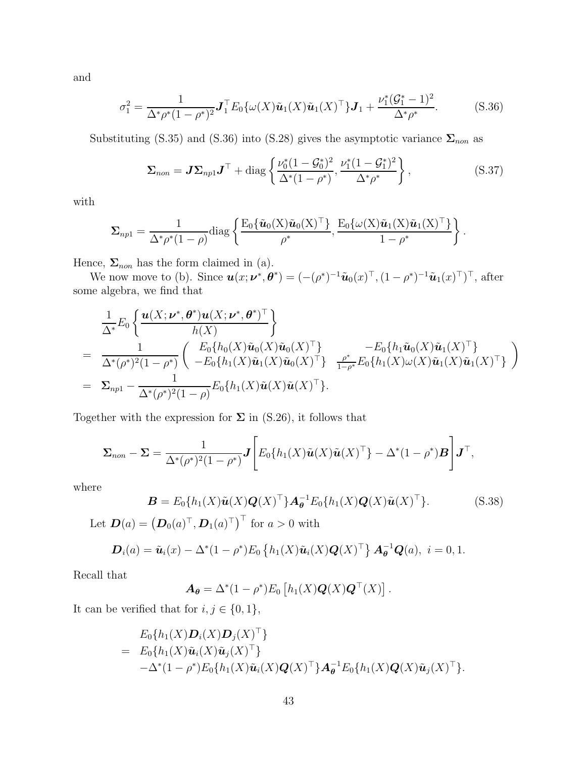and

<span id="page-42-0"></span>
$$
\sigma_1^2 = \frac{1}{\Delta^* \rho^* (1 - \rho^*)^2} \mathbf{J}_1^{\top} E_0 \{ \omega(X) \tilde{\mathbf{u}}_1(X) \tilde{\mathbf{u}}_1(X)^{\top} \} \mathbf{J}_1 + \frac{\nu_1^* (\mathcal{G}_1^* - 1)^2}{\Delta^* \rho^*}.
$$
 (S.36)

Substituting [\(S.35\)](#page-41-2) and [\(S.36\)](#page-42-0) into [\(S.28\)](#page-40-3) gives the asymptotic variance  $\Sigma_{non}$  as

$$
\Sigma_{non} = J \Sigma_{np1} J^{\top} + \text{diag}\left\{\frac{\nu_0^*(1-\mathcal{G}_0^*)^2}{\Delta^*(1-\rho^*)}, \frac{\nu_1^*(1-\mathcal{G}_1^*)^2}{\Delta^*\rho^*}\right\},\tag{S.37}
$$

with

$$
\mathbf{\Sigma}_{np1} = \frac{1}{\Delta^*\rho^*(1-\rho)} \text{diag}\left\{\frac{\mathrm{E}_0\{\tilde{\boldsymbol{u}}_0(\mathrm{X})\tilde{\boldsymbol{u}}_0(\mathrm{X})^\top\}}{\rho^*}, \frac{\mathrm{E}_0\{\omega(\mathrm{X})\tilde{\boldsymbol{u}}_1(\mathrm{X})\tilde{\boldsymbol{u}}_1(\mathrm{X})^\top\}}{1-\rho^*}\right\}.
$$

Hence,  $\Sigma_{non}$  has the form claimed in (a).

We now move to (b). Since  $\mathbf{u}(x; \boldsymbol{\nu}^*, \boldsymbol{\theta}^*) = (-(\rho^*)^{-1}\tilde{\boldsymbol{u}}_0(x)^{\top}, (1-\rho^*)^{-1}\tilde{\boldsymbol{u}}_1(x)^{\top})^{\top}$ , after some algebra, we find that

$$
\frac{1}{\Delta^*} E_0 \left\{ \frac{\boldsymbol{u}(X; \boldsymbol{\nu}^*, \boldsymbol{\theta}^*) \boldsymbol{u}(X; \boldsymbol{\nu}^*, \boldsymbol{\theta}^*)^\top}{h(X)} \right\} \n= \frac{1}{\Delta^*(\rho^*)^2 (1 - \rho^*)} \left( \begin{array}{c} E_0 \{ h_0(X) \tilde{\boldsymbol{u}}_0(X) \tilde{\boldsymbol{u}}_0(X)^\top \} & -E_0 \{ h_1 \tilde{\boldsymbol{u}}_0(X) \tilde{\boldsymbol{u}}_1(X)^\top \} \\ -E_0 \{ h_1(X) \tilde{\boldsymbol{u}}_1(X) \tilde{\boldsymbol{u}}_0(X)^\top \} & \frac{\rho^*}{1 - \rho^*} E_0 \{ h_1(X) \omega(X) \tilde{\boldsymbol{u}}_1(X) \tilde{\boldsymbol{u}}_1(X)^\top \} \\ \end{array} \right) \n= \sum_{n \neq 1} \frac{1}{\Delta^*(\rho^*)^2 (1 - \rho)} E_0 \{ h_1(X) \tilde{\boldsymbol{u}}_1(X)^\top \}.
$$

Together with the expression for  $\Sigma$  in [\(S.26\)](#page-39-4), it follows that

$$
\Sigma_{non} - \Sigma = \frac{1}{\Delta^*(\rho^*)^2 (1 - \rho^*)} \mathbf{J} \left[ E_0 \{ h_1(X) \tilde{\mathbf{u}}(X) \tilde{\mathbf{u}}(X)^\top \} - \Delta^*(1 - \rho^*) \mathbf{B} \right] \mathbf{J}^\top,
$$

where

<span id="page-42-1"></span>
$$
\mathbf{B} = E_0 \{ h_1(X) \tilde{\mathbf{u}}(X) \mathbf{Q}(X)^{\top} \} \mathbf{A}_{\theta}^{-1} E_0 \{ h_1(X) \mathbf{Q}(X) \tilde{\mathbf{u}}(X)^{\top} \}.
$$
 (S.38)

Let  $\boldsymbol{D}(a) = \left( \boldsymbol{D}_0(a)^\top, \boldsymbol{D}_1(a)^\top \right)^\top$  for  $a > 0$  with

$$
\boldsymbol{D}_i(a) = \tilde{\boldsymbol{u}}_i(x) - \Delta^*(1-\rho^*) E_0 \left\{ h_1(X)\tilde{\boldsymbol{u}}_i(X)\boldsymbol{Q}(X)^\top \right\} \boldsymbol{A}_{\boldsymbol{\theta}}^{-1} \boldsymbol{Q}(a), \ i = 0, 1.
$$

Recall that

$$
\mathbf{A}_{\boldsymbol{\theta}} = \Delta^*(1-\rho^*) E_0 \left[ h_1(X) \mathbf{Q}(X) \mathbf{Q}^\top(X) \right].
$$

It can be verified that for  $i, j \in \{0, 1\}$ ,

$$
E_0\{h_1(X)\mathbf{D}_i(X)\mathbf{D}_j(X)^\top\}
$$
  
=  $E_0\{h_1(X)\tilde{\mathbf{u}}_i(X)\tilde{\mathbf{u}}_j(X)^\top\}$   

$$
-\Delta^*(1-\rho^*)E_0\{h_1(X)\tilde{\mathbf{u}}_i(X)\mathbf{Q}(X)^\top\}\mathbf{A}_{\theta}^{-1}E_0\{h_1(X)\mathbf{Q}(X)\tilde{\mathbf{u}}_j(X)^\top\}.
$$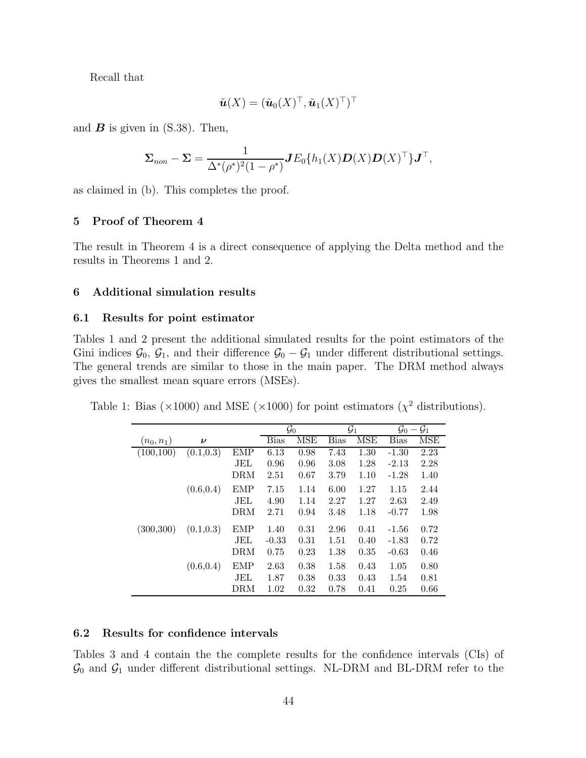Recall that

$$
\tilde{\boldsymbol{u}}(X) = (\tilde{\boldsymbol{u}}_0(X)^\top, \tilde{\boldsymbol{u}}_1(X)^\top)^\top
$$

and  $\boldsymbol{B}$  is given in [\(S.38\)](#page-42-1). Then,

$$
\Sigma_{non} - \Sigma = \frac{1}{\Delta^*(\rho^*)^2 (1 - \rho^*)} J E_0 \{ h_1(X) \mathbf{D}(X) \mathbf{D}(X)^\top \} \mathbf{J}^\top,
$$

as claimed in (b). This completes the proof.

## <span id="page-43-0"></span>5 Proof of Theorem 4

The result in Theorem 4 is a direct consequence of applying the Delta method and the results in Theorems 1 and 2.

#### 6 Additional simulation results

#### 6.1 Results for point estimator

Tables [1](#page-43-1) and [2](#page-44-0) present the additional simulated results for the point estimators of the Gini indices  $\mathcal{G}_0$ ,  $\mathcal{G}_1$ , and their difference  $\mathcal{G}_0 - \mathcal{G}_1$  under different distributional settings. The general trends are similar to those in the main paper. The DRM method always gives the smallest mean square errors (MSEs).

<span id="page-43-1"></span>Table 1: Bias ( $\times$ 1000) and MSE ( $\times$ 1000) for point estimators ( $\chi^2$  distributions).

|              |                    |            |             | $\mathcal{G}_0$ |             | $\mathcal{G}_1$ | $\mathcal{G}_0$ | $\mathcal{G}_1$<br>$\overline{\phantom{m}}$ |
|--------------|--------------------|------------|-------------|-----------------|-------------|-----------------|-----------------|---------------------------------------------|
| $(n_0, n_1)$ | $\boldsymbol{\nu}$ |            | <b>Bias</b> | <b>MSE</b>      | <b>Bias</b> | <b>MSE</b>      | <b>Bias</b>     | <b>MSE</b>                                  |
| (100, 100)   | (0.1, 0.3)         | EMP        | 6.13        | 0.98            | 7.43        | 1.30            | $-1.30$         | 2.23                                        |
|              |                    | JEL        | 0.96        | 0.96            | 3.08        | 1.28            | $-2.13$         | 2.28                                        |
|              |                    | DRM        | 2.51        | 0.67            | 3.79        | 1.10            | $-1.28$         | 1.40                                        |
|              | (0.6, 0.4)         | EMP        | 7.15        | 1.14            | 6.00        | 1.27            | 1.15            | 2.44                                        |
|              |                    | JEL        | 4.90        | 1.14            | 2.27        | 1.27            | 2.63            | 2.49                                        |
|              |                    | DRM        | 2.71        | 0.94            | 3.48        | 1.18            | $-0.77$         | 1.98                                        |
| (300, 300)   | (0.1, 0.3)         | <b>EMP</b> | 1.40        | 0.31            | 2.96        | 0.41            | $-1.56$         | 0.72                                        |
|              |                    | JEL        | $-0.33$     | 0.31            | 1.51        | 0.40            | $-1.83$         | 0.72                                        |
|              |                    | DRM        | 0.75        | 0.23            | 1.38        | 0.35            | $-0.63$         | 0.46                                        |
|              | (0.6, 0.4)         | <b>EMP</b> | 2.63        | 0.38            | 1.58        | 0.43            | 1.05            | 0.80                                        |
|              |                    | JEL        | 1.87        | 0.38            | 0.33        | 0.43            | 1.54            | 0.81                                        |
|              |                    | DRM        | 1.02        | 0.32            | 0.78        | 0.41            | 0.25            | 0.66                                        |

#### 6.2 Results for confidence intervals

Tables [3](#page-45-0) and [4](#page-46-0) contain the the complete results for the confidence intervals (CIs) of  $\mathcal{G}_0$  and  $\mathcal{G}_1$  under different distributional settings. NL-DRM and BL-DRM refer to the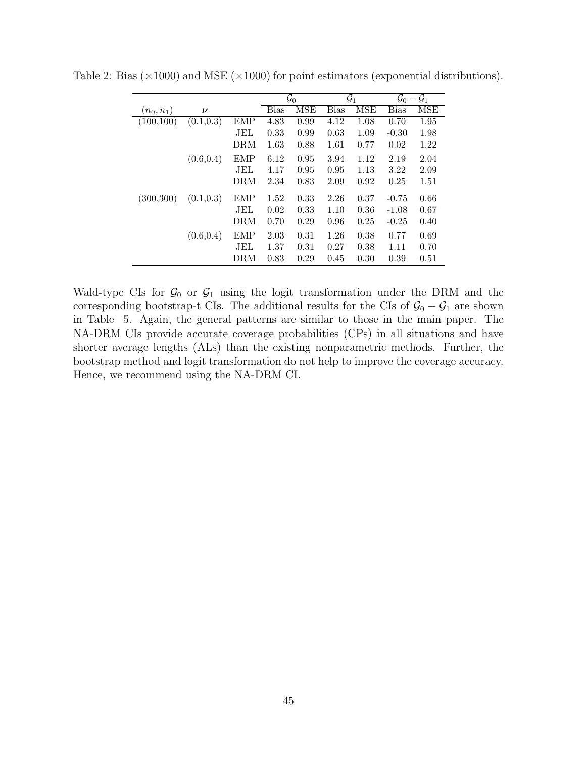|              |                    |            | $\mathcal{G}_0$ |            | $\mathcal{G}_1$ |            |             | $\mathcal{G}_0-\mathcal{G}_1$ |
|--------------|--------------------|------------|-----------------|------------|-----------------|------------|-------------|-------------------------------|
| $(n_0, n_1)$ | $\boldsymbol{\nu}$ |            | <b>Bias</b>     | <b>MSE</b> | <b>Bias</b>     | <b>MSE</b> | <b>Bias</b> | <b>MSE</b>                    |
| (100, 100)   | (0.1, 0.3)         | <b>EMP</b> | 4.83            | 0.99       | 4.12            | 1.08       | 0.70        | 1.95                          |
|              |                    | JEL        | 0.33            | 0.99       | 0.63            | 1.09       | $-0.30$     | 1.98                          |
|              |                    | DRM        | 1.63            | 0.88       | 1.61            | 0.77       | 0.02        | 1.22                          |
|              | (0.6, 0.4)         | <b>EMP</b> | 6.12            | 0.95       | 3.94            | 1.12       | 2.19        | 2.04                          |
|              |                    | JEL        | 4.17            | 0.95       | 0.95            | 1.13       | 3.22        | 2.09                          |
|              |                    | DRM        | 2.34            | 0.83       | 2.09            | 0.92       | 0.25        | 1.51                          |
| (300, 300)   | (0.1, 0.3)         | <b>EMP</b> | 1.52            | 0.33       | 2.26            | 0.37       | $-0.75$     | 0.66                          |
|              |                    | JEL        | 0.02            | 0.33       | 1.10            | 0.36       | $-1.08$     | 0.67                          |
|              |                    | DRM        | 0.70            | 0.29       | 0.96            | 0.25       | $-0.25$     | 0.40                          |
|              | (0.6, 0.4)         | <b>EMP</b> | 2.03            | 0.31       | 1.26            | 0.38       | 0.77        | 0.69                          |
|              |                    | JEL        | 1.37            | 0.31       | 0.27            | 0.38       | 1.11        | 0.70                          |
|              |                    | DRM        | 0.83            | 0.29       | 0.45            | 0.30       | 0.39        | 0.51                          |

<span id="page-44-0"></span>Table 2: Bias  $(\times 1000)$  and MSE  $(\times 1000)$  for point estimators (exponential distributions).

Wald-type CIs for  $\mathcal{G}_0$  or  $\mathcal{G}_1$  using the logit transformation under the DRM and the corresponding bootstrap-t CIs. The additional results for the CIs of  $\mathcal{G}_0 - \mathcal{G}_1$  are shown in Table [5.](#page-47-0) Again, the general patterns are similar to those in the main paper. The NA-DRM CIs provide accurate coverage probabilities (CPs) in all situations and have shorter average lengths (ALs) than the existing nonparametric methods. Further, the bootstrap method and logit transformation do not help to improve the coverage accuracy. Hence, we recommend using the NA-DRM CI.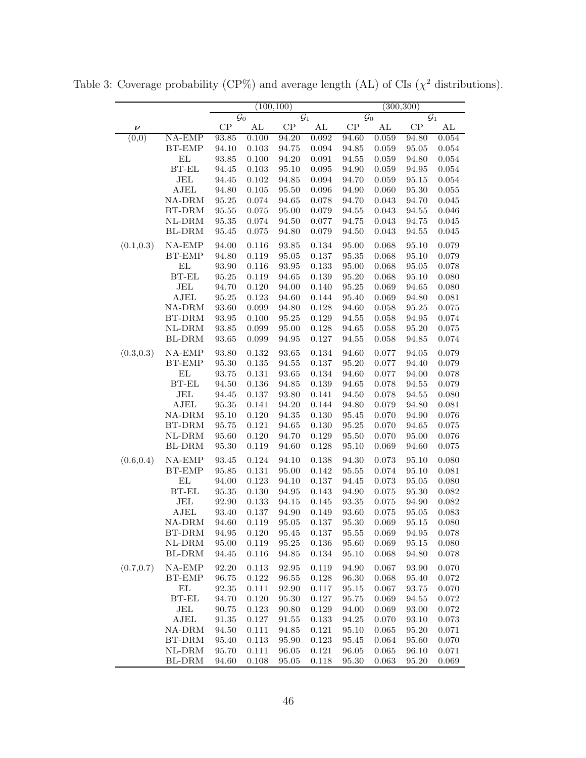|                    |                         | (100, 100)           |                            |                |                 | (300, 300)                    |                                    |                |                |
|--------------------|-------------------------|----------------------|----------------------------|----------------|-----------------|-------------------------------|------------------------------------|----------------|----------------|
|                    |                         |                      | $\overline{\mathcal{G}_0}$ |                | $\mathcal{G}_1$ |                               | $\mathcal{G}_0$<br>$\mathcal{G}_1$ |                |                |
| $\boldsymbol{\nu}$ |                         | CP                   | AL                         | CP             | $\mathbf{AL}$   | CP                            | AL                                 | $\mathrm{CP}$  | $\mathbf{AL}$  |
| (0,0)              | $NA$ - $EMP$            | 93.85                | 0.100                      | 94.20          | 0.092           | 94.60                         | 0.059                              | 94.80          | 0.054          |
|                    | <b>BT-EMP</b>           | 94.10                | 0.103                      | 94.75          | 0.094           | 94.85                         | 0.059                              | 95.05          | 0.054          |
|                    | EL                      | 93.85                | 0.100                      | 94.20          | 0.091           | 94.55                         | 0.059                              | 94.80          | 0.054          |
|                    | BT-EL                   | 94.45                | 0.103                      | 95.10          | 0.095           | 94.90                         | 0.059                              | 94.95          | 0.054          |
|                    | JEL                     | 94.45                | 0.102                      | 94.85          | 0.094           | 94.70                         | 0.059                              | 95.15          | 0.054          |
|                    | AJEL                    | 94.80                | 0.105                      | 95.50          | 0.096           | 94.90                         | 0.060                              | 95.30          | 0.055          |
|                    | NA-DRM                  | 95.25                | 0.074                      | 94.65          | 0.078           | 94.70                         | 0.043                              | 94.70          | 0.045          |
|                    | BT-DRM                  | 95.55                | 0.075                      | 95.00          | 0.079           | 94.55                         | 0.043                              | 94.55          | 0.046          |
|                    | NL-DRM                  | 95.35                | 0.074                      | 94.50          | 0.077           | 94.75                         | 0.043                              | 94.75          | 0.045          |
|                    | BL-DRM                  | 95.45                | 0.075                      | 94.80          | 0.079           | 94.50                         | $\,0.043\,$                        | 94.55          | 0.045          |
| (0.1, 0.3)         | $NA$ -EMP               | 94.00                | 0.116                      | 93.85          | 0.134           | 95.00                         | 0.068                              | 95.10          | 0.079          |
|                    | BT-EMP                  | 94.80                | 0.119                      | 95.05          | 0.137           | 95.35                         | 0.068                              | 95.10          | 0.079          |
|                    | $\mathbf{EL}$           | 93.90                | 0.116                      | 93.95          | 0.133           | 95.00                         | 0.068                              | 95.05          | 0.078          |
|                    | $BT-EL$                 | $\;\:95.25$          | 0.119                      | 94.65          | 0.139           | 95.20                         | 0.068                              | 95.10          | 0.080          |
|                    | JEL                     | 94.70                | 0.120                      | 94.00          | 0.140           | 95.25                         | 0.069                              | 94.65          | 0.080          |
|                    | AJEL                    | $\boldsymbol{95.25}$ | 0.123                      | 94.60          | 0.144           | 95.40                         | 0.069                              | 94.80          | 0.081          |
|                    | NA-DRM                  | 93.60                | 0.099                      | 94.80          | 0.128           | 94.60                         | 0.058                              | 95.25          | 0.075          |
|                    | BT-DRM                  | $\boldsymbol{93.95}$ | 0.100                      | 95.25          | $0.129\,$       | 94.55                         | 0.058                              | 94.95          | 0.074          |
|                    | NL-DRM                  | 93.85                | 0.099                      | 95.00          | $0.128\,$       | 94.65                         | 0.058                              | 95.20          | 0.075          |
|                    | BL-DRM                  | 93.65                | 0.099                      | 94.95          | $0.127\,$       | $\boldsymbol{94.55}$          | 0.058                              | 94.85          | 0.074          |
| (0.3, 0.3)         | $NA$ -EMP               | 93.80                | 0.132                      | 93.65          | 0.134           | 94.60                         | 0.077                              | 94.05          | 0.079          |
|                    | <b>BT-EMP</b>           | 95.30                | 0.135                      | 94.55          | $0.137\,$       | 95.20                         | 0.077                              | 94.40          | 0.079          |
|                    | $\mathbf{EL}$           | 93.75                | 0.131                      | 93.65          | 0.134           | 94.60                         | 0.077                              | 94.00          | 0.078          |
|                    | $BT-EL$                 | 94.50                | 0.136                      | 94.85          | 0.139           | 94.65                         | 0.078                              | 94.55          | 0.079          |
|                    | JEL                     | 94.45                | $0.137\,$                  | 93.80          | 0.141           | 94.50                         | 0.078                              | 94.55          | 0.080          |
|                    | AJEL                    | 95.35                | 0.141                      | 94.20          | 0.144           | 94.80                         | 0.079                              | 94.80          | $\,0.081\,$    |
|                    | NA-DRM                  | 95.10                | 0.120                      | 94.35          | $0.130\,$       | 95.45                         | 0.070                              | 94.90          | 0.076          |
|                    | BT-DRM                  | 95.75                | 0.121                      | 94.65          | $0.130\,$       | 95.25                         | 0.070                              | 94.65          | 0.075          |
|                    | NL-DRM<br>BL-DRM        | 95.60<br>95.30       | 0.120<br>0.119             | 94.70          | 0.129<br>0.128  | 95.50<br>95.10                | 0.070<br>0.069                     | 95.00<br>94.60 | 0.076          |
|                    |                         |                      |                            | 94.60          |                 |                               |                                    |                | 0.075          |
| (0.6, 0.4)         | $NA$ -EMP               | 93.45                | 0.124                      | 94.10          | 0.138           | 94.30                         | 0.073                              | 95.10          | 0.080          |
|                    | <b>BT-EMP</b>           | 95.85                | 0.131                      | 95.00          | 0.142           | 95.55                         | 0.074                              | 95.10          | 0.081          |
|                    | EL                      | 94.00                | 0.123                      | 94.10          | 0.137           | 94.45                         | 0.073                              | 95.05          | 0.080          |
|                    | $BT-EL$                 | $\boldsymbol{95.35}$ | $0.130\,$                  | 94.95          | 0.143           | 94.90                         | 0.075                              | 95.30          | 0.082          |
|                    | JEL                     | 92.90                | 0.133                      | 94.15          | 0.145           | 93.35                         | 0.075                              | 94.90          | 0.082          |
|                    | AJEL                    | 93.40                | 0.137                      | 94.90          | 0.149           | 93.60                         | 0.075                              | 95.05          | 0.083          |
|                    | NA-DRM<br>$BT-DRM$      | 94.60                | 0.119                      | 95.05          | 0.137           | 95.30                         | 0.069<br>0.069                     | 95.15<br>94.95 | 0.080<br>0.078 |
|                    | $NL$ -DRM               | 94.95<br>95.00       | 0.120<br>0.119             | 95.45<br>95.25 | 0.137<br>0.136  | $\boldsymbol{95.55}$<br>95.60 | 0.069                              | 95.15          | 0.080          |
|                    | BL-DRM                  | $\boldsymbol{94.45}$ | 0.116                      | 94.85          | 0.134           | 95.10                         | 0.068                              | 94.80          | 0.078          |
|                    |                         |                      |                            |                |                 |                               |                                    |                |                |
| (0.7, 0.7)         | $NA$ -EMP               | 92.20                | 0.113                      | 92.95          | 0.119           | 94.90                         | 0.067                              | 93.90          | 0.070          |
|                    | <b>BT-EMP</b>           | 96.75                | 0.122                      | 96.55          | 0.128           | 96.30                         | 0.068                              | 95.40          | 0.072          |
|                    | EL                      | 92.35                | 0.111                      | 92.90          | 0.117           | 95.15                         | 0.067                              | 93.75          | 0.070          |
|                    | $\operatorname{BT-EL}$  | 94.70                | 0.120                      | 95.30          | 0.127           | 95.75                         | 0.069                              | 94.55          | 0.072          |
|                    | <b>JEL</b>              | $90.75\,$            | 0.123                      | 90.80          | 0.129           | 94.00                         | 0.069                              | 93.00          | 0.072          |
|                    | AJEL                    | 91.35                | 0.127                      | 91.55          | 0.133           | 94.25                         | 0.070                              | 93.10          | 0.073          |
|                    | NA-DRM                  | 94.50                | 0.111                      | 94.85          | $0.121\,$       | 95.10                         | 0.065                              | 95.20          | 0.071          |
|                    | BT-DRM                  | 95.40                | 0.113                      | 95.90          | 0.123           | 95.45                         | 0.064                              | 95.60          | 0.070          |
|                    | $NL$ -DRM               | 95.70                | 0.111                      | 96.05          | $0.121\,$       | 96.05                         | $0.065\,$                          | 96.10          | 0.071          |
|                    | $\operatorname{BL-DRM}$ | 94.60                | 0.108                      | 95.05          | 0.118           | 95.30                         | 0.063                              | 95.20          | 0.069          |

<span id="page-45-0"></span>Table 3: Coverage probability (CP%) and average length (AL) of CIs ( $\chi^2$  distributions).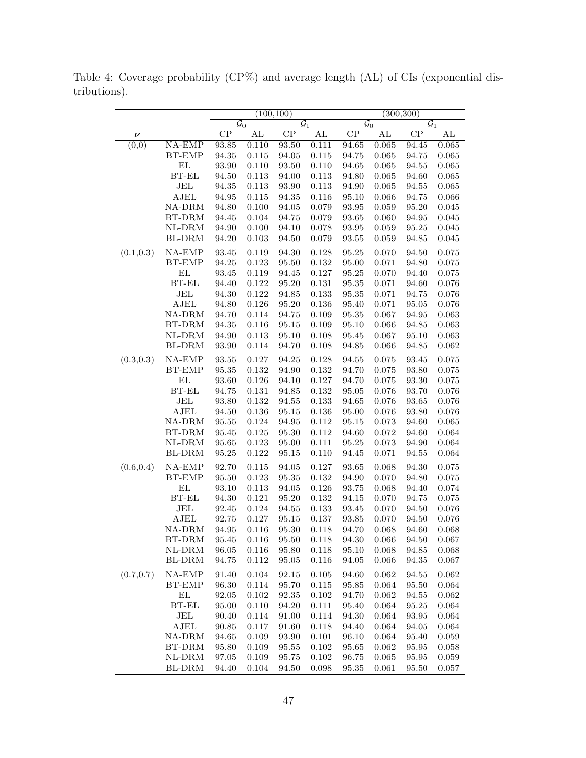<span id="page-46-0"></span>Table 4: Coverage probability (CP%) and average length (AL) of CIs (exponential distributions).

| $\mathcal{G}_1$<br>$\mathcal{G}_0$<br>$\mathcal{G}_0$<br>$\mathcal{G}_1$<br>$\mathrm{CP}$<br>$\mathbf{AL}$<br>$\mathrm{CP}$<br>CP<br>$\mathbf{AL}$<br>$\rm CP$<br>AL<br>AL<br>ν<br>(0,0)<br>$NA$ - $\overline{EMP}$<br>93.50<br>94.45<br>0.065<br>93.85<br>0.110<br>0.111<br>94.65<br>0.065<br><b>BT-EMP</b><br>94.35<br>0.115<br>$94.05\,$<br>$0.115\,$<br>0.065<br>94.75<br>94.75<br>0.065<br>EL<br>93.90<br>93.50<br>0.110<br>94.65<br>0.065<br>94.55<br>0.065<br>0.110<br>$BT-EL$<br>94.50<br>0.113<br>94.00<br>0.113<br>94.80<br>0.065<br>94.60<br>0.065<br>JEL<br>94.35<br>93.90<br>0.113<br>94.90<br>0.065<br>94.55<br>0.065<br>0.113<br>AJEL<br>94.95<br>0.115<br>94.35<br>0.116<br>95.10<br>0.066<br>94.75<br>0.066<br>NA-DRM<br>94.80<br>$94.05\,$<br>0.079<br>$\boldsymbol{93.95}$<br>0.059<br>95.20<br>0.100<br>0.045<br>BT-DRM<br>94.75<br>$0.079\,$<br>$\boldsymbol{93.65}$<br>0.060<br>$94.95\,$<br>94.45<br>0.104<br>0.045<br>$NL$ -DRM<br>94.10<br>0.078<br>93.95<br>0.059<br>95.25<br>94.90<br>0.100<br>0.045<br>BL-DRM<br>94.20<br>94.50<br>0.079<br>$\boldsymbol{93.55}$<br>0.059<br>94.85<br>0.103<br>0.045<br>$NA$ -EMP<br>(0.1, 0.3)<br>93.45<br>$94.30\,$<br>0.128<br>95.25<br>0.070<br>94.50<br>0.075<br>0.119<br><b>BT-EMP</b><br>94.25<br>0.123<br>95.50<br>0.132<br>95.00<br>0.071<br>94.80<br>$0.075\,$<br>$\mathop{\rm EL}\nolimits$<br>93.45<br>0.119<br>94.45<br>0.127<br>95.25<br>0.070<br>94.40<br>0.075<br>$BT-EL$<br>94.40<br>0.122<br>95.20<br>0.131<br>0.071<br>94.60<br>95.35<br>0.076<br>JEL<br>94.30<br>0.122<br>94.85<br>0.133<br>95.35<br>0.071<br>0.076<br>94.75<br>AJEL<br>95.20<br>0.136<br>95.40<br>0.071<br>95.05<br>94.80<br>0.126<br>0.076<br>NA-DRM<br>94.70<br>94.75<br>95.35<br>0.067<br>94.95<br>0.063<br>0.114<br>0.109<br>$\operatorname{BT-DRM}$<br>94.35<br>0.116<br>95.15<br>0.109<br>95.10<br>0.066<br>94.85<br>0.063<br>$\rm NL\text{-}DRM$<br>$94.90\,$<br>95.10<br>0.108<br>95.45<br>0.067<br>95.10<br>0.113<br>0.063<br>BL-DRM<br>93.90<br>0.114<br>94.70<br>0.108<br>0.066<br>94.85<br>0.062<br>94.85<br>$NA$ -EMP<br>(0.3, 0.3)<br>93.55<br>0.127<br>94.25<br>0.128<br>94.55<br>0.075<br>93.45<br>0.075<br><b>BT-EMP</b><br>95.35<br>94.90<br>93.80<br>0.132<br>0.132<br>94.70<br>0.075<br>0.075<br>$\mathbf{EL}$<br>93.60<br>0.126<br>94.10<br>0.127<br>94.70<br>0.075<br>93.30<br>0.075<br>$BT-EL$<br>94.75<br>$0.131\,$<br>94.85<br>0.132<br>95.05<br>0.076<br>93.70<br>0.076<br>JEL<br>$93.80\,$<br>$94.55\,$<br>$\rm 0.133$<br>0.076<br>93.65<br>0.132<br>94.65<br>0.076<br>AJEL<br>$0.136\,$<br>95.15<br>0.136<br>93.80<br>$0.076\,$<br>94.50<br>95.00<br>0.076<br>NA-DRM<br>94.95<br>0.112<br>95.15<br>94.60<br>95.55<br>0.124<br>0.073<br>0.065<br>BT-DRM<br>95.45<br>0.125<br>95.30<br>0.112<br>94.60<br>0.072<br>94.60<br>$\,0.064\,$<br>NL-DRM<br>95.65<br>0.123<br>95.00<br>0.111<br>95.25<br>0.073<br>94.90<br>0.064<br>BL-DRM<br>$\boldsymbol{95.25}$<br>0.122<br>95.15<br>94.45<br>$\boldsymbol{94.55}$<br>0.110<br>0.071<br>0.064<br>$NA$ -EMP<br>92.70<br>0.115<br>94.05<br>0.127<br>93.65<br>0.068<br>94.30<br>0.075<br>(0.6, 0.4)<br><b>BT-EMP</b><br>95.50<br>0.123<br>95.35<br>0.132<br>94.90<br>0.070<br>94.80<br>0.075<br>EL<br>94.05<br>0.126<br>0.068<br>94.40<br>93.10<br>0.113<br>93.75<br>0.074<br>$BT-EL$<br>94.30<br>0.121<br>95.20<br>0.132<br>94.15<br>0.070<br>94.75<br>0.075<br>JEL<br>92.45<br>$94.55\,$<br>$\rm 0.133$<br>$\bf{93.45}$<br>94.50<br>0.124<br>0.070<br>0.076<br>AJEL<br>92.75<br>0.127<br>95.15<br>0.137<br>93.85<br>0.070<br>94.50<br>0.076<br>95.30<br>NA-DRM<br>94.95<br>0.116<br>0.118<br>94.70<br>0.068<br>94.60<br>0.068<br>BT-DRM<br>0.116<br>95.50<br>0.118<br>94.30<br>0.066<br>94.50<br>0.067<br>95.45<br>$NL$ -DRM<br>96.05<br>0.116<br>95.80<br>0.118<br>95.10<br>0.068<br>94.85<br>0.068<br>BL-DRM<br>$\boldsymbol{95.05}$<br>$94.35\,$<br>94.75<br>0.112<br>0.116<br>94.05<br>0.066<br>0.067<br>(0.7, 0.7)<br>$NA$ -EMP<br>91.40<br>0.104<br>92.15<br>$0.105\,$<br>94.60<br>0.062<br>94.55<br>0.062<br>BT-EMP<br>95.70<br>0.064<br>96.30<br>0.114<br>0.115<br>95.85<br>95.50<br>0.064<br>$\mathop{\rm EL}\nolimits$<br>92.35<br>94.55<br>92.05<br>0.102<br>0.102<br>94.70<br>0.062<br>0.062<br>$BT-EL$<br>95.00<br>94.20<br>0.064<br>95.25<br>0.110<br>0.111<br>95.40<br>0.064<br>JEL<br>90.40<br>91.00<br>0.114<br>0.064<br>93.95<br>0.114<br>94.30<br>0.064<br>AJEL<br>90.85<br>0.117<br>91.60<br>0.118<br>94.40<br>0.064<br>94.05<br>0.064<br>$\,0.064\,$<br>NA-DRM<br>94.65<br>93.90<br>0.101<br>95.40<br>0.109<br>96.10<br>0.059<br>BT-DRM<br>95.80<br>0.109<br>95.55<br>0.102<br>95.65<br>0.062<br>95.95<br>0.058<br>$\rm NL\text{-}DRM$<br>$\boldsymbol{95.75}$<br>97.05<br>0.109<br>0.102<br>96.75<br>0.065<br>95.95<br>0.059<br>BL-DRM<br>94.40<br>94.50<br>0.098<br>95.50<br>0.057 |  | (100, 100) |       |  |  | (300, 300) |       |  |  |  |
|--------------------------------------------------------------------------------------------------------------------------------------------------------------------------------------------------------------------------------------------------------------------------------------------------------------------------------------------------------------------------------------------------------------------------------------------------------------------------------------------------------------------------------------------------------------------------------------------------------------------------------------------------------------------------------------------------------------------------------------------------------------------------------------------------------------------------------------------------------------------------------------------------------------------------------------------------------------------------------------------------------------------------------------------------------------------------------------------------------------------------------------------------------------------------------------------------------------------------------------------------------------------------------------------------------------------------------------------------------------------------------------------------------------------------------------------------------------------------------------------------------------------------------------------------------------------------------------------------------------------------------------------------------------------------------------------------------------------------------------------------------------------------------------------------------------------------------------------------------------------------------------------------------------------------------------------------------------------------------------------------------------------------------------------------------------------------------------------------------------------------------------------------------------------------------------------------------------------------------------------------------------------------------------------------------------------------------------------------------------------------------------------------------------------------------------------------------------------------------------------------------------------------------------------------------------------------------------------------------------------------------------------------------------------------------------------------------------------------------------------------------------------------------------------------------------------------------------------------------------------------------------------------------------------------------------------------------------------------------------------------------------------------------------------------------------------------------------------------------------------------------------------------------------------------------------------------------------------------------------------------------------------------------------------------------------------------------------------------------------------------------------------------------------------------------------------------------------------------------------------------------------------------------------------------------------------------------------------------------------------------------------------------------------------------------------------------------------------------------------------------------------------------------------------------------------------------------------------------------------------------------------------------------------------------------------------------------------------------------------------------------------------------------------------------------------------------------------------------------------------------------------------------------------------------------------------------------------------------------------------------------------------------------------------------------------------------------------------------------------------------------------------------------------------------------------------------------------------------------------------------------------------------------------------------------------------------------------------------------------------------------------------------------------------------------------------------------------------------------------------------------------------------------------------------------------------------------|--|------------|-------|--|--|------------|-------|--|--|--|
|                                                                                                                                                                                                                                                                                                                                                                                                                                                                                                                                                                                                                                                                                                                                                                                                                                                                                                                                                                                                                                                                                                                                                                                                                                                                                                                                                                                                                                                                                                                                                                                                                                                                                                                                                                                                                                                                                                                                                                                                                                                                                                                                                                                                                                                                                                                                                                                                                                                                                                                                                                                                                                                                                                                                                                                                                                                                                                                                                                                                                                                                                                                                                                                                                                                                                                                                                                                                                                                                                                                                                                                                                                                                                                                                                                                                                                                                                                                                                                                                                                                                                                                                                                                                                                                                                                                                                                                                                                                                                                                                                                                                                                                                                                                                                                                                                                |  |            |       |  |  |            |       |  |  |  |
|                                                                                                                                                                                                                                                                                                                                                                                                                                                                                                                                                                                                                                                                                                                                                                                                                                                                                                                                                                                                                                                                                                                                                                                                                                                                                                                                                                                                                                                                                                                                                                                                                                                                                                                                                                                                                                                                                                                                                                                                                                                                                                                                                                                                                                                                                                                                                                                                                                                                                                                                                                                                                                                                                                                                                                                                                                                                                                                                                                                                                                                                                                                                                                                                                                                                                                                                                                                                                                                                                                                                                                                                                                                                                                                                                                                                                                                                                                                                                                                                                                                                                                                                                                                                                                                                                                                                                                                                                                                                                                                                                                                                                                                                                                                                                                                                                                |  |            |       |  |  |            |       |  |  |  |
|                                                                                                                                                                                                                                                                                                                                                                                                                                                                                                                                                                                                                                                                                                                                                                                                                                                                                                                                                                                                                                                                                                                                                                                                                                                                                                                                                                                                                                                                                                                                                                                                                                                                                                                                                                                                                                                                                                                                                                                                                                                                                                                                                                                                                                                                                                                                                                                                                                                                                                                                                                                                                                                                                                                                                                                                                                                                                                                                                                                                                                                                                                                                                                                                                                                                                                                                                                                                                                                                                                                                                                                                                                                                                                                                                                                                                                                                                                                                                                                                                                                                                                                                                                                                                                                                                                                                                                                                                                                                                                                                                                                                                                                                                                                                                                                                                                |  |            |       |  |  |            |       |  |  |  |
|                                                                                                                                                                                                                                                                                                                                                                                                                                                                                                                                                                                                                                                                                                                                                                                                                                                                                                                                                                                                                                                                                                                                                                                                                                                                                                                                                                                                                                                                                                                                                                                                                                                                                                                                                                                                                                                                                                                                                                                                                                                                                                                                                                                                                                                                                                                                                                                                                                                                                                                                                                                                                                                                                                                                                                                                                                                                                                                                                                                                                                                                                                                                                                                                                                                                                                                                                                                                                                                                                                                                                                                                                                                                                                                                                                                                                                                                                                                                                                                                                                                                                                                                                                                                                                                                                                                                                                                                                                                                                                                                                                                                                                                                                                                                                                                                                                |  |            |       |  |  |            |       |  |  |  |
|                                                                                                                                                                                                                                                                                                                                                                                                                                                                                                                                                                                                                                                                                                                                                                                                                                                                                                                                                                                                                                                                                                                                                                                                                                                                                                                                                                                                                                                                                                                                                                                                                                                                                                                                                                                                                                                                                                                                                                                                                                                                                                                                                                                                                                                                                                                                                                                                                                                                                                                                                                                                                                                                                                                                                                                                                                                                                                                                                                                                                                                                                                                                                                                                                                                                                                                                                                                                                                                                                                                                                                                                                                                                                                                                                                                                                                                                                                                                                                                                                                                                                                                                                                                                                                                                                                                                                                                                                                                                                                                                                                                                                                                                                                                                                                                                                                |  |            |       |  |  |            |       |  |  |  |
|                                                                                                                                                                                                                                                                                                                                                                                                                                                                                                                                                                                                                                                                                                                                                                                                                                                                                                                                                                                                                                                                                                                                                                                                                                                                                                                                                                                                                                                                                                                                                                                                                                                                                                                                                                                                                                                                                                                                                                                                                                                                                                                                                                                                                                                                                                                                                                                                                                                                                                                                                                                                                                                                                                                                                                                                                                                                                                                                                                                                                                                                                                                                                                                                                                                                                                                                                                                                                                                                                                                                                                                                                                                                                                                                                                                                                                                                                                                                                                                                                                                                                                                                                                                                                                                                                                                                                                                                                                                                                                                                                                                                                                                                                                                                                                                                                                |  |            |       |  |  |            |       |  |  |  |
|                                                                                                                                                                                                                                                                                                                                                                                                                                                                                                                                                                                                                                                                                                                                                                                                                                                                                                                                                                                                                                                                                                                                                                                                                                                                                                                                                                                                                                                                                                                                                                                                                                                                                                                                                                                                                                                                                                                                                                                                                                                                                                                                                                                                                                                                                                                                                                                                                                                                                                                                                                                                                                                                                                                                                                                                                                                                                                                                                                                                                                                                                                                                                                                                                                                                                                                                                                                                                                                                                                                                                                                                                                                                                                                                                                                                                                                                                                                                                                                                                                                                                                                                                                                                                                                                                                                                                                                                                                                                                                                                                                                                                                                                                                                                                                                                                                |  |            |       |  |  |            |       |  |  |  |
|                                                                                                                                                                                                                                                                                                                                                                                                                                                                                                                                                                                                                                                                                                                                                                                                                                                                                                                                                                                                                                                                                                                                                                                                                                                                                                                                                                                                                                                                                                                                                                                                                                                                                                                                                                                                                                                                                                                                                                                                                                                                                                                                                                                                                                                                                                                                                                                                                                                                                                                                                                                                                                                                                                                                                                                                                                                                                                                                                                                                                                                                                                                                                                                                                                                                                                                                                                                                                                                                                                                                                                                                                                                                                                                                                                                                                                                                                                                                                                                                                                                                                                                                                                                                                                                                                                                                                                                                                                                                                                                                                                                                                                                                                                                                                                                                                                |  |            |       |  |  |            |       |  |  |  |
|                                                                                                                                                                                                                                                                                                                                                                                                                                                                                                                                                                                                                                                                                                                                                                                                                                                                                                                                                                                                                                                                                                                                                                                                                                                                                                                                                                                                                                                                                                                                                                                                                                                                                                                                                                                                                                                                                                                                                                                                                                                                                                                                                                                                                                                                                                                                                                                                                                                                                                                                                                                                                                                                                                                                                                                                                                                                                                                                                                                                                                                                                                                                                                                                                                                                                                                                                                                                                                                                                                                                                                                                                                                                                                                                                                                                                                                                                                                                                                                                                                                                                                                                                                                                                                                                                                                                                                                                                                                                                                                                                                                                                                                                                                                                                                                                                                |  |            |       |  |  |            |       |  |  |  |
|                                                                                                                                                                                                                                                                                                                                                                                                                                                                                                                                                                                                                                                                                                                                                                                                                                                                                                                                                                                                                                                                                                                                                                                                                                                                                                                                                                                                                                                                                                                                                                                                                                                                                                                                                                                                                                                                                                                                                                                                                                                                                                                                                                                                                                                                                                                                                                                                                                                                                                                                                                                                                                                                                                                                                                                                                                                                                                                                                                                                                                                                                                                                                                                                                                                                                                                                                                                                                                                                                                                                                                                                                                                                                                                                                                                                                                                                                                                                                                                                                                                                                                                                                                                                                                                                                                                                                                                                                                                                                                                                                                                                                                                                                                                                                                                                                                |  |            |       |  |  |            |       |  |  |  |
|                                                                                                                                                                                                                                                                                                                                                                                                                                                                                                                                                                                                                                                                                                                                                                                                                                                                                                                                                                                                                                                                                                                                                                                                                                                                                                                                                                                                                                                                                                                                                                                                                                                                                                                                                                                                                                                                                                                                                                                                                                                                                                                                                                                                                                                                                                                                                                                                                                                                                                                                                                                                                                                                                                                                                                                                                                                                                                                                                                                                                                                                                                                                                                                                                                                                                                                                                                                                                                                                                                                                                                                                                                                                                                                                                                                                                                                                                                                                                                                                                                                                                                                                                                                                                                                                                                                                                                                                                                                                                                                                                                                                                                                                                                                                                                                                                                |  |            |       |  |  |            |       |  |  |  |
|                                                                                                                                                                                                                                                                                                                                                                                                                                                                                                                                                                                                                                                                                                                                                                                                                                                                                                                                                                                                                                                                                                                                                                                                                                                                                                                                                                                                                                                                                                                                                                                                                                                                                                                                                                                                                                                                                                                                                                                                                                                                                                                                                                                                                                                                                                                                                                                                                                                                                                                                                                                                                                                                                                                                                                                                                                                                                                                                                                                                                                                                                                                                                                                                                                                                                                                                                                                                                                                                                                                                                                                                                                                                                                                                                                                                                                                                                                                                                                                                                                                                                                                                                                                                                                                                                                                                                                                                                                                                                                                                                                                                                                                                                                                                                                                                                                |  |            |       |  |  |            |       |  |  |  |
|                                                                                                                                                                                                                                                                                                                                                                                                                                                                                                                                                                                                                                                                                                                                                                                                                                                                                                                                                                                                                                                                                                                                                                                                                                                                                                                                                                                                                                                                                                                                                                                                                                                                                                                                                                                                                                                                                                                                                                                                                                                                                                                                                                                                                                                                                                                                                                                                                                                                                                                                                                                                                                                                                                                                                                                                                                                                                                                                                                                                                                                                                                                                                                                                                                                                                                                                                                                                                                                                                                                                                                                                                                                                                                                                                                                                                                                                                                                                                                                                                                                                                                                                                                                                                                                                                                                                                                                                                                                                                                                                                                                                                                                                                                                                                                                                                                |  |            |       |  |  |            |       |  |  |  |
|                                                                                                                                                                                                                                                                                                                                                                                                                                                                                                                                                                                                                                                                                                                                                                                                                                                                                                                                                                                                                                                                                                                                                                                                                                                                                                                                                                                                                                                                                                                                                                                                                                                                                                                                                                                                                                                                                                                                                                                                                                                                                                                                                                                                                                                                                                                                                                                                                                                                                                                                                                                                                                                                                                                                                                                                                                                                                                                                                                                                                                                                                                                                                                                                                                                                                                                                                                                                                                                                                                                                                                                                                                                                                                                                                                                                                                                                                                                                                                                                                                                                                                                                                                                                                                                                                                                                                                                                                                                                                                                                                                                                                                                                                                                                                                                                                                |  |            |       |  |  |            |       |  |  |  |
|                                                                                                                                                                                                                                                                                                                                                                                                                                                                                                                                                                                                                                                                                                                                                                                                                                                                                                                                                                                                                                                                                                                                                                                                                                                                                                                                                                                                                                                                                                                                                                                                                                                                                                                                                                                                                                                                                                                                                                                                                                                                                                                                                                                                                                                                                                                                                                                                                                                                                                                                                                                                                                                                                                                                                                                                                                                                                                                                                                                                                                                                                                                                                                                                                                                                                                                                                                                                                                                                                                                                                                                                                                                                                                                                                                                                                                                                                                                                                                                                                                                                                                                                                                                                                                                                                                                                                                                                                                                                                                                                                                                                                                                                                                                                                                                                                                |  |            |       |  |  |            |       |  |  |  |
|                                                                                                                                                                                                                                                                                                                                                                                                                                                                                                                                                                                                                                                                                                                                                                                                                                                                                                                                                                                                                                                                                                                                                                                                                                                                                                                                                                                                                                                                                                                                                                                                                                                                                                                                                                                                                                                                                                                                                                                                                                                                                                                                                                                                                                                                                                                                                                                                                                                                                                                                                                                                                                                                                                                                                                                                                                                                                                                                                                                                                                                                                                                                                                                                                                                                                                                                                                                                                                                                                                                                                                                                                                                                                                                                                                                                                                                                                                                                                                                                                                                                                                                                                                                                                                                                                                                                                                                                                                                                                                                                                                                                                                                                                                                                                                                                                                |  |            |       |  |  |            |       |  |  |  |
|                                                                                                                                                                                                                                                                                                                                                                                                                                                                                                                                                                                                                                                                                                                                                                                                                                                                                                                                                                                                                                                                                                                                                                                                                                                                                                                                                                                                                                                                                                                                                                                                                                                                                                                                                                                                                                                                                                                                                                                                                                                                                                                                                                                                                                                                                                                                                                                                                                                                                                                                                                                                                                                                                                                                                                                                                                                                                                                                                                                                                                                                                                                                                                                                                                                                                                                                                                                                                                                                                                                                                                                                                                                                                                                                                                                                                                                                                                                                                                                                                                                                                                                                                                                                                                                                                                                                                                                                                                                                                                                                                                                                                                                                                                                                                                                                                                |  |            |       |  |  |            |       |  |  |  |
|                                                                                                                                                                                                                                                                                                                                                                                                                                                                                                                                                                                                                                                                                                                                                                                                                                                                                                                                                                                                                                                                                                                                                                                                                                                                                                                                                                                                                                                                                                                                                                                                                                                                                                                                                                                                                                                                                                                                                                                                                                                                                                                                                                                                                                                                                                                                                                                                                                                                                                                                                                                                                                                                                                                                                                                                                                                                                                                                                                                                                                                                                                                                                                                                                                                                                                                                                                                                                                                                                                                                                                                                                                                                                                                                                                                                                                                                                                                                                                                                                                                                                                                                                                                                                                                                                                                                                                                                                                                                                                                                                                                                                                                                                                                                                                                                                                |  |            |       |  |  |            |       |  |  |  |
|                                                                                                                                                                                                                                                                                                                                                                                                                                                                                                                                                                                                                                                                                                                                                                                                                                                                                                                                                                                                                                                                                                                                                                                                                                                                                                                                                                                                                                                                                                                                                                                                                                                                                                                                                                                                                                                                                                                                                                                                                                                                                                                                                                                                                                                                                                                                                                                                                                                                                                                                                                                                                                                                                                                                                                                                                                                                                                                                                                                                                                                                                                                                                                                                                                                                                                                                                                                                                                                                                                                                                                                                                                                                                                                                                                                                                                                                                                                                                                                                                                                                                                                                                                                                                                                                                                                                                                                                                                                                                                                                                                                                                                                                                                                                                                                                                                |  |            |       |  |  |            |       |  |  |  |
|                                                                                                                                                                                                                                                                                                                                                                                                                                                                                                                                                                                                                                                                                                                                                                                                                                                                                                                                                                                                                                                                                                                                                                                                                                                                                                                                                                                                                                                                                                                                                                                                                                                                                                                                                                                                                                                                                                                                                                                                                                                                                                                                                                                                                                                                                                                                                                                                                                                                                                                                                                                                                                                                                                                                                                                                                                                                                                                                                                                                                                                                                                                                                                                                                                                                                                                                                                                                                                                                                                                                                                                                                                                                                                                                                                                                                                                                                                                                                                                                                                                                                                                                                                                                                                                                                                                                                                                                                                                                                                                                                                                                                                                                                                                                                                                                                                |  |            |       |  |  |            |       |  |  |  |
|                                                                                                                                                                                                                                                                                                                                                                                                                                                                                                                                                                                                                                                                                                                                                                                                                                                                                                                                                                                                                                                                                                                                                                                                                                                                                                                                                                                                                                                                                                                                                                                                                                                                                                                                                                                                                                                                                                                                                                                                                                                                                                                                                                                                                                                                                                                                                                                                                                                                                                                                                                                                                                                                                                                                                                                                                                                                                                                                                                                                                                                                                                                                                                                                                                                                                                                                                                                                                                                                                                                                                                                                                                                                                                                                                                                                                                                                                                                                                                                                                                                                                                                                                                                                                                                                                                                                                                                                                                                                                                                                                                                                                                                                                                                                                                                                                                |  |            |       |  |  |            |       |  |  |  |
|                                                                                                                                                                                                                                                                                                                                                                                                                                                                                                                                                                                                                                                                                                                                                                                                                                                                                                                                                                                                                                                                                                                                                                                                                                                                                                                                                                                                                                                                                                                                                                                                                                                                                                                                                                                                                                                                                                                                                                                                                                                                                                                                                                                                                                                                                                                                                                                                                                                                                                                                                                                                                                                                                                                                                                                                                                                                                                                                                                                                                                                                                                                                                                                                                                                                                                                                                                                                                                                                                                                                                                                                                                                                                                                                                                                                                                                                                                                                                                                                                                                                                                                                                                                                                                                                                                                                                                                                                                                                                                                                                                                                                                                                                                                                                                                                                                |  |            |       |  |  |            |       |  |  |  |
|                                                                                                                                                                                                                                                                                                                                                                                                                                                                                                                                                                                                                                                                                                                                                                                                                                                                                                                                                                                                                                                                                                                                                                                                                                                                                                                                                                                                                                                                                                                                                                                                                                                                                                                                                                                                                                                                                                                                                                                                                                                                                                                                                                                                                                                                                                                                                                                                                                                                                                                                                                                                                                                                                                                                                                                                                                                                                                                                                                                                                                                                                                                                                                                                                                                                                                                                                                                                                                                                                                                                                                                                                                                                                                                                                                                                                                                                                                                                                                                                                                                                                                                                                                                                                                                                                                                                                                                                                                                                                                                                                                                                                                                                                                                                                                                                                                |  |            |       |  |  |            |       |  |  |  |
|                                                                                                                                                                                                                                                                                                                                                                                                                                                                                                                                                                                                                                                                                                                                                                                                                                                                                                                                                                                                                                                                                                                                                                                                                                                                                                                                                                                                                                                                                                                                                                                                                                                                                                                                                                                                                                                                                                                                                                                                                                                                                                                                                                                                                                                                                                                                                                                                                                                                                                                                                                                                                                                                                                                                                                                                                                                                                                                                                                                                                                                                                                                                                                                                                                                                                                                                                                                                                                                                                                                                                                                                                                                                                                                                                                                                                                                                                                                                                                                                                                                                                                                                                                                                                                                                                                                                                                                                                                                                                                                                                                                                                                                                                                                                                                                                                                |  |            |       |  |  |            |       |  |  |  |
|                                                                                                                                                                                                                                                                                                                                                                                                                                                                                                                                                                                                                                                                                                                                                                                                                                                                                                                                                                                                                                                                                                                                                                                                                                                                                                                                                                                                                                                                                                                                                                                                                                                                                                                                                                                                                                                                                                                                                                                                                                                                                                                                                                                                                                                                                                                                                                                                                                                                                                                                                                                                                                                                                                                                                                                                                                                                                                                                                                                                                                                                                                                                                                                                                                                                                                                                                                                                                                                                                                                                                                                                                                                                                                                                                                                                                                                                                                                                                                                                                                                                                                                                                                                                                                                                                                                                                                                                                                                                                                                                                                                                                                                                                                                                                                                                                                |  |            |       |  |  |            |       |  |  |  |
|                                                                                                                                                                                                                                                                                                                                                                                                                                                                                                                                                                                                                                                                                                                                                                                                                                                                                                                                                                                                                                                                                                                                                                                                                                                                                                                                                                                                                                                                                                                                                                                                                                                                                                                                                                                                                                                                                                                                                                                                                                                                                                                                                                                                                                                                                                                                                                                                                                                                                                                                                                                                                                                                                                                                                                                                                                                                                                                                                                                                                                                                                                                                                                                                                                                                                                                                                                                                                                                                                                                                                                                                                                                                                                                                                                                                                                                                                                                                                                                                                                                                                                                                                                                                                                                                                                                                                                                                                                                                                                                                                                                                                                                                                                                                                                                                                                |  |            |       |  |  |            |       |  |  |  |
|                                                                                                                                                                                                                                                                                                                                                                                                                                                                                                                                                                                                                                                                                                                                                                                                                                                                                                                                                                                                                                                                                                                                                                                                                                                                                                                                                                                                                                                                                                                                                                                                                                                                                                                                                                                                                                                                                                                                                                                                                                                                                                                                                                                                                                                                                                                                                                                                                                                                                                                                                                                                                                                                                                                                                                                                                                                                                                                                                                                                                                                                                                                                                                                                                                                                                                                                                                                                                                                                                                                                                                                                                                                                                                                                                                                                                                                                                                                                                                                                                                                                                                                                                                                                                                                                                                                                                                                                                                                                                                                                                                                                                                                                                                                                                                                                                                |  |            |       |  |  |            |       |  |  |  |
|                                                                                                                                                                                                                                                                                                                                                                                                                                                                                                                                                                                                                                                                                                                                                                                                                                                                                                                                                                                                                                                                                                                                                                                                                                                                                                                                                                                                                                                                                                                                                                                                                                                                                                                                                                                                                                                                                                                                                                                                                                                                                                                                                                                                                                                                                                                                                                                                                                                                                                                                                                                                                                                                                                                                                                                                                                                                                                                                                                                                                                                                                                                                                                                                                                                                                                                                                                                                                                                                                                                                                                                                                                                                                                                                                                                                                                                                                                                                                                                                                                                                                                                                                                                                                                                                                                                                                                                                                                                                                                                                                                                                                                                                                                                                                                                                                                |  |            |       |  |  |            |       |  |  |  |
|                                                                                                                                                                                                                                                                                                                                                                                                                                                                                                                                                                                                                                                                                                                                                                                                                                                                                                                                                                                                                                                                                                                                                                                                                                                                                                                                                                                                                                                                                                                                                                                                                                                                                                                                                                                                                                                                                                                                                                                                                                                                                                                                                                                                                                                                                                                                                                                                                                                                                                                                                                                                                                                                                                                                                                                                                                                                                                                                                                                                                                                                                                                                                                                                                                                                                                                                                                                                                                                                                                                                                                                                                                                                                                                                                                                                                                                                                                                                                                                                                                                                                                                                                                                                                                                                                                                                                                                                                                                                                                                                                                                                                                                                                                                                                                                                                                |  |            |       |  |  |            |       |  |  |  |
|                                                                                                                                                                                                                                                                                                                                                                                                                                                                                                                                                                                                                                                                                                                                                                                                                                                                                                                                                                                                                                                                                                                                                                                                                                                                                                                                                                                                                                                                                                                                                                                                                                                                                                                                                                                                                                                                                                                                                                                                                                                                                                                                                                                                                                                                                                                                                                                                                                                                                                                                                                                                                                                                                                                                                                                                                                                                                                                                                                                                                                                                                                                                                                                                                                                                                                                                                                                                                                                                                                                                                                                                                                                                                                                                                                                                                                                                                                                                                                                                                                                                                                                                                                                                                                                                                                                                                                                                                                                                                                                                                                                                                                                                                                                                                                                                                                |  |            |       |  |  |            |       |  |  |  |
|                                                                                                                                                                                                                                                                                                                                                                                                                                                                                                                                                                                                                                                                                                                                                                                                                                                                                                                                                                                                                                                                                                                                                                                                                                                                                                                                                                                                                                                                                                                                                                                                                                                                                                                                                                                                                                                                                                                                                                                                                                                                                                                                                                                                                                                                                                                                                                                                                                                                                                                                                                                                                                                                                                                                                                                                                                                                                                                                                                                                                                                                                                                                                                                                                                                                                                                                                                                                                                                                                                                                                                                                                                                                                                                                                                                                                                                                                                                                                                                                                                                                                                                                                                                                                                                                                                                                                                                                                                                                                                                                                                                                                                                                                                                                                                                                                                |  |            |       |  |  |            |       |  |  |  |
|                                                                                                                                                                                                                                                                                                                                                                                                                                                                                                                                                                                                                                                                                                                                                                                                                                                                                                                                                                                                                                                                                                                                                                                                                                                                                                                                                                                                                                                                                                                                                                                                                                                                                                                                                                                                                                                                                                                                                                                                                                                                                                                                                                                                                                                                                                                                                                                                                                                                                                                                                                                                                                                                                                                                                                                                                                                                                                                                                                                                                                                                                                                                                                                                                                                                                                                                                                                                                                                                                                                                                                                                                                                                                                                                                                                                                                                                                                                                                                                                                                                                                                                                                                                                                                                                                                                                                                                                                                                                                                                                                                                                                                                                                                                                                                                                                                |  |            |       |  |  |            |       |  |  |  |
|                                                                                                                                                                                                                                                                                                                                                                                                                                                                                                                                                                                                                                                                                                                                                                                                                                                                                                                                                                                                                                                                                                                                                                                                                                                                                                                                                                                                                                                                                                                                                                                                                                                                                                                                                                                                                                                                                                                                                                                                                                                                                                                                                                                                                                                                                                                                                                                                                                                                                                                                                                                                                                                                                                                                                                                                                                                                                                                                                                                                                                                                                                                                                                                                                                                                                                                                                                                                                                                                                                                                                                                                                                                                                                                                                                                                                                                                                                                                                                                                                                                                                                                                                                                                                                                                                                                                                                                                                                                                                                                                                                                                                                                                                                                                                                                                                                |  |            |       |  |  |            |       |  |  |  |
|                                                                                                                                                                                                                                                                                                                                                                                                                                                                                                                                                                                                                                                                                                                                                                                                                                                                                                                                                                                                                                                                                                                                                                                                                                                                                                                                                                                                                                                                                                                                                                                                                                                                                                                                                                                                                                                                                                                                                                                                                                                                                                                                                                                                                                                                                                                                                                                                                                                                                                                                                                                                                                                                                                                                                                                                                                                                                                                                                                                                                                                                                                                                                                                                                                                                                                                                                                                                                                                                                                                                                                                                                                                                                                                                                                                                                                                                                                                                                                                                                                                                                                                                                                                                                                                                                                                                                                                                                                                                                                                                                                                                                                                                                                                                                                                                                                |  |            |       |  |  |            |       |  |  |  |
|                                                                                                                                                                                                                                                                                                                                                                                                                                                                                                                                                                                                                                                                                                                                                                                                                                                                                                                                                                                                                                                                                                                                                                                                                                                                                                                                                                                                                                                                                                                                                                                                                                                                                                                                                                                                                                                                                                                                                                                                                                                                                                                                                                                                                                                                                                                                                                                                                                                                                                                                                                                                                                                                                                                                                                                                                                                                                                                                                                                                                                                                                                                                                                                                                                                                                                                                                                                                                                                                                                                                                                                                                                                                                                                                                                                                                                                                                                                                                                                                                                                                                                                                                                                                                                                                                                                                                                                                                                                                                                                                                                                                                                                                                                                                                                                                                                |  |            |       |  |  |            |       |  |  |  |
|                                                                                                                                                                                                                                                                                                                                                                                                                                                                                                                                                                                                                                                                                                                                                                                                                                                                                                                                                                                                                                                                                                                                                                                                                                                                                                                                                                                                                                                                                                                                                                                                                                                                                                                                                                                                                                                                                                                                                                                                                                                                                                                                                                                                                                                                                                                                                                                                                                                                                                                                                                                                                                                                                                                                                                                                                                                                                                                                                                                                                                                                                                                                                                                                                                                                                                                                                                                                                                                                                                                                                                                                                                                                                                                                                                                                                                                                                                                                                                                                                                                                                                                                                                                                                                                                                                                                                                                                                                                                                                                                                                                                                                                                                                                                                                                                                                |  |            |       |  |  |            |       |  |  |  |
|                                                                                                                                                                                                                                                                                                                                                                                                                                                                                                                                                                                                                                                                                                                                                                                                                                                                                                                                                                                                                                                                                                                                                                                                                                                                                                                                                                                                                                                                                                                                                                                                                                                                                                                                                                                                                                                                                                                                                                                                                                                                                                                                                                                                                                                                                                                                                                                                                                                                                                                                                                                                                                                                                                                                                                                                                                                                                                                                                                                                                                                                                                                                                                                                                                                                                                                                                                                                                                                                                                                                                                                                                                                                                                                                                                                                                                                                                                                                                                                                                                                                                                                                                                                                                                                                                                                                                                                                                                                                                                                                                                                                                                                                                                                                                                                                                                |  |            |       |  |  |            |       |  |  |  |
|                                                                                                                                                                                                                                                                                                                                                                                                                                                                                                                                                                                                                                                                                                                                                                                                                                                                                                                                                                                                                                                                                                                                                                                                                                                                                                                                                                                                                                                                                                                                                                                                                                                                                                                                                                                                                                                                                                                                                                                                                                                                                                                                                                                                                                                                                                                                                                                                                                                                                                                                                                                                                                                                                                                                                                                                                                                                                                                                                                                                                                                                                                                                                                                                                                                                                                                                                                                                                                                                                                                                                                                                                                                                                                                                                                                                                                                                                                                                                                                                                                                                                                                                                                                                                                                                                                                                                                                                                                                                                                                                                                                                                                                                                                                                                                                                                                |  |            |       |  |  |            |       |  |  |  |
|                                                                                                                                                                                                                                                                                                                                                                                                                                                                                                                                                                                                                                                                                                                                                                                                                                                                                                                                                                                                                                                                                                                                                                                                                                                                                                                                                                                                                                                                                                                                                                                                                                                                                                                                                                                                                                                                                                                                                                                                                                                                                                                                                                                                                                                                                                                                                                                                                                                                                                                                                                                                                                                                                                                                                                                                                                                                                                                                                                                                                                                                                                                                                                                                                                                                                                                                                                                                                                                                                                                                                                                                                                                                                                                                                                                                                                                                                                                                                                                                                                                                                                                                                                                                                                                                                                                                                                                                                                                                                                                                                                                                                                                                                                                                                                                                                                |  |            |       |  |  |            |       |  |  |  |
|                                                                                                                                                                                                                                                                                                                                                                                                                                                                                                                                                                                                                                                                                                                                                                                                                                                                                                                                                                                                                                                                                                                                                                                                                                                                                                                                                                                                                                                                                                                                                                                                                                                                                                                                                                                                                                                                                                                                                                                                                                                                                                                                                                                                                                                                                                                                                                                                                                                                                                                                                                                                                                                                                                                                                                                                                                                                                                                                                                                                                                                                                                                                                                                                                                                                                                                                                                                                                                                                                                                                                                                                                                                                                                                                                                                                                                                                                                                                                                                                                                                                                                                                                                                                                                                                                                                                                                                                                                                                                                                                                                                                                                                                                                                                                                                                                                |  |            |       |  |  |            |       |  |  |  |
|                                                                                                                                                                                                                                                                                                                                                                                                                                                                                                                                                                                                                                                                                                                                                                                                                                                                                                                                                                                                                                                                                                                                                                                                                                                                                                                                                                                                                                                                                                                                                                                                                                                                                                                                                                                                                                                                                                                                                                                                                                                                                                                                                                                                                                                                                                                                                                                                                                                                                                                                                                                                                                                                                                                                                                                                                                                                                                                                                                                                                                                                                                                                                                                                                                                                                                                                                                                                                                                                                                                                                                                                                                                                                                                                                                                                                                                                                                                                                                                                                                                                                                                                                                                                                                                                                                                                                                                                                                                                                                                                                                                                                                                                                                                                                                                                                                |  |            |       |  |  |            |       |  |  |  |
|                                                                                                                                                                                                                                                                                                                                                                                                                                                                                                                                                                                                                                                                                                                                                                                                                                                                                                                                                                                                                                                                                                                                                                                                                                                                                                                                                                                                                                                                                                                                                                                                                                                                                                                                                                                                                                                                                                                                                                                                                                                                                                                                                                                                                                                                                                                                                                                                                                                                                                                                                                                                                                                                                                                                                                                                                                                                                                                                                                                                                                                                                                                                                                                                                                                                                                                                                                                                                                                                                                                                                                                                                                                                                                                                                                                                                                                                                                                                                                                                                                                                                                                                                                                                                                                                                                                                                                                                                                                                                                                                                                                                                                                                                                                                                                                                                                |  |            |       |  |  |            |       |  |  |  |
|                                                                                                                                                                                                                                                                                                                                                                                                                                                                                                                                                                                                                                                                                                                                                                                                                                                                                                                                                                                                                                                                                                                                                                                                                                                                                                                                                                                                                                                                                                                                                                                                                                                                                                                                                                                                                                                                                                                                                                                                                                                                                                                                                                                                                                                                                                                                                                                                                                                                                                                                                                                                                                                                                                                                                                                                                                                                                                                                                                                                                                                                                                                                                                                                                                                                                                                                                                                                                                                                                                                                                                                                                                                                                                                                                                                                                                                                                                                                                                                                                                                                                                                                                                                                                                                                                                                                                                                                                                                                                                                                                                                                                                                                                                                                                                                                                                |  |            |       |  |  |            |       |  |  |  |
|                                                                                                                                                                                                                                                                                                                                                                                                                                                                                                                                                                                                                                                                                                                                                                                                                                                                                                                                                                                                                                                                                                                                                                                                                                                                                                                                                                                                                                                                                                                                                                                                                                                                                                                                                                                                                                                                                                                                                                                                                                                                                                                                                                                                                                                                                                                                                                                                                                                                                                                                                                                                                                                                                                                                                                                                                                                                                                                                                                                                                                                                                                                                                                                                                                                                                                                                                                                                                                                                                                                                                                                                                                                                                                                                                                                                                                                                                                                                                                                                                                                                                                                                                                                                                                                                                                                                                                                                                                                                                                                                                                                                                                                                                                                                                                                                                                |  |            |       |  |  |            |       |  |  |  |
|                                                                                                                                                                                                                                                                                                                                                                                                                                                                                                                                                                                                                                                                                                                                                                                                                                                                                                                                                                                                                                                                                                                                                                                                                                                                                                                                                                                                                                                                                                                                                                                                                                                                                                                                                                                                                                                                                                                                                                                                                                                                                                                                                                                                                                                                                                                                                                                                                                                                                                                                                                                                                                                                                                                                                                                                                                                                                                                                                                                                                                                                                                                                                                                                                                                                                                                                                                                                                                                                                                                                                                                                                                                                                                                                                                                                                                                                                                                                                                                                                                                                                                                                                                                                                                                                                                                                                                                                                                                                                                                                                                                                                                                                                                                                                                                                                                |  |            |       |  |  |            |       |  |  |  |
|                                                                                                                                                                                                                                                                                                                                                                                                                                                                                                                                                                                                                                                                                                                                                                                                                                                                                                                                                                                                                                                                                                                                                                                                                                                                                                                                                                                                                                                                                                                                                                                                                                                                                                                                                                                                                                                                                                                                                                                                                                                                                                                                                                                                                                                                                                                                                                                                                                                                                                                                                                                                                                                                                                                                                                                                                                                                                                                                                                                                                                                                                                                                                                                                                                                                                                                                                                                                                                                                                                                                                                                                                                                                                                                                                                                                                                                                                                                                                                                                                                                                                                                                                                                                                                                                                                                                                                                                                                                                                                                                                                                                                                                                                                                                                                                                                                |  |            |       |  |  |            |       |  |  |  |
|                                                                                                                                                                                                                                                                                                                                                                                                                                                                                                                                                                                                                                                                                                                                                                                                                                                                                                                                                                                                                                                                                                                                                                                                                                                                                                                                                                                                                                                                                                                                                                                                                                                                                                                                                                                                                                                                                                                                                                                                                                                                                                                                                                                                                                                                                                                                                                                                                                                                                                                                                                                                                                                                                                                                                                                                                                                                                                                                                                                                                                                                                                                                                                                                                                                                                                                                                                                                                                                                                                                                                                                                                                                                                                                                                                                                                                                                                                                                                                                                                                                                                                                                                                                                                                                                                                                                                                                                                                                                                                                                                                                                                                                                                                                                                                                                                                |  |            |       |  |  |            |       |  |  |  |
|                                                                                                                                                                                                                                                                                                                                                                                                                                                                                                                                                                                                                                                                                                                                                                                                                                                                                                                                                                                                                                                                                                                                                                                                                                                                                                                                                                                                                                                                                                                                                                                                                                                                                                                                                                                                                                                                                                                                                                                                                                                                                                                                                                                                                                                                                                                                                                                                                                                                                                                                                                                                                                                                                                                                                                                                                                                                                                                                                                                                                                                                                                                                                                                                                                                                                                                                                                                                                                                                                                                                                                                                                                                                                                                                                                                                                                                                                                                                                                                                                                                                                                                                                                                                                                                                                                                                                                                                                                                                                                                                                                                                                                                                                                                                                                                                                                |  |            |       |  |  |            |       |  |  |  |
|                                                                                                                                                                                                                                                                                                                                                                                                                                                                                                                                                                                                                                                                                                                                                                                                                                                                                                                                                                                                                                                                                                                                                                                                                                                                                                                                                                                                                                                                                                                                                                                                                                                                                                                                                                                                                                                                                                                                                                                                                                                                                                                                                                                                                                                                                                                                                                                                                                                                                                                                                                                                                                                                                                                                                                                                                                                                                                                                                                                                                                                                                                                                                                                                                                                                                                                                                                                                                                                                                                                                                                                                                                                                                                                                                                                                                                                                                                                                                                                                                                                                                                                                                                                                                                                                                                                                                                                                                                                                                                                                                                                                                                                                                                                                                                                                                                |  |            | 0.104 |  |  | 95.35      | 0.061 |  |  |  |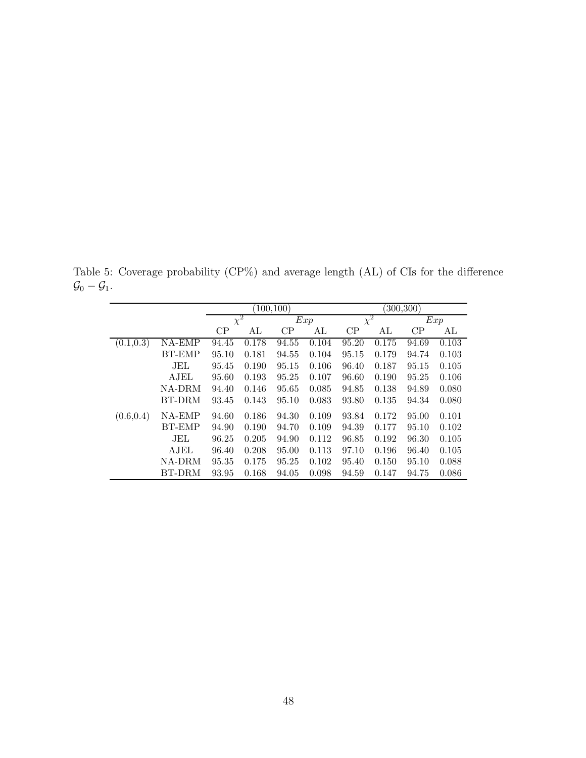$\frac{(100,100)}{Exp}$  (300,300)  $\chi^2$  $\frac{1}{2}$  Exp  $\chi^2$  Exp CP AL CP AL CP AL CP AL (0.1,0.3) NA-EMP 94.45 0.178 94.55 0.104 95.20 0.175 94.69 0.103 BT-EMP 95.10 0.181 94.55 0.104 95.15 0.179 94.74 0.103 JEL 95.45 0.190 95.15 0.106 96.40 0.187 95.15 0.105 AJEL 95.60 0.193 95.25 0.107 96.60 0.190 95.25 0.106 NA-DRM 94.40 0.146 95.65 0.085 94.85 0.138 94.89 0.080 BT-DRM 93.45 0.143 95.10 0.083 93.80 0.135 94.34 0.080 (0.6,0.4) NA-EMP 94.60 0.186 94.30 0.109 93.84 0.172 95.00 0.101 BT-EMP 94.90 0.190 94.70 0.109 94.39 0.177 95.10 0.102 JEL 96.25 0.205 94.90 0.112 96.85 0.192 96.30 0.105 AJEL 96.40 0.208 95.00 0.113 97.10 0.196 96.40 0.105 NA-DRM 95.35 0.175 95.25 0.102 95.40 0.150 95.10 0.088 BT-DRM 93.95 0.168 94.05 0.098 94.59 0.147 94.75 0.086

<span id="page-47-0"></span>Table 5: Coverage probability (CP%) and average length (AL) of CIs for the difference  $\mathcal{G}_0 - \mathcal{G}_1$ .